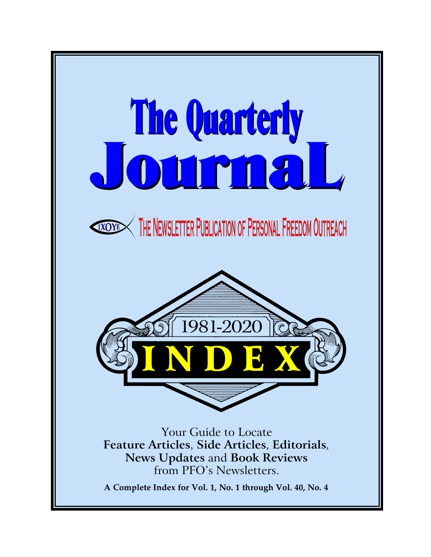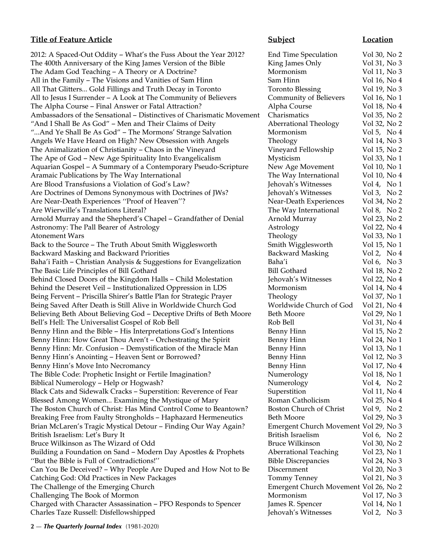# **Title of Feature Article Subject Location**

2012: A Spaced-Out Oddity – What's the Fuss About the Year 2012? Fig. The 400th Anniversary of the King James Version of the Bible King 1 The Adam God Teaching  $-$  A Theory or A Doctrine? All in the Family – The Visions and Vanities of Sam Hinn Sam Hinn All That Glitters... Gold Fillings and Truth Decay in Toronto All to Jesus I Surrender – A Look at The Community of Believers (Community of Believers Community of Believers The Alpha Course - Final Answer or Fatal Attraction? Ambassadors of the Sensational - Distinctives of Charismatic Movement "And I Shall Be As God" – Men and Their Claims of Deity "...And Ye Shall Be As God" – The Mormons' Strange Salvation Mormonism Vol 5, No 4, No 5, No 4, No 4, No 4, No Angels We Have Heard on High? New Obsession with Angels The Animalization of Christianity – Chaos in the Vineyard The Ape of God – New Age Spirituality Into Evangelicalism Myster of God 33, No 13, No 13, No 13, No 13, No 13, No Aquarian Gospel – A Summary of a Contemporary Pseudo-Scripture 1 Aramaic Publications by The Way International Are Blood Transfusions a Violation of God's Law? J Are Doctrines of Demons Synonymous with Doctrines of JWs? Are Near-Death Experiences "Proof of Heaven"? Are Wierwille's Translations Literal? Arnold Murray and the Shepherd's Chapel – Grandfather of Denial Astronomy: The Pall Bearer of Astrology Atonement Wars Back to the Source – The Truth About Smith Wigglesworth Backward Masking and Backward Priorities Backward Masking 1 Baha'i Faith – Christian Analysis & Suggestions for Evangelization Baha'i Vol 6, No The Basic Life Principles of Bill Gothard Bill Gothard Bill Gothard I Behind Closed Doors of the Kingdom Halls – Child Molestation J Behind the Deseret Veil – Institutionalized Oppression in LDS Mormonism Vol 14, No 4, No 4, No 4, No 4, No 4, N Being Fervent – Priscilla Shirer's Battle Plan for Strategic Prayer Being Saved After Death is Still Alive in Worldwide Church God Believing Beth About Believing God – Deceptive Drifts of Beth Moore Beth Moore Bell's Hell: The Universalist Gospel of Rob Bell I Benny Hinn and the Bible – His Interpretations God's Intentions Benny Hinn and the Bible – His Interpretations Benny Hinn: How Great Thou Aren't - Orchestrating the Spirit I Benny Hinn: Mr. Confusion – Demystification of the Miracle Man Benny Hinn: Benny Hinn's Anointing – Heaven Sent or Borrowed? Benny Hinn's Move Into Necromancy **Benny Hinn's Move Into Necromancy Benny Hinn** Volt 17, No 47, No 47, No 47, No 47, No 47, No 47, No 47, No 47, No 47, No 47, No 47, No 47, No 47, No 47, No 47, No 47, No 47, No 47, No 4 The Bible Code: Prophetic Insight or Fertile Imagination? Biblical Numerology – Help or Hogwash? Black Cats and Sidewalk Cracks – Superstition: Reverence of Fear Superstition Vol 11, No 41, No 41, No 41, No 41, No 41, No 41, No 41, No 41, No 41, No 41, No 41, No 41, No 41, No 41, No 41, No 41, No 41, No 41, No 41, No Blessed Among Women... Examining the Mystique of Mary Theory The Boston Church of Christ: Has Mind Control Come to Beantown? Boston Church of Christ: Has Mind Control Come to Beantown? Breaking Free from Faulty Strongholds - Haphazard Hermeneutics Beth Moore Vol 20, No 30, No 30, No 30, No 30, N Brian McLaren's Tragic Mystical Detour – Finding Our Way Again? British Israelism: Let's Bury It Bruce Wilkinson as The Wizard of Odd Bruce Wilkinson I Building a Foundation on Sand - Modern Day Apostles & Prophets ''But the Bible is Full of Contradictions!'' I Can You Be Deceived? – Why People Are Duped and How Not to Be  $\Box$ Catching God: Old Practices in New Packages The Challenge of the Emerging Church The Challenge of the Emerging Church Movement Vol 26, No 26, No 26, No 26, No 26, No 26, No 26, No 26, No 26, No 26, No 26, No 26, No 26, No 26, No 26, No 26, No 27, No 27, No 27, No 27 Challenging The Book of Mormon Mormonism Vol 17, No 37, No 37, No 37, No 37, No 37, No 37, No 37, No 37, No 37, No 37, No 37, No 37, No 37, No 37, No 37, No 37, No 37, No 37, No 37, No 37, No 37, No 37, No 37, No 37, No 37 Charged with Character Assassination – PFO Responds to Spencer J Charles Taze Russell: Disfellowshipped Jehovah's Witnesses Vol 2, No 3

| <b>End Time Speculation</b>                  | Vol 30, No 2                  |
|----------------------------------------------|-------------------------------|
| King James Only                              | Vol 31, No 3                  |
| Mormonism                                    | Vol 11, No 3                  |
| Sam Hinn                                     | Vol 16, No 4                  |
| <b>Toronto Blessing</b>                      | Vol 19, No 3                  |
| Community of Believers                       | Vol 16, No 1                  |
| Alpha Course                                 | Vol 18, No 4                  |
| Charismatics                                 | Vol 35, No 2                  |
| Aberrational Theology                        | Vol 32, No 2                  |
| Mormonism                                    | Vol 5, No $4$                 |
| Theology                                     | Vol 14, No 3                  |
| Vineyard Fellowship                          | Vol 15, No 2                  |
| Mysticism                                    | Vol 33, No 1                  |
| <b>New Age Movement</b>                      | Vol 10, No 1                  |
| The Way International                        | Vol 10, No 4                  |
| ehovah's Witnesses                           | Vol 4, No 1                   |
| ehovah's Witnesses                           | Vol 3, No 2                   |
| <b>Near-Death Experiences</b>                | Vol 34, No 2                  |
| The Way International                        | Vol 8, No 2                   |
| Arnold Murray                                | Vol 23, No 2                  |
| Astrology                                    | Vol 22, No 4                  |
| Theology                                     | Vol 33, No 1                  |
| Smith Wigglesworth                           | Vol 15, No 1                  |
| Backward Masking                             | Vol 2, No 4                   |
| 3aha′i                                       | Vol 6, No 3                   |
| 3ill Gothard                                 | Vol 18, No 2                  |
| ehovah's Witnesses                           | Vol 22, No 4                  |
| Mormonism                                    | Vol 14, No 4                  |
| Theology                                     | Vol 37, No 1                  |
| Norldwide Church of God                      | Vol 21, No 4                  |
| Beth Moore                                   | Vol 29, No 1                  |
| Rob Bell                                     | Vol 31, No 4                  |
| Benny Hinn                                   | Vol 15, No 2                  |
| Benny Hinn                                   | Vol 24, No 1                  |
| Benny Hinn                                   | Vol 13, No 1                  |
|                                              |                               |
| Benny Hinn                                   | Vol 12, No 3                  |
| Benny Hinn<br>Numerology                     | Vol 17, No 4<br>Vol 18, No 1  |
| Numerology                                   |                               |
|                                              | Vol 4, No 2<br>Vol 11, No 4   |
| Superstition<br>Roman Catholicism            | Vol 25, No 4                  |
| Boston Church of Christ                      |                               |
|                                              | Vol 9, No 2                   |
| 3eth Moore                                   | Vol 29, No 3                  |
| Emergent Church Movement Vol 29, No 3        |                               |
| British Israelism                            | Vol 6, No 2                   |
| Bruce Wilkinson                              | Vol 30, No 2                  |
| <b>Aberrational Teaching</b>                 | Vol 23, No 1                  |
| <b>Bible Discrepancies</b>                   | Vol 24, No 3                  |
| <b>Discernment</b>                           | Vol 20, No 3                  |
| <b>Tommy Tenney</b>                          | Vol 21, No 3                  |
| Emergent Church Movement Vol 26, No 2        |                               |
| Mormonism                                    | Vol 17, No 3                  |
| ames R. Spencer<br>$ahoxah'e$ $\overline{M}$ | Vol 14, No 1<br>$Vol2$ $N_03$ |
|                                              |                               |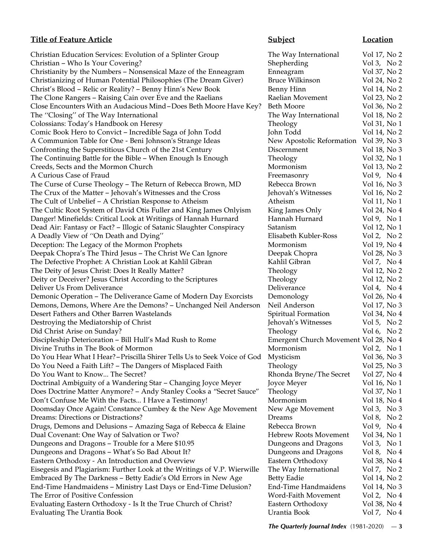# **Title of Feature Article**

Christian Education Services: Evolution of a Splinter Group Christian - Who Is Your Covering? Christianity by the Numbers – Nonsensical Maze of the Enneagram Christianizing of Human Potential Philosophies (The Dream Giver) Christ's Blood - Relic or Reality? - Benny Hinn's New Book The Clone Rangers – Raising Cain over Eve and the Raelians Close Encounters With an Audacious Mind-Does Beth Moore Have Key The "Closing" of The Way International Colossians: Today's Handbook on Heresy Comic Book Hero to Convict - Incredible Saga of John Todd A Communion Table for One - Beni Johnson's Strange Ideas Confronting the Superstitious Church of the 21st Century The Continuing Battle for the Bible - When Enough Is Enough Creeds, Sects and the Mormon Church A Curious Case of Fraud The Curse of Curse Theology – The Return of Rebecca Brown, MD The Crux of the Matter - Jehovah's Witnesses and the Cross The Cult of Unbelief – A Christian Response to Atheism The Cultic Root System of David Otis Fuller and King James Onlyism Danger! Minefields: Critical Look at Writings of Hannah Hurnard Dead Air: Fantasy or Fact? - Illogic of Satanic Slaughter Conspiracy A Deadly View of "On Death and Dying" Deception: The Legacy of the Mormon Prophets Deepak Chopra's The Third Jesus - The Christ We Can Ignore The Defective Prophet: A Christian Look at Kahlil Gibran The Deity of Jesus Christ: Does It Really Matter? Deity or Deceiver? Jesus Christ According to the Scriptures Deliver Us From Deliverance Demonic Operation – The Deliverance Game of Modern Day Exorcists Demons, Demons, Where Are the Demons? - Unchanged Neil Anderso Desert Fathers and Other Barren Wastelands Destroying the Mediatorship of Christ Did Christ Arise on Sunday? Discipleship Deterioration - Bill Hull's Mad Rush to Rome Divine Truths in The Book of Mormon Do You Hear What I Hear? – Priscilla Shirer Tells Us to Seek Voice of Go Do You Need a Faith Lift? – The Dangers of Misplaced Faith Do You Want to Know... The Secret? Doctrinal Ambiguity of a Wandering Star - Changing Joyce Meyer Does Doctrine Matter Anymore? – Andy Stanley Cooks a "Secret Sauce Don't Confuse Me With the Facts... I Have a Testimony! Doomsday Once Again! Constance Cumbey & the New Age Movement Dreams: Directions or Distractions? Drugs, Demons and Delusions – Amazing Saga of Rebecca & Elaine Dual Covenant: One Way of Salvation or Two? Dungeons and Dragons – Trouble for a Mere \$10.95 Dungeons and Dragons - What's So Bad About It? Eastern Orthodoxy - An Introduction and Overview Eisegesis and Plagiarism: Further Look at the Writings of V.P. Wierwill Embraced By The Darkness - Betty Eadie's Old Errors in New Age End-Time Handmaidens – Ministry Last Days or End-Time Delusion? The Error of Positive Confession Evaluating Eastern Orthodoxy - Is It the True Church of Christ? Eastern Orthodoxy Vol 38, No 4 Evaluating The Urantia Book Urantia Book Vol 7, No 4

# **The Quarterly Journal Index**  $(1981-2020) - 3$

|                             | <u>Subject</u>                        | <u>Location</u>          |
|-----------------------------|---------------------------------------|--------------------------|
|                             | The Way International                 | Vol 17, No 2             |
|                             | Shepherding                           | Vol 3, No 2              |
|                             | Enneagram                             | Vol 37, No 2             |
|                             | <b>Bruce Wilkinson</b>                | Vol 24, No 2             |
|                             | Benny Hinn                            | Vol 14, No 2             |
|                             | Raelian Movement                      | Vol 23, No 2             |
| y?                          | <b>Beth Moore</b>                     | Vol 36, No 2             |
|                             | The Way International                 | Vol 18, No 2             |
|                             | Theology                              | Vol 31, No 1             |
|                             | John Todd                             | Vol 14, No 2             |
|                             | New Apostolic Reformation             | Vol 39, No 3             |
|                             | Discernment                           | Vol 18, No 3             |
|                             | Theology                              | Vol 32, No 1             |
|                             | Mormonism                             | Vol 13, No 2             |
|                             | Freemasonry                           | Vol 9, No 4              |
|                             | Rebecca Brown                         | Vol 16, No 3             |
|                             | Jehovah's Witnesses                   | Vol 16, No 2             |
|                             | Atheism                               | $\rm Vol$ 11, $\rm No$ 1 |
|                             | King James Only                       | Vol 24, No 4             |
|                             | Hannah Hurnard                        | Vol 9, No 1              |
|                             | Satanism                              | Vol 12, No 1             |
|                             | Elisabeth Kubler-Ross                 | Vol 2, No 2              |
|                             | Mormonism                             | Vol 19, No 4             |
|                             | Deepak Chopra                         | Vol 28, No 3             |
|                             | Kahlil Gibran                         | Vol 7, No 4              |
|                             | Theology                              | Vol 12, No 2             |
|                             | Theology                              | Vol 12, No 2             |
|                             | Deliverance                           | Vol 4, No $4$            |
|                             | Demonology                            | Vol 26, No 4             |
| 9n                          | Neil Anderson                         | Vol 17, No 3             |
|                             | Spiritual Formation                   | Vol 34, No 4             |
|                             | Jehovah's Witnesses                   | Vol 5, No $2$            |
|                             | Theology                              | Vol 6, No $2$            |
|                             | Emergent Church Movement Vol 28, No 4 |                          |
|                             | Mormonism                             | Vol 2, No $1$            |
| эd                          | Mysticism                             | Vol 36, No 3             |
|                             | Theology                              | Vol 25, No 3             |
|                             | Rhonda Bryne/The Secret               | Vol 27, No 4             |
|                             | Joyce Meyer                           | Vol 16, No 1             |
| $\mathbf{e}^{\prime\prime}$ | Theology                              | Vol 37, No 1             |
|                             | Mormonism                             | Vol 18, No 4             |
| t                           | New Age Movement                      | Vol 3, No 3              |
|                             | Dreams                                | Vol 8, No 2              |
|                             | Rebecca Brown                         | Vol 9, No 4              |
|                             | <b>Hebrew Roots Movement</b>          | Vol 34, No 1             |
|                             | Dungeons and Dragons                  | Vol 3, No 1              |
|                             | Dungeons and Dragons                  | Vol 8, No 4              |
|                             | Eastern Orthodoxy                     | Vol 38, No 4             |
| le                          | The Way International                 | Vol 7, No 2              |
|                             | <b>Betty Eadie</b>                    | Vol 14, No 2             |
|                             | <b>End-Time Handmaidens</b>           | Vol 14, No 3             |
|                             | Word-Faith Movement                   | Vol 2, No 4              |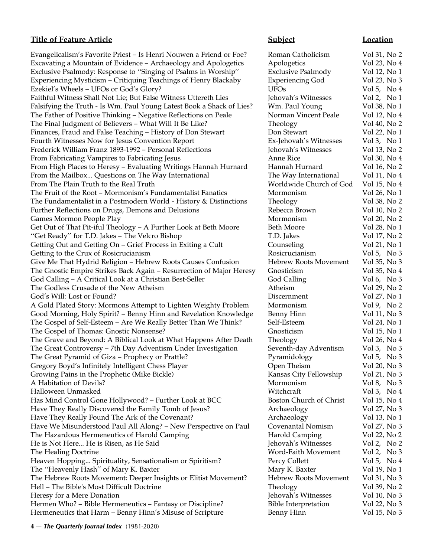# **Title of Feature Article Subject Location**

Evangelicalism's Favorite Priest – Is Henri Nouwen a Friend or Foe? R Excavating a Mountain of Evidence – Archaeology and Apologetics A Exclusive Psalmody: Response to "Singing of Psalms in Worship" Exclusive Psalmody: Response to "Singing of Psalms in Worship" Experiencing Mysticism – Critiquing Teachings of Henry Blackaby E. Ezekiel's Wheels – UFOs or God's Glory? U Faithful Witness Shall Not Lie; But False Witness Uttereth Lies Jehovah Jehovah Jehovah Jehovah Jehovah Jehovah Falsifying the Truth - Is Wm. Paul Young Latest Book a Shack of Lies? When The Father of Positive Thinking – Negative Reflections on Peale Norman View The Final Judgment of Believers – What Will It Be Like? Theology Vol 40, No 20, No 20, No 20, No 20, No 20, No Finances, Fraud and False Teaching – History of Don Stewart D Fourth Witnesses Now for Jesus Convention Report Fig. 2, No 1. It Is No 1. It Is No 1. It Is No 1. It Is No 1. It Is No 1. It Is No 1. It Is No 1. It Is No 1. It Is No 1. It Is No 1. It Is No 1. It Is No 1. It Is No 1. It Frederick William Franz 1893-1992 – Personal Reflections Jehovah Vol 13, No 2014 From Fabricating Vampires to Fabricating Jesus Anne Rice Vol 30, No 40, No 40, No 40, No 40, No 40, No 40, No 40, No 40, No 40, No 40, No 40, No 40, No 40, No 40, No 40, No 40, No 40, No 40, No 40, No 40, No 40, No 40, No From High Places to Heresy – Evaluating Writings Hannah Hurnard H From the Mailbox... Questions on The Way International The Way International From The Plain Truth to the Real Truth Worldwide Church of God Vol 15, No 45, No 46, No 47, No 47, No 47, No 47, No 47, No 47, No 47, No 47, No 47, No 47, No 47, No 47, No 47, No 47, No 47, No 47, No 47, No 47, No 47, No 4 The Fruit of the Root – Mormonism's Fundamentalist Fanatics Mormonism V The Fundamentalist in a Postmodern World - History & Distinctions T Further Reflections on Drugs, Demons and Delusions R Games Mormon People Play Mormonism Vol 20, No 20, No 20, No 20, No 20, No 20, No 20, No 20, No 20, No 20, No 20, No 20, No 20, No 20, No 20, No 20, No 20, No 20, No 20, No 20, No 20, No 20, No 20, No 20, No 20, No 20, No 2 Get Out of That Pit-iful Theology - A Further Look at Beth Moore Beth Moore "Get Ready" for T.D. Jakes – The Velcro Bishop T. Getting Out and Getting On – Grief Process in Exiting a Cult Counseling Vol 21, No 11, 2014 Getting to the Crux of Rosicrucianism R Give Me That Hydrid Religion - Hebrew Roots Causes Confusion H The Gnostic Empire Strikes Back Again – Resurrection of Major Heresy G God Calling – A Critical Look at a Christian Best-Seller G The Godless Crusade of the New Atheism No 2008 2009 2009 2009 2009 2009 2012 2013 God's Will: Lost or Found? Discussed Vol 27, No 17, No 17, No 17, No 17, No 17, No 17, No 17, No 17, No 17, No A Gold Plated Story: Mormons Attempt to Lighten Weighty Problem Mormonism Good Morning, Holy Spirit? – Benny Hinn and Revelation Knowledge Benny Hinn and Revelation Knowledge The Gospel of Self-Esteem - Are We Really Better Than We Think? Self-The Gospel of Thomas: Gnostic Nonsense? G The Grave and Beyond: A Biblical Look at What Happens After Death T The Great Controversy – 7th Day Adventism Under Investigation Sex The Great Pyramid of Giza – Prophecy or Prattle?  $P<sup>3</sup>$ Gregory Boyd's Infinitely Intelligent Chess Player Chess Theism Vol 20, No 30, No 30, No 30, No 30, No 30, No Growing Pains in the Prophetic (Mike Bickle) K A Habitation of Devils? Halloween Unmasked Witchcraft Vol 3, No 4, No 4, No 4, No 4, No 4, No 4, No 4, No 4, No 4, No 4, No 4, No 4, N Has Mind Control Gone Hollywood? – Further Look at BCC Boston Christ Vol 15, No 45, No 46, No 47, No 47, No 47, No 47, No 47, No 47, No 47, No 47, No 47, No 47, No 47, No 47, No 47, No 47, No 47, No 47, No 47, No 47, No 47 Have They Really Discovered the Family Tomb of Jesus? A Have They Really Found The Ark of the Covenant? A Have We Misunderstood Paul All Along? - New Perspective on Paul C The Hazardous Hermeneutics of Harold Camping Harold Pharold 22, No 22, No 22, No 22, No 22, No 22, No 22, No 22, No 22, No 22, No 22, No 22, No 22, No 22, No 22, No 22, No 22, No 22, No 22, No 22, No 22, No 22, No 22, No 2 He is Not Here... He is Risen, as He Said Jehovah Jehovah Jehovah Jehovah Jehovah Jehovah Jehovah Je The Healing Doctrine Word-Faith Movement Vol 2, No 3, No 3, No 3, No 3, No 3, No 3, No 3, No 3, No 3, No 3, No 3, No 3, No 3, No 3, No 3, No 3, No 3, No 3, No 3, No 3, No 3, No 3, No 3, No 3, No 3, No 3, No 3, No 3, No 3, Heaven Hopping... Spirituality, Sensationalism or Spiritism? Percy Collection Vol 5, No 4, No 5, No 4, No 4, No The "Heavenly Hash" of Mary K. Baxter Mary 19, No 19, No 19, No 19, No 19, No 19, No 19, No 19, No 19, No 19, N The Hebrew Roots Movement: Deeper Insights or Elitist Movement? Hebrew Roots Movement Hell – The Bible's Most Difficult Doctrine T Heresy for a Mere Donation **Jehovah Heresy for a Mere Donation** Hermen Who? – Bible Hermeneutics – Fantasy or Discipline? Bi Hermeneutics that Harm – Benny Hinn's Misuse of Scripture Benny Hinn Vol 15, No 3

| oman Catholicism                               | Vol 31, No 2                                |
|------------------------------------------------|---------------------------------------------|
| pologetics                                     | Vol 23, No 4                                |
| xclusive Psalmody                              | Vol 12, No 1                                |
| xperiencing God                                | Vol 23, No 3                                |
| <b>FOs</b>                                     | Vol 5, No $4$                               |
| ehovah's Witnesses                             | Vol 2, No 1                                 |
| Vm. Paul Young                                 | Vol 38, No 1                                |
| <b>Jorman Vincent Peale</b>                    | Vol 12, No 4                                |
| heology                                        | Vol 40, No 2                                |
| on Stewart                                     | Vol 22, No 1                                |
| x-Jehovah's Witnesses                          | Vol 3, No 1                                 |
| ehovah's Witnesses                             | Vol 13, No 2                                |
| nne Rice                                       | Vol 30, No 4                                |
| Iannah Hurnard                                 | Vol 16, No 2                                |
| he Way International                           | Vol 11, No 4                                |
| Vorldwide Church of God                        | Vol 15, No 4                                |
| <b>Iormonism</b>                               | Vol 26, No 1                                |
| heology                                        | Vol 38, No 2                                |
| ebecca Brown                                   | Vol 10, No 2                                |
| 1ormonism                                      | Vol 20, No 2                                |
| eth Moore                                      | Vol 28, No 1                                |
| .D. Jakes                                      | Vol 17, No 2                                |
| ounseling                                      | Vol 21, No 1                                |
| osicrucianism                                  | Vol 5, No 3                                 |
| <b>Iebrew Roots Movement</b>                   | Vol 35, No 3                                |
| inosticism                                     | Vol 35, No 4                                |
| iod Calling                                    | Vol 6, No 3                                 |
| theism،                                        | Vol 29, No 2                                |
| iscernment                                     | Vol 27, No 1                                |
| 1ormonism                                      | Vol 9, No 2                                 |
| enny Hinn                                      | Vol 11, No 3                                |
| elf-Esteem                                     | Vol 24, No 1                                |
| inosticism                                     | Vol 15, No 1                                |
| heology                                        | Vol 26, No 4                                |
| eventh-day Adventism                           | Vol 3, No $3$                               |
| yramidology                                    | Vol 5, No 3                                 |
| )pen Theism                                    | Vol 20, No 3                                |
| ansas City Fellowship                          | Vol 21, No 3                                |
| <b>Iormonism</b>                               | Vol 8, No 3                                 |
| Vitchcraft                                     | Vol 3, No $4$                               |
| oston Church of Christ                         | Vol 15, No 4                                |
| rchaeology                                     | Vol 27, No 3                                |
| rchaeology                                     | Vol 13, No 1                                |
| <b>Covenantal Nomism</b>                       | Vol 27, No 3                                |
| Iarold Camping                                 | Vol 22, No 2                                |
| ehovah's Witnesses                             | Vol 2, No 2                                 |
| Vord-Faith Movement                            |                                             |
|                                                | Vol 2, $\operatorname{No} 3$<br>Vol 5, No 4 |
| ercy Collett                                   |                                             |
| Iary K. Baxter<br><b>Iebrew Roots Movement</b> | Vol 19, No 1                                |
|                                                | Vol 31, No 3                                |
| heology                                        | Vol 39, No 2                                |
| ehovah's Witnesses                             | Vol 10, No 3                                |
| ible Interpretation                            | Vol 22, No 3                                |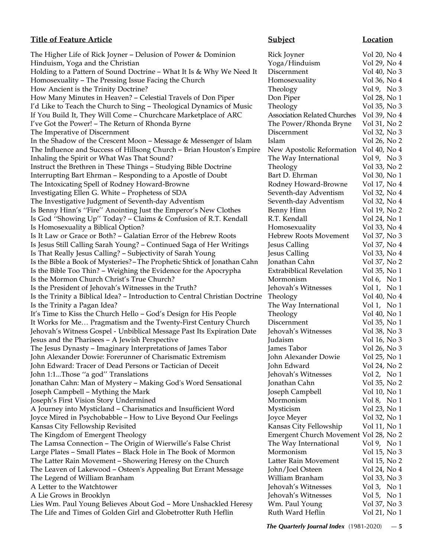The Higher Life of Rick Joyner – Delusion of Power & Dominion Rick Joyner Vol 20, No 4 Hinduism, Yoga and the Christian Theorem 2008 Control of Transierus Control of Transierus Vol 29, No 4 Holding to a Pattern of Sound Doctrine – What It Is & Why We Need It Discernment Vol 40, No 3 Homosexuality – The Pressing Issue Facing the Church Homosexuality Vol 36, No 4 How Ancient is the Trinity Doctrine? Theology Theology Vol 9, No 3 How Many Minutes in Heaven? – Celestial Travels of Don Piper Don Piper Vol 28, No 1 I'd Like to Teach the Church to Sing - Theological Dynamics of Music Theology Vol 35, No 3 If You Build It, They Will Come – Churchcare Marketplace of ARC Association Related Churches Vol 39, No 4 I've Got the Power! – The Return of Rhonda Byrne The Power/Rhonda Bryne Vol 31, No 2 The Imperative of Discernment The Imperative of Discernment Discernment Vol 32, No 3 In the Shadow of the Crescent Moon – Message & Messenger of Islam Islam Islam Vol 26, No 2 The Influence and Success of Hillsong Church – Brian Houston's Empire New Apostolic Reformation Vol 40, No 4 Inhaling the Spirit or What Was That Sound? The Way International Vol 9, No 3 Instruct the Brethren in These Things - Studying Bible Doctrine Theology Vol 33, No 2 Interrupting Bart Ehrman – Responding to a Apostle of Doubt Bart D. Ehrman Vol 30, No 1 The Intoxicating Spell of Rodney Howard-Browne **Rodney Howard-Browne** Vol 17, No 4 Investigating Ellen G. White – Prophetess of SDA Seventh-day Adventism Vol 32, No 4 The Investigative Judgment of Seventh-day Adventism Seventh-day Adventism Vol 32, No 4 Is Benny Hinn's "Fire" Anointing Just the Emperor's New Clothes Benny Hinn Vol 19, No 2 Is God "Showing Up" Today? - Claims & Confusion of R.T. Kendall R.T. Kendall Vol 24, No 1 Is Homosexuality a Biblical Option? **Homosexuality** Vol 33, No 4 Is It Law or Grace or Both? – Galatian Error of the Hebrew Roots Hebrew Roots Movement Vol 37, No 3 Is Jesus Still Calling Sarah Young? – Continued Saga of Her Writings Jesus Calling Vol 37, No 4 Is That Really Jesus Calling? – Subjectivity of Sarah Young Jesus Calling Vol 33, No 4 Is the Bible a Book of Mysteries? – The Prophetic Shtick of Jonathan Cahn Jonathan Cahn Vol 37, No 2 Is the Bible Too Thin? – Weighing the Evidence for the Apocrypha Extrabiblical Revelation Vol 35, No 1 Is the Mormon Church Christ's True Church? Mormonism Vol 6, No 1 Is the President of Jehovah's Witnesses in the Truth? Jehovah's Witnesses Vol 1, No 1 Is the Trinity a Biblical Idea? – Introduction to Central Christian Doctrine Theology Vol 40, No 4 Is the Trinity a Pagan Idea? The Way International Vol 1, No 1 It's Time to Kiss the Church Hello – God's Design for His People Theology Vol 40, No 1 It Works for Me… Pragmatism and the Twenty-First Century Church Discernment Vol 35, No 1 Jehovah's Witness Gospel - Unbiblical Message Past Its Expiration Date Jehovah's Witnesses Vol 38, No 3 Jesus and the Pharisees – A Jewish Perspective Judaism Judaism Vol 16, No 3 The Jesus Dynasty – Imaginary Interpretations of James Tabor James Tabor Vol 26, No 3 John Alexander Dowie: Forerunner of Charismatic Extremism John Alexander Dowie Vol 25, No 1 John Edward: Tracer of Dead Persons or Tactician of Deceit John Edward Vol 24, No 2 John 1:1...Those ''a god'' Translations Jehovah's Witnesses Vol 2, No 1 Jonathan Cahn: Man of Mystery - Making God's Word Sensational Jonathan Cahn Vol 35, No 2 Joseph Campbell – Mything the Mark Joseph Campbell Vol 10, No 1 Joseph's First Vision Story Undermined Mormonism Mormonism Vol 8, No 1 A Journey into Mysticland – Charismatics and Insufficient Word Mysticism Vol 23, No 1 Joyce Mired in Psychobabble – How to Live Beyond Our Feelings Joyce Meyer Vol 32, No 1 Kansas City Fellowship Revisited **Kansas City Fellowship** Vol 11, No 1 The Kingdom of Emergent Theology Emergent Church Movement Vol 28, No 2 The Lamsa Connection – The Origin of Wierwille's False Christ The Way International Vol 9, No 1 Large Plates – Small Plates – Black Hole in The Book of Mormon Mormonism Vol 15, No 3 The Latter Rain Movement – Showering Heresy on the Church Latter Rain Movement Vol 15, No 2 The Leaven of Lakewood – Osteen's Appealing But Errant Message John/Joel Osteen Vol 24, No 4 The Legend of William Branham William Branham Vol 33, No 3 A Letter to the Watchtower **A** Letter to the Watchtower **Jehovah's Witnesses** Vol 3, No 1 A Lie Grows in Brooklyn Jehovah's Witnesses Vol 5, No 1 Lies Wm. Paul Young Believes About God - More Unshackled Heresy Wm. Paul Young Vol 37, No 3 The Life and Times of Golden Girl and Globetrotter Ruth Heflin Ruth Ward Heflin Vol 21, No 1

# **Title of Feature Article Subject Subject Location**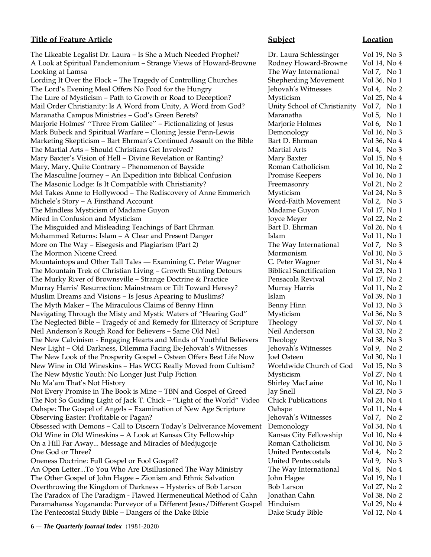# **Title of Feature Article Subject Location**

The Likeable Legalist Dr. Laura – Is She a Much Needed Prophet? Dr. Laura - Dr. No 3 A Look at Spiritual Pandemonium – Strange Views of Howard-Browne F Looking at Lamsa The Way International Vol 7, No 1, No 1, No 1, No 1, No 1, No 1, No 1, No 1, No 1, No 1, No 1, No 1, No 1, No 1, No 1, No 1, No 1, No 1, No 1, No 1, No 1, No 1, No 1, No 1, No 1, No 1, No 1, No 1, No 1, No Lording It Over the Flock – The Tragedy of Controlling Churches Shepherding Movement Shepherding Movement Vol 36, No 16, No 16, No 16, No 16, No 16, No 16, No 16, No 16, No 16, No 16, No 16, No 16, No 16, No 16, No 16, No The Lord's Evening Meal Offers No Food for the Hungry J The Lure of Mysticism  $-$  Path to Growth or Road to Deception? Mail Order Christianity: Is A Word from Unity, A Word from God? L Maranatha Campus Ministries – God's Green Berets? Marjorie Holmes' "Three From Galilee" – Fictionalizing of Jesus M Mark Bubeck and Spiritual Warfare – Cloning Jessie Penn-Lewis Demonology Vol 16, No 36, No 36, No 36, No 36, No Marketing Skepticism – Bart Ehrman's Continued Assault on the Bible B The Martial Arts – Should Christians Get Involved? Martial Arts – Should Christians Get Involved? Mary Baxter's Vision of Hell – Divine Revelation or Ranting? Mary, Mary, Quite Contrary – Phenomenon of Bayside Roman Catholicism Vol 10, No 20, No 20, No 20, No 20, No 20 The Masculine Journey – An Expedition into Biblical Confusion F The Masonic Lodge: Is It Compatible with Christianity? Free Masonic Lodge: Is It Compatible with Christianity? Mel Takes Anne to Hollywood – The Rediscovery of Anne Emmerich M Michele's Story – A Firsthand Account Vol 2, No 3, No 3, No 3, No 3, No 3, No 3, No 3, No 3, No 3, No 3, No 3, No 3, No 3, No 3, No 3, No 3, No 3, No 3, No 3, No 3, No 3, No 3, No 3, No 3, No 3, No 3, No 3, No 3, No 3, No The Mindless Mysticism of Madame Guyon Madame Vol 17, No 17, No 17, No 17, No 17, No 17, No 17, No 17, No 17, No 17, No 17, No 17, No 17, No 17, No 17, No 17, No 17, No 17, No 17, No 17, No 17, No 17, No 17, No 17, No 17, Mired in Confusion and Mysticism **Joyce Meyer Vol** 22, No 22, No 22, No 22, No 22, No 22, No 22, No 22, No 22, No 22, No 22, No 22, No 22, No 22, No 22, No 22, No 22, No 22, No 22, No 22, No 22, No 22, No 22, No 22, No 22, The Misguided and Misleading Teachings of Bart Ehrman Bart B Mohammed Returns: Islam – A Clear and Present Danger Islam Vol 11, No 11, No 11, No 11, No 11, No 11, No 11, No More on The Way – Eisegesis and Plagiarism (Part 2) The Way - Eisegesis and Plagiarism (Part 2) The Mormon Nicene Creed Mormonism Vol 10, No 300 10, No 300 10, No 300 10, No 300 10, No 300 10, No 300 10, No Mountaintops and Other Tall Tales — Examining C. Peter Wagner G. The Mountain Trek of Christian Living – Growth Stunting Detours Biblical Sanctification I The Murky River of Brownsville – Strange Doctrine & Practice Pensacola Review Review Review Review Review Revi Murray Harris' Resurrection: Mainstream or Tilt Toward Heresy? Murray Harris Voltague Muslim Dreams and Visions – Is Jesus Apearing to Muslims? The Myth Maker – The Miraculous Claims of Benny Hinn B Navigating Through the Misty and Mystic Waters of "Hearing God" M The Neglected Bible – Tragedy of and Remedy for Illiteracy of Scripture T Neil Anderson's Rough Road for Believers – Same Old Neil Neil The New Calvinism - Engaging Hearts and Minds of Youthful Believers T New Light – Old Darkness, Dilemma Facing Ex-Jehovah's Witnesses Jo The New Look of the Prosperity Gospel – Osteen Offers Best Life Now Jo New Wine in Old Wineskins – Has WCG Really Moved from Cultism? V The New Mystic Youth: No Longer Just Pulp Fiction No Ma'am That's Not History Shirley MacLaine Vol 10, No 10, No 10, No 10, No 10, No 10, No 10, No 10, No 10, No Not Every Promise in The Book is Mine – TBN and Gospel of Greed  $\qquad \qquad$  J The Not So Guiding Light of Jack T. Chick – "Light of the World" Video C Oahspe: The Gospel of Angels – Examination of New Age Scripture G Observing Easter: Profitable or Pagan? Obsessed with Demons - Call to Discern Today's Deliverance Movement I Old Wine in Old Wineskins – A Look at Kansas City Fellowship Kansas City Fellowship On a Hill Far Away... Message and Miracles of Medjugorje **Roman Catholicism Vol** Roman Catholicism Vol 10, No 30, No 30, No 30, No 30, No 30, No 30, No 30, No 30, No 30, No 30, No 30, No 30, No 30, No 30, No 30, No 30, No One God or Three? Oneness Doctrine: Full Gospel or Fool Gospel? U An Open Letter...To You Who Are Disillusioned The Way Ministry The Way International Vol 8, No 4, No 4, No 4, N The Other Gospel of John Hagee – Zionism and Ethnic Salvation J Overthrowing the Kingdom of Darkness - Hysterics of Bob Larson Bob The Paradox of The Paradigm - Flawed Hermeneutical Method of Cahn Jonathan Cahn Paramahansa Yogananda: Purveyor of a Different Jesus/Different Gospel H The Pentecostal Study Bible – Dangers of the Dake Bible Dake Study Bible Vol 12, No 4

| Dr. Laura Schlessinger       | Vol 19, No 3              |
|------------------------------|---------------------------|
| Rodney Howard-Browne         | Vol 14, No 4              |
| The Way International        | Vol 7, No 1               |
| hepherding Movement          | Vol 36, No 1              |
| ehovah's Witnesses           | Vol 4, No $2$             |
| Aysticism                    | Vol 25, No 4              |
| Jnity School of Christianity | Vol 7, No 1               |
| <i>Aaranatha</i>             | Vol 5, No 1               |
| Marjorie Holmes              | Vol 6, No $1$             |
| <b>Demonology</b>            | Vol 16, No 3              |
| Bart D. Ehrman               | Vol 36, No 4              |
| <b>Martial Arts</b>          | Vol 4, No 3               |
| Mary Baxter                  | Vol 15, No 4              |
| Roman Catholicism            | Vol 10, No 2              |
| Promise Keepers              | Vol 16, No 1              |
|                              |                           |
| Freemasonry<br>Aysticism     | Vol 21, No 2              |
| Vord-Faith Movement          | Vol 24, No 3              |
|                              | Vol 2, No 3               |
| Aadame Guyon                 | Vol 17, No 1              |
| oyce Meyer                   | Vol 22, No 2              |
| Bart D. Ehrman               | Vol 26, No 4              |
| slam                         | Vol 11, No 1              |
| The Way International        | Vol 7, No 3               |
| Mormonism                    | Vol 10, No 3              |
| C. Peter Wagner              | Vol 31, No 4              |
| Biblical Sanctification      | Vol 23, No 1              |
| Pensacola Revival            | Vol 17, No 2              |
| Murray Harris                | Vol 11, No 2              |
| slam                         | Vol 39, No 1              |
| Benny Hinn                   | Vol 13, No 3              |
| Aysticism                    | Vol 36, No 3              |
| heology                      | Vol 37, No 4              |
| <b>Veil Anderson</b>         | Vol 33, No 2              |
| Theology                     | Vol 38, No 3              |
| ehovah's Witnesses           | Vol 9, No 2               |
| oel Osteen                   | Vol 30, No 1              |
| Vorldwide Church of God      | Vol 15, No 3              |
| Aysticism                    | Vol 27, No 4              |
| hirley MacLaine              | Vol 10, No 1              |
| ay Snell                     | Vol 23, No 3              |
| <b>Chick Publications</b>    | Vol 24, No 4              |
| )ahspe                       | Vol 11, No 4              |
| ehovah's Witnesses           | Vol 7, No 2               |
| <b>Demonology</b>            | Vol 34, No 4              |
| Kansas City Fellowship       | Vol 10, No 4              |
| Roman Catholicism            | Vol 10, No 3              |
| <b>Jnited Pentecostals</b>   | Vol 4, No $2$             |
| <b>Jnited Pentecostals</b>   | Vol 9, No 3               |
| The Way International        | Vol 8, No 4               |
| ohn Hagee                    | Vol 19, No 1              |
| Bob Larson                   | Vol 27, No 2              |
| onathan Cahn                 | Vol 38, No 2              |
| <b>Hinduism</b>              | Vol 29, No 4              |
| Jako Ctudy Biblo             | $V_0$ 112 $N_0$ $\Lambda$ |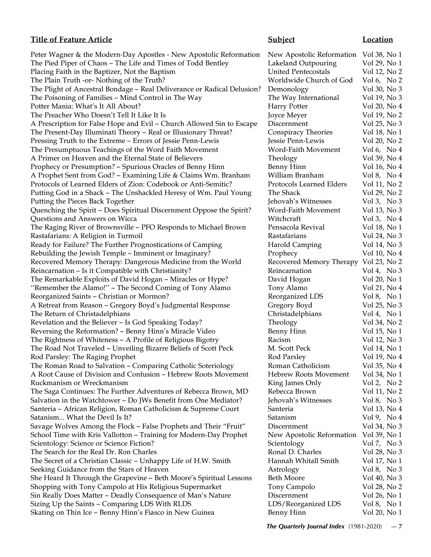# **Title of Feature Article Subject Location**

| Peter Wagner & the Modern-Day Apostles - New Apostolic Reformation                  | New Apostolic Reformation             | Vol 38, No 1                |
|-------------------------------------------------------------------------------------|---------------------------------------|-----------------------------|
| The Pied Piper of Chaos - The Life and Times of Todd Bentley                        | Lakeland Outpouring                   | Vol 29, No 1                |
| Placing Faith in the Baptizer, Not the Baptism                                      | <b>United Pentecostals</b>            | Vol 12, No 2                |
| The Plain Truth -or- Nothing of the Truth?                                          | Worldwide Church of God               | Vol 6, No $2$               |
| The Plight of Ancestral Bondage - Real Deliverance or Radical Delusion?             | Demonology                            | Vol 30, No 3                |
| The Poisoning of Families - Mind Control in The Way                                 | The Way International                 | Vol 19, No 3                |
| Potter Mania: What's It All About?                                                  | <b>Harry Potter</b>                   | Vol 20, No 4                |
| The Preacher Who Doesn't Tell It Like It Is                                         | Joyce Meyer                           | Vol 19, No 2                |
| A Prescription for False Hope and Evil - Church Allowed Sin to Escape               | Discernment                           | Vol 25, No 3                |
| The Present-Day Illuminati Theory - Real or Illusionary Threat?                     | Conspiracy Theories                   | Vol 18, No 1                |
| Pressing Truth to the Extreme - Errors of Jessie Penn-Lewis                         | Jessie Penn-Lewis                     | Vol 20, No 2                |
| The Presumptuous Teachings of the Word Faith Movement                               | Word-Faith Movement                   | Vol 6, No $4$               |
| A Primer on Heaven and the Eternal State of Believers                               | Theology                              | Vol 39, No 4                |
| Prophecy or Presumption? - Spurious Oracles of Benny Hinn                           | <b>Benny Hinn</b>                     | Vol 16, No 4                |
| A Prophet Sent from God? - Examining Life & Claims Wm. Branham                      | William Branham                       | Vol 8, No 4                 |
| Protocols of Learned Elders of Zion: Codebook or Anti-Semitic?                      | Protocols Learned Elders              | Vol 11, No 2                |
| Putting God in a Shack - The Unshackled Heresy of Wm. Paul Young                    | The Shack                             | Vol 29, No 2                |
| Putting the Pieces Back Together                                                    | Jehovah's Witnesses                   | Vol 3, No 3                 |
| Quenching the Spirit - Does Spiritual Discernment Oppose the Spirit?                | Word-Faith Movement                   | Vol 13, No 3                |
| Questions and Answers on Wicca                                                      | Witchcraft                            | Vol 3, No $4$               |
| The Raging River of Brownsville - PFO Responds to Michael Brown                     | Pensacola Revival                     | Vol 18, No 1                |
| Rastafarians: A Religion in Turmoil                                                 | Rastafarians                          | Vol 24, No 3                |
| Ready for Failure? The Further Prognostications of Camping                          | <b>Harold Camping</b>                 | Vol 14, No 3                |
| Rebuilding the Jewish Temple - Imminent or Imaginary?                               | Prophecy                              | Vol 10, No 4                |
| Recovered Memory Therapy: Dangerous Medicine from the World                         | Recovered Memory Therapy Vol 23, No 2 |                             |
| Reincarnation - Is it Compatible with Christianity?                                 | Reincarnation                         | Vol 4, No $3$               |
| The Remarkable Exploits of David Hogan - Miracles or Hype?                          | David Hogan                           | Vol 20, No 1                |
| "Remember the Alamo!" - The Second Coming of Tony Alamo                             | Tony Alamo                            | Vol 21, No 4                |
| Reorganized Saints - Christian or Mormon?                                           | Reorganized LDS                       | Vol 8, No 1                 |
| A Retreat from Reason - Gregory Boyd's Judgmental Response                          | Gregory Boyd                          | Vol 25, No 3                |
| The Return of Christadelphians                                                      | Christadelphians                      | Vol 4, No 1                 |
| Revelation and the Believer - Is God Speaking Today?                                | Theology                              | Vol 34, No 2                |
| Reversing the Reformation? - Benny Hinn's Miracle Video                             | <b>Benny Hinn</b>                     | Vol 15, No 1                |
| The Rightness of Whiteness - A Profile of Religious Bigotry                         | Racism                                | Vol 12, No 3                |
| The Road Not Traveled - Unveiling Bizarre Beliefs of Scott Peck                     | M. Scott Peck                         | Vol 14, No 1                |
| Rod Parsley: The Raging Prophet                                                     | Rod Parsley                           | Vol 19, No 4                |
| The Roman Road to Salvation – Comparing Catholic Soteriology                        | Roman Catholicism                     | Vol 35, No 4                |
| A Root Cause of Division and Confusion - Hebrew Roots Movement                      | <b>Hebrew Roots Movement</b>          | Vol 34, No 1                |
| Ruckmanism or Wreckmanism                                                           | King James Only                       | Vol 2, No 2                 |
| The Saga Continues: The Further Adventures of Rebecca Brown, MD                     | Rebecca Brown                         | Vol 11, No 2                |
| Salvation in the Watchtower - Do JWs Benefit from One Mediator?                     | Jehovah's Witnesses                   | Vol 8, No $3$               |
| Santeria - African Religion, Roman Catholicism & Supreme Court                      | Santeria                              | Vol 13, No 4                |
| Satanism What the Devil Is It?                                                      | Satanism                              | Vol 9, No 4                 |
| Savage Wolves Among the Flock - False Prophets and Their "Fruit"                    | Discernment                           | Vol 34, No 3                |
| School Time with Kris Vallotton - Training for Modern-Day Prophet                   |                                       | Vol 39, No 1                |
|                                                                                     | New Apostolic Reformation             |                             |
| Scientology: Science or Science Fiction?<br>The Search for the Real Dr. Ron Charles | Scientology<br>Ronal D. Charles       | Vol 7, No 3<br>Vol 28, No 3 |
|                                                                                     | Hannah Whitall Smith                  |                             |
| The Secret of a Christian Classic - Unhappy Life of H.W. Smith                      |                                       | Vol 17, No 1                |
| Seeking Guidance from the Stars of Heaven                                           | Astrology<br><b>Beth Moore</b>        | Vol 8, No 3                 |
| She Heard It Through the Grapevine - Beth Moore's Spiritual Lessons                 |                                       | Vol 40, No 3                |
| Shopping with Tony Campolo at His Religious Supermarket                             | Tony Campolo                          | Vol 28, No 2                |
| Sin Really Does Matter - Deadly Consequence of Man's Nature                         | Discernment                           | Vol 26, No 1                |
| Sizing Up the Saints - Comparing LDS With RLDS                                      | LDS/Reorganized LDS                   | Vol 8, No 1                 |
| Skating on Thin Ice - Benny Hinn's Fiasco in New Guinea                             | <b>Benny Hinn</b>                     | Vol 20, No 1                |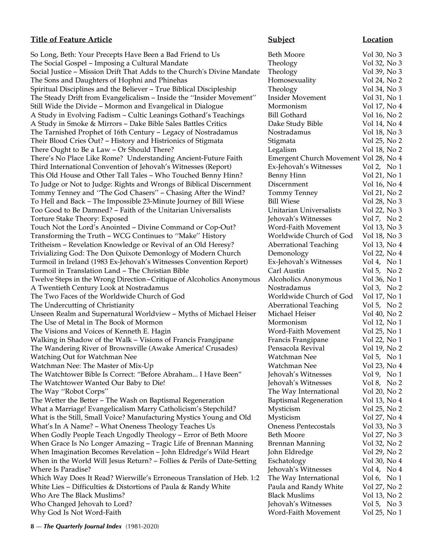So Long, Beth: Your Precepts Have Been a Bad Friend to Us Beth Moore Vol 30, No 3 The Social Gospel – Imposing a Cultural Mandate Theology Vol 32, No 3 Social Justice – Mission Drift That Adds to the Church's Divine Mandate Theology Vol 39, No 3 The Sons and Daughters of Hophni and Phinehas **Homosexuality** Vol 24, No 2 Spiritual Disciplines and the Believer – True Biblical Discipleship Theology Vol 34, No 3 The Steady Drift from Evangelicalism – Inside the ''Insider Movement'' Insider Movement Vol 31, No 1 Still Wide the Divide – Mormon and Evangelical in Dialogue Mormonism Vol 17, No 4 A Study in Evolving Fadism - Cultic Leanings Gothard's Teachings Bill Gothard Vol 16, No 2 A Study in Smoke & Mirrors – Dake Bible Sales Battles Critics Dake Study Bible Vol 14, No 4 The Tarnished Prophet of 16th Century – Legacy of Nostradamus Nostradamus Vol 18, No 3 Their Blood Cries Out? – History and Histrionics of Stigmata Stigmata Vol 25, No 2 There Ought to Be a Law – Or Should There? There is a Legalism and Vol 18, No 2 There's No Place Like Rome? Understanding Ancient-Future Faith Emergent Church Movement Vol 28, No 4 Third International Convention of Jehovah's Witnesses (Report) Ex-Jehovah's Witnesses Vol 2, No 1 This Old House and Other Tall Tales – Who Touched Benny Hinn? Benny Hinn Vol 21, No 1 To Judge or Not to Judge: Rights and Wrongs of Biblical Discernment Discernment Vol 16, No 4 Tommy Tenney and "The God Chasers" - Chasing After the Wind? Tommy Tenney Vol 21, No 2 To Hell and Back – The Impossible 23-Minute Journey of Bill Wiese Bill Wiese Vol 28, No 3 Too Good to Be Damned? – Faith of the Unitarian Universalists Unitarian Universalists Vol 22, No 3 Torture Stake Theory: Exposed and Theory: Exposed Jehovah's Witnesses Vol 7, No 2 Touch Not the Lord's Anointed – Divine Command or Cop-Out? Word-Faith Movement Vol 13, No 3 Transforming the Truth – WCG Continues to ''Make'' History Worldwide Church of God Vol 18, No 3 Tritheism – Revelation Knowledge or Revival of an Old Heresy? Aberrational Teaching Vol 13, No 4 Trivializing God: The Don Quixote Demonlogy of Modern Church Demonology Vol 22, No 4 Turmoil in Ireland (1983 Ex-Jehovah's Witnesses Convention Report) Ex-Jehovah's Witnesses Vol 4, No 1 Turmoil in Translation Land – The Christian Bible Carl Austin Vol 5, No 2 Twelve Steps in the Wrong Direction–Critique of Alcoholics Anonymous Alcoholics Anonymous Vol 36, No 1 A Twentieth Century Look at Nostradamus **Note at A Twentieth Century Look at Nostradamus** Nostradamus Vol 3, No 2 The Two Faces of the Worldwide Church of God Worldwide Church of God Vol 17, No 1 The Undercutting of Christianity The Undercutting of Christianity Aberrational Teaching Vol 5, No 2 Unseen Realm and Supernatural Worldview – Myths of Michael Heiser Michael Heiser Vol 40, No 2 The Use of Metal in The Book of Mormon Mormon Mormonism Vol 12, No 1 The Visions and Voices of Kenneth E. Hagin Word-Faith Movement Vol 25, No 1 Walking in Shadow of the Walk - Visions of Francis Frangipane Francis Frangipane Vol 22, No 1 The Wandering River of Brownsville (Awake America! Crusades) Pensacola Revival Vol 19, No 2 Watching Out for Watchman Nee **Watchman Nee** Watchman Nee Vol 5, No 1 Watchman Nee: The Master of Mix-Up Watchman Nee Vol 23, No 4 The Watchtower Bible Is Correct: "Before Abraham... I Have Been" Jehovah's Witnesses Vol 9, No 1 The Watchtower Wanted Our Baby to Die! Jehovah's Witnesses Vol 8, No 2 The Way "Robot Corps" The Way International Vol 20, No 2 The Wetter the Better – The Wash on Baptismal Regeneration Baptismal Regeneration Vol 13, No 4 What a Marriage! Evangelicalism Marry Catholicism's Stepchild? Mysticism Vol 25, No 2 What is the Still, Small Voice? Manufacturing Mystics Young and Old Mysticism Vol 27, No 4 What's In A Name? – What Oneness Theology Teaches Us Oneness Pentecostals Vol 33, No 3 When Godly People Teach Ungodly Theology – Error of Beth Moore Beth Moore Vol 27, No 3 When Grace Is No Longer Amazing – Tragic Life of Brennan Manning Brennan Manning Vol 32, No 2 When Imagination Becomes Revelation – John Eldredge's Wild Heart John Eldredge Vol 29, No 2 When in the World Will Jesus Return? – Follies & Perils of Date-Setting Eschatology Vol 30, No 4 Where Is Paradise? The Islamic School of the United States and Tehovah's Witnesses Vol 4, No 4 Which Way Does It Read? Wierwille's Erroneous Translation of Heb. 1:2 The Way International Vol 6, No 1 White Lies – Difficulties & Distortions of Paula & Randy White Paula and Randy White Vol 27, No 2 Who Are The Black Muslims? Black Muslims Vol 13, No 2 Who Changed Jehovah to Lord? The Community of the Jehovah's Witnesses Vol 5, No 3 Why God Is Not Word-Faith Word-Faith Movement Vol 25, No 1

**Title of Feature Article Subject Subject Location**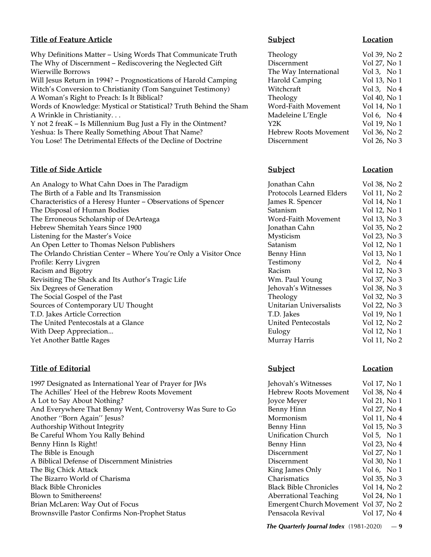# **Title of Feature Article Subject Subject Location**

Why Definitions Matter – Using Words That Communicate Truth Theology Vol 39, No 2 The Why of Discernment – Rediscovering the Neglected Gift Discernment Vol 27, No 1 Wierwille Borrows **The Way International** Vol 3, No 1 Will Jesus Return in 1994? – Prognostications of Harold Camping Harold Camping Vol 13, No 1 Witch's Conversion to Christianity (Tom Sanguinet Testimony) Witchcraft Vol 3, No 4 A Woman's Right to Preach: Is It Biblical? Theology Theology Vol 40, No 1 Words of Knowledge: Mystical or Statistical? Truth Behind the Sham Word-Faith Movement Vol 14, No 1 A Wrinkle in Christianity... https://www.material.com/material/englering L'Engle Vol 6, No 4 Y not 2 freaK – Is Millennium Bug Just a Fly in the Ointment?  $\begin{array}{ccc} \text{Y2K} & \text{Y2K} \end{array}$  Vol 19, No 1 Yeshua: Is There Really Something About That Name? 
Hebrew Roots Movement Vol 36, No 2 You Lose! The Detrimental Effects of the Decline of Doctrine Discernment Vol 26, No 3

# **Title of Side Article Subject Location**

An Analogy to What Cahn Does in The Paradigm The Birth of a Fable and Its Transmission Characteristics of a Heresy Hunter - Observations of Spencer The Disposal of Human Bodies The Erroneous Scholarship of DeArteaga Hebrew Shemitah Years Since 1900 Listening for the Master's Voice An Open Letter to Thomas Nelson Publishers The Orlando Christian Center – Where You're Only a Visitor Once Profile: Kerry Livgren Racism and Bigotry Revisiting The Shack and Its Author's Tragic Life Six Degrees of Generation The Social Gospel of the Past Sources of Contemporary UU Thought T.D. Jakes Article Correction The United Pentecostals at a Glance With Deep Appreciation... Yet Another Battle Rages

# **Title of Editorial Subject Location**

1997 Designated as International Year of Prayer for JWs The Achilles' Heel of the Hebrew Roots Movement A Lot to Say About Nothing? And Everywhere That Benny Went, Controversy Was Sure to Go Another "Born Again" Jesus? Authorship Without Integrity Be Careful Whom You Rally Behind Benny Hinn Is Right! The Bible is Enough A Biblical Defense of Discernment Ministries The Big Chick Attack The Bizarro World of Charisma Black Bible Chronicles Blown to Smithereens! Brian McLaren: Way Out of Focus Brownsville Pastor Confirms Non-Prophet Status

| Jonathan Cahn                  | Vol 38, No 2 |
|--------------------------------|--------------|
| Protocols Learned Elders       | Vol 11, No 2 |
| James R. Spencer               | Vol 14, No 1 |
| Satanism                       | Vol 12, No 1 |
| Word-Faith Movement            | Vol 13, No 3 |
| Jonathan Cahn                  | Vol 35, No 2 |
| Mysticism                      | Vol 23, No 3 |
| Satanism                       | Vol 12, No 1 |
| <b>Benny Hinn</b>              | Vol 13, No 1 |
| Testimony                      | Vol 2, No 4  |
| Racism                         | Vol 12, No 3 |
| Wm. Paul Young                 | Vol 37, No 3 |
| Jehovah's Witnesses            | Vol 38, No 3 |
| Theology                       | Vol 32, No 3 |
| <b>Unitarian Universalists</b> | Vol 22, No 3 |
| T.D. Jakes                     | Vol 19, No 1 |
| <b>United Pentecostals</b>     | Vol 12, No 2 |
| Eulogy                         | Vol 12, No 1 |
| Murray Harris                  | Vol 11, No 2 |
|                                |              |

| Jehovah's Witnesses                   | Vol 17, No 1  |
|---------------------------------------|---------------|
| <b>Hebrew Roots Movement</b>          | Vol 38, No 4  |
| Joyce Meyer                           | Vol 21, No 1  |
| <b>Benny Hinn</b>                     | Vol 27, No 4  |
| Mormonism                             | Vol 11, No 4  |
| <b>Benny Hinn</b>                     | Vol 15, No 3  |
| <b>Unification Church</b>             | Vol 5, No $1$ |
| Benny Hinn                            | Vol 23, No 4  |
| Discernment                           | Vol 27, No 1  |
| Discernment                           | Vol 30, No 1  |
| King James Only                       | Vol 6, No $1$ |
| <b>Charismatics</b>                   | Vol 35, No 3  |
| <b>Black Bible Chronicles</b>         | Vol 14, No 2  |
| <b>Aberrational Teaching</b>          | Vol 24, No 1  |
| Emergent Church Movement Vol 37, No 2 |               |
| Pensacola Revival                     | Vol 17, No 4  |
|                                       |               |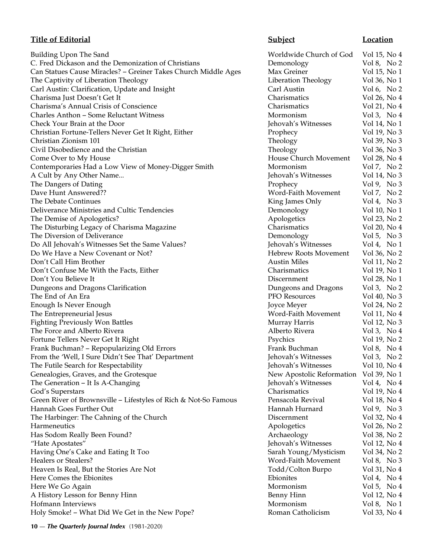# **Title of Editorial Subject Location**

Building Upon The Sand Worldwide Church of God Vol 15, No 4 C. Fred Dickason and the Demonization of Christians Demonology Vol 8, No 2 Can Statues Cause Miracles? - Greiner Takes Church Middle Ages Max Greiner Vol 15, No 1 The Captivity of Liberation Theology **Liberation Theology** Vol 36, No 1 Carl Austin: Clarification, Update and Insight Carl Austin Carl Austin Vol 6, No 2 Charisma Just Doesn't Get It Charismatics Vol 26, No 4 Charisma's Annual Crisis of Conscience Charismatics Vol 21, No 4 Charles Anthon – Some Reluctant Witness Mormonism Mormonism Vol 3, No 4 Check Your Brain at the Door Jehovah's Witnesses Vol 14, No 1 Christian Fortune-Tellers Never Get It Right, Either Prophecy Vol 19, No 3 Christian Zionism 101 Theology Vol 39, No 3 Civil Disobedience and the Christian Theology Theology Vol 36, No 3 Come Over to My House **House Church Movement** Vol 28, No 4 Contemporaries Had a Low View of Money-Digger Smith Mormonism Vol 7, No 2 A Cult by Any Other Name... Jehovah's Witnesses Vol 14, No 3 The Dangers of Dating The Dangers of Dating Prophecy Prophecy Vol 9, No 3 Dave Hunt Answered?? Word-Faith Movement Vol 7, No 2<br>The Debate Continues King James Only Vol 4, No 3 The Debate Continues The Debate Continues Associates and the United States of the United States of the United States of the United States of the United States of the United States of the United States of the United States Deliverance Ministries and Cultic Tendencies **Demonology** Vol 10, No 1 The Demise of Apologetics? Apologetics Apologetics Apologetics Vol 23, No 2 The Disturbing Legacy of Charisma Magazine **Charismatics** Charismatics Vol 20, No 4 The Diversion of Deliverance and the Demonology and Vol 5, No 3 Do All Jehovah's Witnesses Set the Same Values? Jehovah's Witnesses Vol 4, No 1 Do We Have a New Covenant or Not? The Mass of the Hebrew Roots Movement Vol 36, No 2 Don't Call Him Brother **Austin Miles** Vol 11, No 2 Don't Confuse Me With the Facts, Either Charismatics Vol 19, No 1 Don't You Believe It Discernment Vol 28, No 1 Dungeons and Dragons Clarification Dungeons and Dragons Vol 3, No 2 The End of An Era Processes and The End of An Era Processes and The End of An Era Processes and Vol 40, No 3 Enough Is Never Enough Joyce Meyer Vol 24, No 2 The Entrepreneurial Jesus The Entrepreneurial Jesus Novement Vol 11, No 4 Fighting Previously Won Battles The Contract Contract Murray Harris The Vol 12, No 3 The Force and Alberto Rivera  $\sim$  Alberto Rivera  $\sim$  Alberto Rivera  $\sim$  Vol 3, No 4 Fortune Tellers Never Get It Right Psychics Vol 19, No 2 Frank Buchman? – Repopularizing Old Errors Frank Buchman Vol 8, No 4 From the 'Well, I Sure Didn't See That' Department Jehovah's Witnesses Vol 3, No 2 The Futile Search for Respectability The Turking Search for Respectability All 2011 and Turking Search for No 4 Genealogies, Graves, and the Grotesque New Apostolic Reformation Vol 39, No 1 The Generation – It Is A-Changing The Generation – It Is A-Changing Jehovah's Witnesses Vol 4, No 4 God's Superstars Charismatics Vol 19, No 4 Green River of Brownsville – Lifestyles of Rich & Not-So Famous Pensacola Revival Vol 18, No 4 Hannah Goes Further Out **Hannah Hurnard** Vol 9, No 3 The Harbinger: The Cahning of the Church **Discernment** Vol 32, No 4 Harmeneutics Apologetics Vol 26, No 2 Has Sodom Really Been Found? Archaeology Vol 38, No 2 "Hate Apostates" Jehovah's Witnesses Vol 12, No 4 Having One's Cake and Eating It Too Sarah Young/Mysticism Vol 34, No 2 Healers or Stealers? Word-Faith Movement Vol 8, No 3 Heaven Is Real, But the Stories Are Not Todd / Colton Burpo Vol 31, No 4 Here Comes the Ebionites **Example 2018** Ebionites Ebionites **Ebionites** Vol 4, No 4 Here We Go Again **Mormonism** Vol 5, No 4 A History Lesson for Benny Hinn **Benny Hinn** Benny Hinn **Benny Hinn** Vol 12, No 4 Hofmann Interviews **Mormonism** Vol 8, No 1 Holy Smoke! – What Did We Get in the New Pope? Roman Catholicism Vol 33, No 4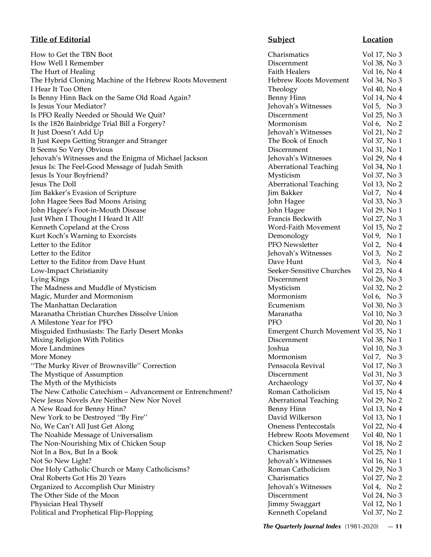How to Get the TBN Boot Charismatics Vol 17, No 3 How Well I Remember Discernment Vol 38, No 3 The Hurt of Healing Faith Healers Vol 16, No 4 The Hybrid Cloning Machine of the Hebrew Roots Movement Hebrew Roots Movement Vol 34, No 3 I Hear It Too Often Theology Voltage Voltage Voltage Voltage Voltage Voltage Voltage Voltage Voltage Vol 40, No 40, No 40, No 40, No 40, No 40, No 40, No 40, No 40, No 40, No 40, No 40, No 40, No 40, No 40, No 40, No 40, N Is Benny Hinn Back on the Same Old Road Again? Ben Is Jesus Your Mediator? Jehovah's Witnesses Vol 5, No 3, No 3, No 3, No 3, No 3, No 3, No 3, No 3, No 3, No 3, No 3, No 3, No 3, No 3, No 3, No 3, No 3, No 3, No 3, No 3, No 3, No 3, No 3, No 3, No 3, No 3, No 3, No 3, No Is PFO Really Needed or Should We Quit? Discernment Vol 25, No 35, 25, No 35, 25, No 35, 25, No 35, No 35, No 35, No 35, No 35, No 35, No 35, No 35, No 36, No 36, No 37, No 37, No 37, No 37, No 37, No 37, No 37, No 37, No Is the 1826 Bainbridge Trial Bill a Forgery? Mo: It Just Doesn't Add Up Jehovah's Witnesses Vol 21, No 21, No 21, No 21, No 21, No 21, No 21, No 21, No 21, No 21, No 21, No 21, No 21, No 21, No 21, No 21, No 21, No 21, No 21, No 21, No 21, No 21, No 21, No 21, No 21, No It Just Keeps Getting Stranger and Stranger The Book of Enoch Vol 37, No 17 The Book of Enoch Vol 37, No 17 The It Seems So Very Obvious Discernment Vol 31, No 1919 and Vol 31, No 1919 and Vol 31, No 1919 and Vol 31, No 19 Jehovah's Witnesses and the Enigma of Michael Jackson Jehovah's Witnesses and the Enigma of Michael Jackson Jesus Is: The Feel-Good Message of Judah Smith Aberrational Teaching Aberrational Teaching Vol 34, No 14, No 1 Jesus Is Your Boyfriend? Myster Control 37, No 37, No 37, No 37, No 37, No 37, No 37, No 37, No 37, No 37, No 37, No 37, No 37, No 37, No 37, No 37, No 37, No 37, No 37, No 37, No 37, No 37, No 37, No 37, No 37, No 37, No Jesus The Doll **Aberrational Teaching Vol** 13, No 23, No 23, No 23, No 23, No 23, No 23, No 23, No 23, No 23, No Jim Bakker's Evasion of Scripture Jim Bakker's Evasion of Scripture Jim 3, No 4, No 4, No 4, No 4, No 4, No 4, No 4, No 4, No 4, No 4, No 4, No 4, No 4, No 4, No 4, No 4, No 4, No 4, No 4, No 4, No 4, No 4, No 4, No 4, No John Hagee Sees Bad Moons Arising John Hagee Sees Bad Moons Arising John Hagee's Foot-in-Mouth Disease John Hagee's Foot-in-Mouth Disease Just When I Thought I Heard It All! Francis Beckwith Vol 27, No 37, No 37, No 37, No 37, No 37, No 37, No 37, No 37, No 37, No 37, No 37, No 37, No 37, No 37, No 37, No 37, No 37, No 37, No 37, No 37, No 37, No 37, No 37, Kenneth Copeland at the Cross Wo Kurt Koch's Warning to Exorcists Demonology Vol 9, No 1999 Letter to the Editor **PFC** Letter to the Editor Jehovah's Witnesses Vol 3, No 2, No 2, No 2, No 2, No 2, No 2, No 2, No 2, No 2, No 2, No Letter to the Editor from Dave Hunt Dave  $\frac{d}{dt}$  Dave  $\frac{d}{dt}$  Dave  $\frac{d}{dt}$ Low-Impact Christianity Seeker-Sensitive Churches Seeker-Sensitive Churches Seeker-Sensitive Churches Vol 23, No 43, No 43, No 43, No 43, No 43, No 43, No 43, No 43, No 43, No 43, No 43, No 43, No 43, No 43, No 43, No 43, Lying Kings Discernment Vol 26, No 3 The Madness and Muddle of Mysticism **Mysticism** Myster Connection Myster Connection Myster Magic, Murder and Mormonism and Grand 6, No 3, No 3, No 3, No 3, No 3, No 3, No 3, No 3, No 3, No 3, No 3, No 3, No 3, No 3, No 3, No 3, No 3, No 3, No 3, No 3, No 3, No 3, No 3, No 3, No 3, No 3, No 3, No 3, No 3, No 3, N The Manhattan Declaration **Equality** Voltage Security Vol 30, No 30, No 30, No 30, No 30, No 30, No 30, No 30, No 30, No 30, No 30, No 30, No 30, No 30, No 30, No 30, No 30, No 30, No 30, No 30, No 30, No 30, No 30, No 30, Maranatha Christian Churches Dissolve Union Maranatha Christian Churches Dissolve Union A Milestone Year for PFO **PFO** PFC Misguided Enthusiasts: The Early Desert Monks Femergent Vol 35, No 15, 25, No 15, 25, No 15, 26, No 15, No 15, No 15, No 15, 25, No 15, 25, No 15, 25, No 15, 25, No 15, 25, No 15, 25, No 15, 25, No 15, 25, No 15, 25, No 15 Mixing Religion With Politics **Discernal Voltage Voltage Vol** 38, No 1918 More Landmines Joshua Vol 10, No 3 More Money Mormonism Vol 7, No 3 The Murky River of Brownsville'' Correction **Pensacola Revival Vol** 27, No 37, 2008 The Mystique of Assumption Discernment Voltage Voltage Voltage Vol 31, No 31, No 31, No 31, No 31, No 31, No 31, No 31, No 31, No 31, No 31, No 31, No 31, No 31, No 31, No 31, No 31, No 31, No 31, No 31, No 31, No 31, No 3 The Myth of the Mythicists Archaeology Vol 37, No 47, No 47, No 47, No 47, No 47, No 47, No 47, No 47, No 47, No 47, No 47, No 47, No 47, No 47, No 47, No 47, No 47, No 47, No 47, No 47, No 47, No 47, No 47, No 47, No 47, The New Catholic Catechism - Advancement or Entrenchment? Ror New Jesus Novels Are Neither New Nor Novel **Aberrational Teaching Contract Aberrational Teaching Contract Aberration** A New Road for Benny Hinn? Ben New York to be Destroyed "By Fire" David David Wilkers Vol 13, No 13, No 13, No 13, No 13, No 13, No 13, No 13, No 13, No 13, No 13, No 13, No 13, No 13, No 13, No 13, No 13, No 13, No 13, No 13, No 13, No 13, No 13, No 13 No, We Can't All Just Get Along **Department Contains Pentecostals Pentecostals Pentecostals Pentecostals Pentec** The Noahide Message of Universalism Hebrew Roots Movement Vol 40, No 100, No 100, No 100, No 100, No 100, No 10 The Non-Nourishing Mix of Chicken Soup Series Vol 18, No 2011 Not In a Box, But In a Book Cha Not So New Light? Jehovah Not So New Light? One Holy Catholic Church or Many Catholicisms? Roman Catholic 20, 2006 Oral Roberts Got His 20 Years Charisman Charisman Charisman Charisman Charisman Charisman Charisman Charisman Organized to Accomplish Our Ministry **Grand Constants Voltage Vol** 4, Jehovah Jehovah The Other Side of the Moon Discernment Voltage and Voltage Point Vol 24, No 34, No 34, No 34, No 34, No 34, No 34, No 34, No 34, No 34, No 34, No 34, No 34, No 34, No 34, No 34, No 34, No 34, No 34, No 34, No 34, No 34, No Physician Heal Thyself Jimmy Swaggart Vol 12, No 12, No 12, No 12, No 12, No 12, No 12, No 12, No 12, No 12, No 12, No 12, No 12, No 12, No 12, No 12, No 12, No 12, No 12, No 12, No 12, No 12, No 12, No 12, No 12, No 12, N Political and Prophetical Flip-Flopping Kenneth Copeland Vol 37, No 27, No 27, No 27, No 27, No 27, No 27, No 27, No 27, No 27, No 27, No 27, No 27, No 27, No 27, No 27, No 27, No 27, No 27, No 27, No 27, No 27, No 27, No

# **Title of Editorial Subject Location**

| prew Roots Movement                 | VOL 34, NO3                                    |  |  |
|-------------------------------------|------------------------------------------------|--|--|
| eology                              | Vol 40, No 4                                   |  |  |
| my Hinn                             | Vol 14, No 4                                   |  |  |
| ovah's Witnesses                    | Vol 5, No 3                                    |  |  |
| cernment                            | Vol 25, No 3                                   |  |  |
| rmonism                             | Vol 6, No $2$                                  |  |  |
| ovah's Witnesses                    | Vol 21, No 2                                   |  |  |
| <b>Book of Enoch</b>                | Vol 37, No 1                                   |  |  |
| cernment                            | Vol 31, No 1                                   |  |  |
| ovah's Witnesses                    | Vol 29, No 4                                   |  |  |
| errational Teaching                 | Vol 34, No 1                                   |  |  |
| sticism                             | Vol 37, No 3                                   |  |  |
| errational Teaching                 | Vol 13, No 2                                   |  |  |
| Bakker                              | Vol 7, No 4                                    |  |  |
| n Hagee                             | Vol 33, No 3                                   |  |  |
| n Hagee                             | Vol 29, No 1                                   |  |  |
| ncis Beckwith                       | Vol 27, No 3                                   |  |  |
| rd-Faith Movement                   | Vol 15, No 2                                   |  |  |
| monology                            | Vol 9, No 1                                    |  |  |
| O Newsletter                        | Vol 2, No 4                                    |  |  |
| ovah′s Witnesses                    | Vol 3, No 2                                    |  |  |
| ve Hunt                             | Vol 3, No 4                                    |  |  |
| ker-Sensitive Churches              | Vol 23, No 4                                   |  |  |
| cernment                            | Vol 26, No 3                                   |  |  |
| sticism                             | Vol 32, No 2                                   |  |  |
| rmonism                             | Vol 6, No 3                                    |  |  |
| ımenism                             | Vol 30, No 3                                   |  |  |
| ranatha                             | Vol 10, No 3                                   |  |  |
| C                                   | Vol 20, No 1                                   |  |  |
| ergent Church Movement Vol 35, No 1 |                                                |  |  |
| cernment                            | Vol 38, No 1                                   |  |  |
| hua                                 | Vol 10, No 3                                   |  |  |
| rmonism                             | Vol 7, No 3                                    |  |  |
| ısacola Revival                     | Vol 17, No 3                                   |  |  |
| cernment                            | Vol 31, No 3                                   |  |  |
| chaeology                           | Vol 37, No 4                                   |  |  |
| nan Catholicism                     | Vol 15, No 4                                   |  |  |
| errational Teaching                 | Vol 29, No 2                                   |  |  |
| my Hinn                             | Vol 13, No 4                                   |  |  |
| vid Wilkerson                       | Vol 13, No 1                                   |  |  |
| eness Pentecostals                  | Vol 22, No 4                                   |  |  |
| brew Roots Movement                 |                                                |  |  |
|                                     | $\operatorname{Vol}$ 40, $\operatorname{No}$ 1 |  |  |
| icken Soup Series                   | Vol 18, No 2                                   |  |  |
| arismatics                          | Vol 25, No 1                                   |  |  |
| ovah's Witnesses                    | Vol 16, No 1                                   |  |  |
| nan Catholicism                     | Vol 29, No 3                                   |  |  |
| arismatics                          | Vol 27, No 2                                   |  |  |
| ovah's Witnesses                    | Vol 4, No $2$                                  |  |  |
| cernment                            | Vol 24, No 3                                   |  |  |
| my Swaggart                         | Vol 12, No 1                                   |  |  |
| nneth Copeland                      | Vol 37, No 2                                   |  |  |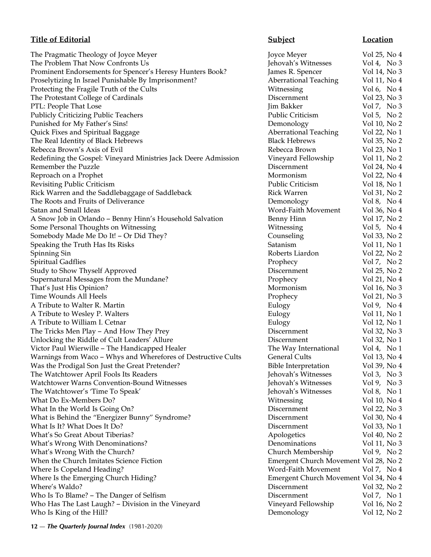# **Title of Editorial Subject Location**

The Pragmatic Theology of Joyce Meyer **State Act and Server State Act 2011** Joyce Meyer Vol 25, No 4 The Problem That Now Confronts Us **Shape Struck Confronts Us** Jehovah's Witnesses Vol 4, No 3 Prominent Endorsements for Spencer's Heresy Hunters Book? James R. Spencer Vol 14, No 3 Proselytizing In Israel Punishable By Imprisonment? Aberrational Teaching Vol 11, No 4 Protecting the Fragile Truth of the Cults Witnessing Vol 6, No 4<br>
The Protestant College of Cardinals Discernment Vol 23, No 3 The Protestant College of Cardinals **Discernment** Discernment PTL: People That Lose Jim Bakker Jim Bakker Vol 7, No 3<br>Publicly Criticizing Public Teachers Public Criticism Vol 5, No 2 Publicly Criticizing Public Teachers **Public Criticism** Public Criticism Punished for My Father's Sins! Demonology Vol 10, No 2 Quick Fixes and Spiritual Baggage Aberrational Teaching Vol 22, No 1 The Real Identity of Black Hebrews **Black Hebrews** Black Hebrews **Vol 35, No 2** Rebecca Brown's Axis of Evil **Rebecca Brown** Vol 23, No 1 Redefining the Gospel: Vineyard Ministries Jack Deere Admission Vineyard Fellowship Vol 11, No 2 Remember the Puzzle **Contract Contract Contract Contract Contract Contract Contract Contract Contract Contract Contract Contract Contract Contract Contract Contract Contract Contract Contract Contract Contract Contract Con** Reproach on a Prophet **Mormonism** Vol 22, No 4 Revisiting Public Criticism Public Criticism Vol 18, No 1 Rick Warren and the Saddlebaggage of Saddleback Rick Warren Vol 31, No 2 The Roots and Fruits of Deliverance **Demonology** Vol 8, No 4 Satan and Small Ideas Word-Faith Movement Vol 36, No 4 A Snow Job in Orlando – Benny Hinn's Household Salvation Benny Hinn Vol 17, No 2 Some Personal Thoughts on Witnessing The Vol 5, No 4 Somebody Made Me Do It! – Or Did They? Counseling Counseling Vol 33, No 2 Speaking the Truth Has Its Risks Satanism Satanism Vol 11, No 1 Spinning Sin Roberts Liardon Vol 22, No 2 Spiritual Gadflies **Prophecy** Vol 7, No 2 Study to Show Thyself Approved Discernment Vol 25, No 2 Supernatural Messages from the Mundane? The Prophecy Representation of the Vol 21, No 4 That's Just His Opinion? The Communism College of the Mormonism College Vol 16, No 3 Time Wounds All Heels **Prophecy** Vol 21, No 3 A Tribute to Walter R. Martin **Eulogy** Figure 2 and 2 and 2 and 2 and 2 and 2 and 2 and 2 and 2 and 2 and 2 and 2 and 2 and 2 and 2 and 2 and 2 and 2 and 2 and 2 and 2 and 2 and 2 and 2 and 2 and 2 and 2 and 2 and 2 and 2 A Tribute to Wesley P. Walters **Eulogy** Figure 2.1 and 2.1 and 2.1 and 2.1 and 2.1 and 2.1 and 2.1 and 2.1 and 2.1 and 2.1 and 2.1 and 2.1 and 2.1 and 2.1 and 2.1 and 2.1 and 2.1 and 2.1 and 2.1 and 2.1 and 2.1 and 2.1 and A Tribute to William I. Cetnar **Eulogy** Fullogy **Vol** 12, No 1 The Tricks Men Play – And How They Prey Discernment Vol 32, No 3 Unlocking the Riddle of Cult Leaders' Allure **Discernment** Vol 32, No 1 Victor Paul Wierwille – The Handicapped Healer The Way International Vol 4, No 1 Warnings from Waco – Whys and Wherefores of Destructive Cults General Cults Vol 13, No 4 Was the Prodigal Son Just the Great Pretender? Bible Interpretation Vol 39, No 4 The Watchtower April Fools Its Readers **Following Strategies April 1998** Jehovah's Witnesses Vol 3, No 3 Watchtower Warns Convention-Bound Witnesses Match Jehovah's Witnesses Vol 9, No 3 The Watchtower's 'Time To Speak' Jehovah's Witnesses Vol 8, No 1 What Do Ex-Members Do? Witnessing Vol 10, No 4 What In the World Is Going On? The Music Community Collection of the Vol 22, No 3 What is Behind the "Energizer Bunny" Syndrome? The Collection Discernment Vol 30, No 4 What Is It? What Does It Do? Discernment Vol 33, No 1 What's So Great About Tiberias? Apologetics Apologetics Vol 40, No 2 What's Wrong With Denominations? The Communications Col 11, No 3 What's Wrong With the Church? Church Membership Vol 9, No 2 When the Church Imitates Science Fiction **Emergent Church Movement Vol 28, No 2** Where Is Copeland Heading? The Movement Vol 7, No 4 Where Is the Emerging Church Hiding? Emergent Church Movement Vol 34, No 4 Where's Waldo? Discernment Vol 32, No 2 Who Is To Blame? – The Danger of Selfism **Discernment** Vol 7, No 1 Who Has The Last Laugh? – Division in the Vineyard Vineyard Vineyard Fellowship Vol 16, No 2 Who Is King of the Hill? Demonology Vol 12, No 2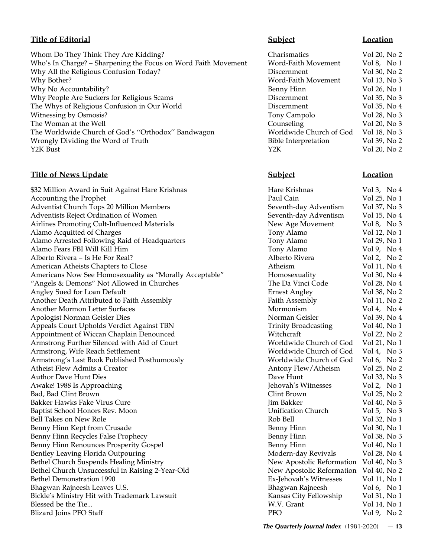# **Title of Editorial Subject Location**

Whom Do They Think They Are Kidding? Charismatics Vol 20, No 2 Who's In Charge? - Sharpening the Focus on Word Faith Movement Word-Faith Movement Vol 8, No 1 Why All the Religious Confusion Today?<br>
Mond Fill Mergers (No. 2) Mond Fill Mergers (No. 2) Mond Fill Mergers (No. 2) Mond Fill Mergers (No. 2) Why Bother? Word-Faith Movement Vol 13, No 3<br>
Word-Faith Movement Vol 13, No 3<br>
Benny Hinn Vol 26, No 1 Why No Accountability?<br>
Why People Are Suckers for Religious Scams<br>
I Why People Are Suckers for Religious Scams Discernment Vol 35, No 3 The Whys of Religious Confusion in Our World Discernment Vol 35, No 4<br>Witnessing by Osmosis? Tony Campolo Vol 28, No 3 Witnessing by Osmosis? The Woman at the Well Counseling Vol 20, No 3 The Worldwide Church of God's "Orthodox" Bandwagon Worldwide Church of God Vol 18, No 3<br>Worldwide Church of God Vol 18, No 3<br>Bible Interpretation Vol 39, No 2 Wrongly Dividing the Word of Truth Y2K Bust Yol 20, No 2

# **Title of News Update Subject Subject Location**

| \$32 Million Award in Suit Against Hare Krishnas        | Hare Krishnas               | Vol 3, No $4$ |
|---------------------------------------------------------|-----------------------------|---------------|
| <b>Accounting the Prophet</b>                           | Paul Cain                   | Vol 25, No 1  |
| Adventist Church Tops 20 Million Members                | Seventh-day Adventism       | Vol 37, No 3  |
| Adventists Reject Ordination of Women                   | Seventh-day Adventism       | Vol 15, No 4  |
| <b>Airlines Promoting Cult-Influenced Materials</b>     | New Age Movement            | Vol 8, No 3   |
| Alamo Acquitted of Charges                              | Tony Alamo                  | Vol 12, No 1  |
| Alamo Arrested Following Raid of Headquarters           | Tony Alamo                  | Vol 29, No 1  |
| Alamo Fears FBI Will Kill Him                           | Tony Alamo                  | Vol 9, No 4   |
| Alberto Rivera - Is He For Real?                        | Alberto Rivera              | Vol 2, No 2   |
| American Atheists Chapters to Close                     | Atheism                     | Vol 11, No 4  |
| Americans Now See Homosexuality as "Morally Acceptable" | Homosexuality               | Vol 30, No 4  |
| "Angels & Demons" Not Allowed in Churches               | The Da Vinci Code           | Vol 28, No 4  |
| Angley Sued for Loan Default                            | <b>Ernest Angley</b>        | Vol 38, No 2  |
| Another Death Attributed to Faith Assembly              | Faith Assembly              | Vol 11, No 2  |
| Another Mormon Letter Surfaces                          | Mormonism                   | Vol 4, No $4$ |
| Apologist Norman Geisler Dies                           | Norman Geisler              | Vol 39, No 4  |
| Appeals Court Upholds Verdict Against TBN               | <b>Trinity Broadcasting</b> | Vol 40, No 1  |
| Appointment of Wiccan Chaplain Denounced                | Witchcraft                  | Vol 22, No 2  |
| Armstrong Further Silenced with Aid of Court            | Worldwide Church of God     | Vol 21, No 1  |
| Armstrong, Wife Reach Settlement                        | Worldwide Church of God     | Vol 4, No 3   |
| Armstrong's Last Book Published Posthumously            | Worldwide Church of God     | Vol 6, No $2$ |
| Atheist Flew Admits a Creator                           | Antony Flew/Atheism         | Vol 25, No 2  |
| <b>Author Dave Hunt Dies</b>                            | Dave Hunt                   | Vol 33, No 3  |
| Awake! 1988 Is Approaching                              | Jehovah's Witnesses         | Vol 2, No 1   |
| Bad, Bad Clint Brown                                    | Clint Brown                 | Vol 25, No 2  |
| Bakker Hawks Fake Virus Cure                            | Jim Bakker                  | Vol 40, No 3  |
| Baptist School Honors Rev. Moon                         | <b>Unification Church</b>   | Vol 5, No $3$ |
| <b>Bell Takes on New Role</b>                           | Rob Bell                    | Vol 32, No 1  |
| Benny Hinn Kept from Crusade                            | Benny Hinn                  | Vol 30, No 1  |
| Benny Hinn Recycles False Prophecy                      | <b>Benny Hinn</b>           | Vol 38, No 3  |
| Benny Hinn Renounces Prosperity Gospel                  | <b>Benny Hinn</b>           | Vol 40, No 1  |
| Bentley Leaving Florida Outpouring                      | Modern-day Revivals         | Vol 28, No 4  |
| <b>Bethel Church Suspends Healing Ministry</b>          | New Apostolic Reformation   | Vol 40, No 3  |
| Bethel Church Unsuccessful in Raising 2-Year-Old        | New Apostolic Reformation   | Vol 40, No 2  |
| <b>Bethel Demonstration 1990</b>                        | Ex-Jehovah's Witnesses      | Vol 11, No 1  |
| Bhagwan Rajneesh Leaves U.S.                            | Bhagwan Rajneesh            | Vol 6, No $1$ |
| Bickle's Ministry Hit with Trademark Lawsuit            | Kansas City Fellowship      | Vol 31, No 1  |
| Blessed be the Tie                                      | W.V. Grant                  | Vol 14, No 1  |
| Blizard Joins PFO Staff                                 | <b>PFO</b>                  | Vol 9, No 2   |
|                                                         |                             |               |

| Charismatics                | Vol 20, No |
|-----------------------------|------------|
| Word-Faith Movement         | Vol 8, No  |
| Discernment                 | Vol 30, No |
| Word-Faith Movement         | Vol 13, No |
| Benny Hinn                  | Vol 26, No |
| Discernment                 | Vol 35, No |
| Discernment                 | Vol 35, No |
| Tony Campolo                | Vol 28, No |
| Counseling                  | Vol 20, No |
| Worldwide Church of God     | Vol 18, No |
| <b>Bible Interpretation</b> | Vol 39, No |
| Y2K                         | Vol 20, No |

| Hare Krishnas               | Vol 3, No 4   |
|-----------------------------|---------------|
| Paul Cain                   | Vol 25, No 1  |
| Seventh-day Adventism       | Vol 37, No 3  |
| Seventh-day Adventism       | Vol 15, No 4  |
| New Age Movement            | Vol 8, No 3   |
| Tony Alamo                  | Vol 12, No 1  |
| Tony Alamo                  | Vol 29, No 1  |
| Tony Alamo                  | Vol9, No4     |
| Alberto Rivera              | Vol 2, No 2   |
| Atheism                     | Vol 11, No 4  |
| Homosexuality               | Vol 30, No 4  |
| The Da Vinci Code           | Vol 28, No 4  |
| <b>Ernest Angley</b>        | Vol 38, No 2  |
| Faith Assembly              | Vol 11, No 2  |
| Mormonism                   | Vol 4, No 4   |
| Norman Geisler              | Vol 39, No 4  |
| <b>Trinity Broadcasting</b> | Vol 40, No 1  |
| Witchcraft                  | Vol 22, No 2  |
| Worldwide Church of God     | Vol 21, No 1  |
| Worldwide Church of God     | Vol 4, No 3   |
| Worldwide Church of God     | Vol 6, No $2$ |
| Antony Flew/Atheism         | Vol 25, No 2  |
| Dave Hunt                   | Vol 33, No 3  |
| Jehovah's Witnesses         | Vol 2, No 1   |
| Clint Brown                 | Vol 25, No 2  |
| <b>Jim Bakker</b>           | Vol 40, No 3  |
| <b>Unification Church</b>   | Vol 5, No 3   |
| Rob Bell                    | Vol 32, No 1  |
| Benny Hinn                  | Vol 30, No 1  |
| <b>Benny Hinn</b>           | Vol 38, No 3  |
| <b>Benny Hinn</b>           | Vol 40, No 1  |
| Modern-day Revivals         | Vol 28, No 4  |
| New Apostolic Reformation   | Vol 40, No 3  |
| New Apostolic Reformation   | Vol 40, No 2  |
| Ex-Jehovah's Witnesses      | Vol 11, No 1  |
| Bhagwan Rajneesh            | Vol 6, No 1   |
| Kansas City Fellowship      | Vol 31, No 1  |
| W.V. Grant                  | Vol 14, No 1  |
| <b>PFO</b>                  | Vol 9, No 2   |
|                             |               |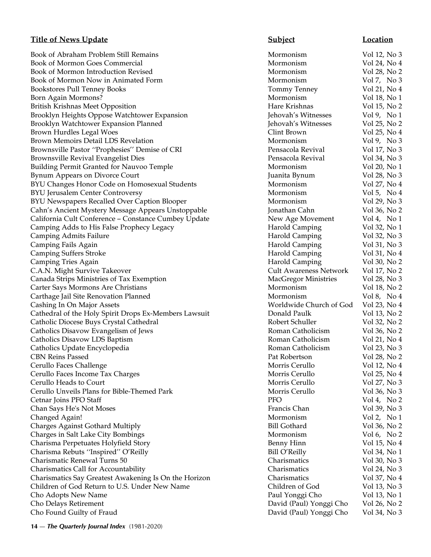Book of Abraham Problem Still Remains **Mormonism** Mormonism Vol 12, No 3 Book of Mormon Goes Commercial and Mormonism Mormonism Vol 24, No 4 Book of Mormon Introduction Revised Mormonism Normonism Vol 28, No 2 Book of Mormon Now in Animated Form Mormonism Mormonism Vol 7, No 3 Bookstores Pull Tenney Books Tommy Tenney Vol 21, No 4 Born Again Mormons? The Contract of the Mormonism Coleman and Vol 18, No 1 British Krishnas Meet Opposition **Figure 2018** 15, No 2 Brooklyn Heights Oppose Watchtower Expansion Jehovah's Witnesses Vol 9, No 1 Brooklyn Watchtower Expansion Planned Jehovah's Witnesses Vol 25, No 2 Brown Hurdles Legal Woes and the second second clint Brown Clint Brown Clint Brown Vol 25, No 4 Brown Memoirs Detail LDS Revelation **Mormonism** Mormonism Vol 9, No 3 Brownsville Pastor ''Prophesies'' Demise of CRI Pensacola Revival Vol 17, No 3 Brownsville Revival Evangelist Dies and Service Controller Pensacola Revival Controller Vol 34, No 3 Building Permit Granted for Nauvoo Temple Mormonism Mormonism Vol 20, No 1 Bynum Appears on Divorce Court **Court Court Court Count** Juanita Bynum Vol 28, No 3 BYU Changes Honor Code on Homosexual Students Mormonism Vol 27, No 4 BYU Jerusalem Center Controversy and the settlement of the Mormonism and Vol 5, No 4 BYU Newspapers Recalled Over Caption Blooper Mormonism Mormonism Vol 29, No 3 Cahn's Ancient Mystery Message Appears Unstoppable Jonathan Cahn Vol 36, No 2 California Cult Conference – Constance Cumbey Update New Age Movement Vol 4, No 1 Camping Adds to His False Prophecy Legacy **Harold Camping Vol 32, No 1** Camping Vol 32, No 1 Camping Admits Failure **Harold Camping Admits Failure** Harold Camping Vol 32, No 3 Camping Fails Again Harold Camping Vol 31, No 3 Camping Suffers Stroke **Harold Camping Suffers** Stroke Harold Camping Vol 31, No 4 Camping Tries Again **Fries Again Harold Camping Vol 30, No 2** and 200 and 200 and 200 and 200 and 200 and 200 and 200 and 200 and 200 and 200 and 200 and 200 and 200 and 200 and 200 and 200 and 200 and 200 and 200 and 20 C.A.N. Might Survive Takeover Cult Awareness Network Vol 17, No 2 Canada Strips Ministries of Tax Exemption MacGregor Ministries Mol 28, No 3 Carter Says Mormons Are Christians **Mormonism** Mormonism Vol 18, No 2 Carthage Jail Site Renovation Planned Mormonism Vol 8, No 4 Cashing In On Major Assets Worldwide Church of God Vol 23, No 4 Cathedral of the Holy Spirit Drops Ex-Members Lawsuit Donald Paulk Vol 13, No 2 Catholic Diocese Buys Crystal Cathedral Robert Schuller Vol 32, No 2 Catholics Disavow Evangelism of Jews Roman Catholicism Vol 36, No 2 Catholics Disavow LDS Baptism Roman Catholicism Vol 21, No 4 Catholics Update Encyclopedia Roman Catholicism Vol 23, No 3 CBN Reins Passed Pat Robertson Vol 28, No 2 Cerullo Faces Challenge Morris Cerullo Vol 12, No 4 Cerullo Faces Income Tax Charges Morris Cerullo Vol 25, No 4 Cerullo Heads to Court Morris Cerullo Vol 27, No 3 Cerullo Unveils Plans for Bible-Themed Park Morris Cerullo Morris Cerullo Vol 36, No 3 Cetnar Joins PFO Staff **PFO** Vol 4, No 2 Chan Says He's Not Moses Francis Chan Vol 39, No 3 Changed Again! Notice that the contract of the Mormonism Changed Again! Mormonism Vol 2, No 1 Charges Against Gothard Multiply Bill Gothard Vol 36, No 2 Charges in Salt Lake City Bombings The Charges in Salt Lake City Bombings The Charges in Salt Lake City Bombings Charisma Perpetuates Holyfield Story **Benny Hinn** Vol 15, No 4 Charisma Rebuts ''Inspired'' O'Reilly Bill O'Reilly Vol 34, No 1 Charismatic Renewal Turns 50 Charismatics Vol 30, No 3 Charismatics Call for Accountability Charismatics Vol 24, No 3 Charismatics Say Greatest Awakening Is On the Horizon Charismatics Vol 37, No 4 Children of God Return to U.S. Under New Name Children of God Vol 13, No 3 Cho Adopts New Name Paul Yonggi Cho Vol 13, No 1 Cho Delays Retirement David (Paul) Yonggi Cho Vol 26, No 2 Cho Found Guilty of Fraud David (Paul) Yonggi Cho Vol 34, No 3

# **Title of News Update Subject Subject Location**

**14** — *The Quarterly Journal Index* (1981-2020)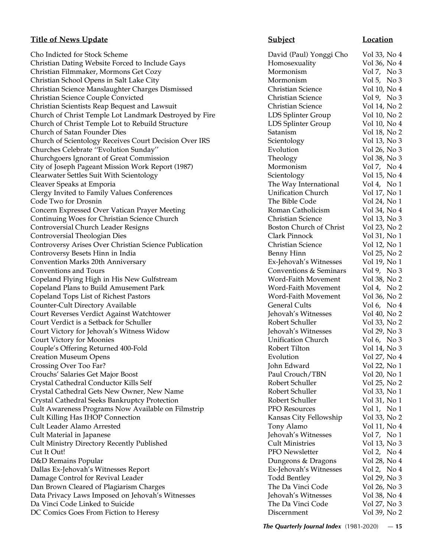Cho Indicted for Stock Scheme David (Paul) Yonggi Cho Vol 33, No 4 Christian Dating Website Forced to Include Gays **Homosexuality** Vol 36, No 4 Christian Filmmaker, Mormons Get Cozy Mormonism Vol 7, No 3 Christian School Opens in Salt Lake City Mormonism Mormonism Vol 5, No 3 Christian Science Manslaughter Charges Dismissed Christian Science Vol 10, No 4 Christian Science Couple Convicted Christian Science Vol 9, No 3 Christian Scientists Reap Bequest and Lawsuit Christian Science Vol 14, No 2 Church of Christ Temple Lot Landmark Destroyed by Fire LDS Splinter Group Vol 10, No 2 Church of Christ Temple Lot to Rebuild Structure LDS Splinter Group Vol 10, No 4 Church of Satan Founder Dies Satanism Vol 18, No 2 Church of Scientology Receives Court Decision Over IRS Scientology Vol 13, No 3 Churches Celebrate ''Evolution Sunday'' Evolution Vol 26, No 3 Churchgoers Ignorant of Great Commission Theology Theology Vol 38, No 3 City of Joseph Pageant Mission Work Report (1987) Mormonism Mormonism Vol 7, No 4 Clearwater Settles Suit With Scientology Scientology Vol 15, No 4 Cleaver Speaks at Emporia The Way International Vol 4, No 1 Clergy Invited to Family Values Conferences Unification Church Vol 17, No 1 Code Two for Drosnin The Bible Code Vol 24, No 1 Concern Expressed Over Vatican Prayer Meeting **Roman Catholicism** Vol 34, No 4 Continuing Woes for Christian Science Church Christian Science Vol 13, No 3 Controversial Church Leader Resigns Boston Church of Christ Vol 23, No 2 Controversial Theologian Dies Clark Pinnock Vol 31, No 1 Controversy Arises Over Christian Science Publication Christian Science Vol 12, No 1 Controversy Besets Hinn in India Benny Hinn Vol 25, No 2 Convention Marks 20th Anniversary Ex-Jehovah's Witnesses Vol 19, No 1 Conventions and Tours Conventions & Seminars Vol 9, No 3 Copeland Flying High in His New Gulfstream Word-Faith Movement Vol 38, No 2 Copeland Plans to Build Amusement Park Word-Faith Movement Vol 4, No 2 Copeland Tops List of Richest Pastors Word-Faith Movement Vol 36, No 2 Counter-Cult Directory Available General Cults Vol 6, No 4 Court Reverses Verdict Against Watchtower Jehovah's Witnesses Vol 40, No 2 Court Verdict is a Setback for Schuller Robert Schuller Vol 33, No 2 Court Victory for Jehovah's Witness Widow Jehovah's Witnesses Vol 29, No 3 Court Victory for Moonies Unification Church Vol 6, No 3 Couple's Offering Returned 400-Fold Robert Tilton Vol 14, No 3 Creation Museum Opens Evolution Vol 27, No 4 Crossing Over Too Far? The Crossing Over Too Far? John Edward Vol 22, No 1 Crouchs' Salaries Get Major Boost Paul Crouch/TBN Vol 20, No 1 Crystal Cathedral Conductor Kills Self Robert Schuller Vol 25, No 2 Crystal Cathedral Gets New Owner, New Name Robert Schuller Vol 33, No 1 Crystal Cathedral Seeks Bankruptcy Protection Robert Schuller Vol 31, No 1 Cult Awareness Programs Now Available on Filmstrip PFO Resources Vol 1, No 1 Cult Killing Has IHOP Connection Kansas City Fellowship Vol 33, No 2 Cult Leader Alamo Arrested Tony Alamo Vol 11, No 4 Cult Material in Japanese Jehovah's Witnesses Vol 7, No 1 Cult Ministry Directory Recently Published Cult Ministries Vol 13, No 3 Cut It Out! PFO Newsletter Vol 2, No 4 D&D Remains Popular Dungeons & Dragons Vol 28, No 4 Dallas Ex-Jehovah's Witnesses Report Ex-Jehovah's Witnesses Vol 2, No 4 Damage Control for Revival Leader Todd Bentley Vol 29, No 3 Dan Brown Cleared of Plagiarism Charges The Da Vinci Code Vol 26, No 3 Data Privacy Laws Imposed on Jehovah's Witnesses Jehovah's Witnesses Vol 38, No 4 Da Vinci Code Linked to Suicide The Da Vinci Code Vol 27, No 3 DC Comics Goes From Fiction to Heresy Discernment Vol 39, No 2

# **Title of News Update Subject Subject Location**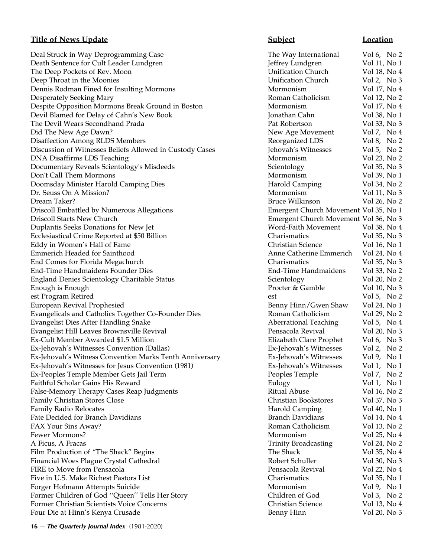## **Title of News Update Subject Subject Location**

Deal Struck in Way Deprogramming Case The Way International Vol 6, No 2 Death Sentence for Cult Leader Lundgren Jeffrey Lundgren Vol 11, No 1 The Deep Pockets of Rev. Moon **Volugation** Church Vol 18, No 4 Deep Throat in the Moonies<br>
Dennis Rodman Fined for Insulting Mormons<br>
Mormonism Vol 17, No 4 Dennis Rodman Fined for Insulting Mormons and Mormonism Mormonism Desperately Seeking Mary Roman Catholicism Vol 12, No 2 Despite Opposition Mormons Break Ground in Boston Mormonism Vol 17, No 4 Devil Blamed for Delay of Cahn's New Book Jonathan Cahn Vol 38, No 1 The Devil Wears Secondhand Prada **Prada** Pat Robertson Pat Robertson Vol 33, No 3 Did The New Age Dawn? New Age Movement Vol 7, No 4 Disaffection Among RLDS Members Reorganized LDS Vol 8, No 2 Discussion of Witnesses Beliefs Allowed in Custody Cases Jehovah's Witnesses Vol 5, No 2 DNA Disaffirms LDS Teaching **Mormonism** Vol 23, No 2 Documentary Reveals Scientology's Misdeeds Scientology Scientology Scientology Vol 35, No 3 Don't Call Them Mormons and the method of the Mormonism and Vol 39, No 1 Doomsday Minister Harold Camping Dies Harold Camping Vol 34, No 2 Dr. Seuss On A Mission? Mormonism Vol 11, No 3 Dream Taker? Bruce Wilkinson Vol 26, No 2 Driscoll Embattled by Numerous Allegations Emergent Church Movement Vol 35, No 1 Driscoll Starts New Church Emergent Church Movement Vol 36, No 3 Duplantis Seeks Donations for New Jet Word-Faith Movement Vol 38, No 4 Ecclesiastical Crime Reported at \$50 Billion Charismatics Vol 35, No 3 Eddy in Women's Hall of Fame Christian Science Vol 16, No 1 Emmerich Headed for Sainthood Anne Catherine Emmerich Vol 24, No 4 End Comes for Florida Megachurch Charismatics Vol 35, No 3 End-Time Handmaidens Founder Dies End-Time Handmaidens Vol 33, No 2 England Denies Scientology Charitable Status Scientology Scientology Vol 20, No 2 Enough is Enough **Enough 2008** Procter & Gamble Vol 10, No 3 est Program Retired est vol 5, No 2 European Revival Prophesied **Benny Hinn/Gwen Shaw** Vol 24, No 1 Evangelicals and Catholics Together Co-Founder Dies Roman Catholicism Vol 29, No 2 Evangelist Dies After Handling Snake Aberrational Teaching Vol 5, No 4 Evangelist Hill Leaves Brownsville Revival Pensacola Revival Vol 20, No 3 Ex-Cult Member Awarded \$1.5 Million Elizabeth Clare Prophet Vol 6, No 3 Ex-Jehovah's Witnesses Convention (Dallas)<br>
Ex-Jehovah's Witnesses Vol 2, No 2<br>
Ex-Jehovah's Witnesses Vol 9, No 1 Ex-Jehovah's Witness Convention Marks Tenth Anniversary Fig. 5. No 1976. The Ex-Jehovah's Witnesses Ex-Jehovah's Witnesses for Jesus Convention (1981) Ex-Jehovah's Witnesses Vol 1, No 1 Ex-Peoples Temple Member Gets Jail Term Peoples Temple Vol 7, No 2 Faithful Scholar Gains His Reward Eulogy Eulogy Vol 1, No 1 False-Memory Therapy Cases Reap Judgments **False-Memory Therapy Cases Reap Judgments** Vol 16, No 2 Family Christian Stores Close Christian Bookstores Vol 37, No 3 Family Radio Relocates **Harold Camping** Vol 40, No 1 Fate Decided for Branch Davidians Branch Davidians Branch Davidians Vol 14, No 4 FAX Your Sins Away? The Contract of the Contract Contract Roman Catholicism Vol 13, No 2 Fewer Mormons? The Mormonism College of the Mormonism College of the Mormonism College of the Vol 25, No 4 A Ficus, A Fracas **Volugation** Vol 24, No 2 Film Production of "The Shack" Begins The Shack The Shack Vol 35, No 4 Financial Woes Plague Crystal Cathedral **Robert Schuller** Robert Schuller Vol 30, No 3 FIRE to Move from Pensacola **Pensacola** Pensacola Revival Pensacola Revival Pensacola Revival Pensacola Revival Pensacola Revival Pensacola Revival Pensacola Revival Pensacola Revival Pensacola Revival Pensacola Revival Pe Five in U.S. Make Richest Pastors List Charismatics Vol 35, No 1 Forger Hofmann Attempts Suicide Mormonism Mormonism Vol 9, No 1 Former Children of God ''Queen'' Tells Her Story Children of God Vol 3, No 2 Former Christian Scientists Voice Concerns Christian Science Vol 13, No 4 Four Die at Hinn's Kenya Crusade Benny Hinn Vol 20, No 3

**16** — *The Quarterly Journal Index* (1981-2020)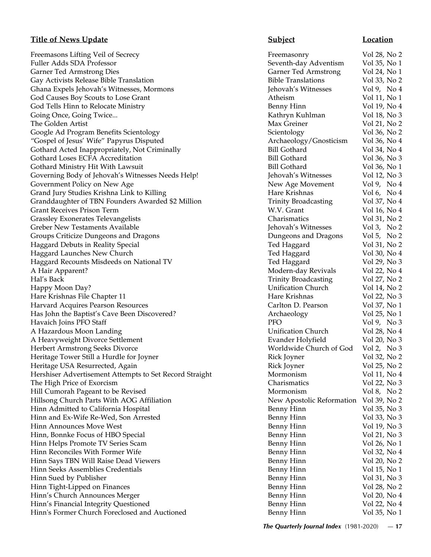# **Title of News Update Subject Location**

Freemasons Lifting Veil of Secrecy Fuller Adds SDA Professor Garner Ted Armstrong Dies Gay Activists Release Bible Translation Ghana Expels Jehovah's Witnesses, Mormons God Causes Boy Scouts to Lose Grant God Tells Hinn to Relocate Ministry Going Once, Going Twice... The Golden Artist Google Ad Program Benefits Scientology "Gospel of Jesus' Wife" Papyrus Disputed Gothard Acted Inappropriately, Not Criminally Gothard Loses ECFA Accreditation Gothard Ministry Hit With Lawsuit Governing Body of Jehovah's Witnesses Needs Help! Government Policy on New Age Grand Jury Studies Krishna Link to Killing Granddaughter of TBN Founders Awarded \$2 Million Grant Receives Prison Term Grassley Exonerates Televangelists Greber New Testaments Available Groups Criticize Dungeons and Dragons Haggard Debuts in Reality Special Haggard Launches New Church Haggard Recounts Misdeeds on National TV A Hair Apparent? Hal's Back Trinity Broadcasting Vol 27, No 2 Happy Moon Day? Hare Krishnas File Chapter 11 Harvard Acquires Pearson Resources Has John the Baptist's Cave Been Discovered? Havaich Joins PFO Staff A Hazardous Moon Landing A Heavyweight Divorce Settlement Herbert Armstrong Seeks Divorce Heritage Tower Still a Hurdle for Joyner Heritage USA Resurrected, Again Hershiser Advertisement Attempts to Set Record Straight The High Price of Exorcism Hill Cumorah Pageant to be Revised Hillsong Church Parts With AOG Affiliation Hinn Admitted to California Hospital Hinn and Ex-Wife Re-Wed, Son Arrested Hinn Announces Move West Hinn, Bonnke Focus of HBO Special Hinn Helps Promote TV Series Scam Hinn Reconciles With Former Wife Hinn Says TBN Will Raise Dead Viewers Hinn Seeks Assemblies Credentials Hinn Sued by Publisher Hinn Tight-Lipped on Finances Hinn's Church Announces Merger Hinn's Financial Integrity Questioned Hinn's Former Church Foreclosed and Auctioned

| Freemasonry                 | Vol 28, No 2  |
|-----------------------------|---------------|
| Seventh-day Adventism       | Vol 35, No 1  |
| <b>Garner Ted Armstrong</b> | Vol 24, No 1  |
| <b>Bible Translations</b>   | Vol 33, No 2  |
| Jehovah's Witnesses         | Vol 9, No 4   |
| Atheism                     | Vol 11, No 1  |
| Benny Hinn                  | Vol 19, No 4  |
| Kathryn Kuhlman             | Vol 18, No 3  |
| Max Greiner                 | Vol 21, No 2  |
| Scientology                 | Vol 36, No 2  |
| Archaeology/Gnosticism      | Vol 36, No 4  |
| <b>Bill Gothard</b>         | Vol 34, No 4  |
| <b>Bill Gothard</b>         | Vol 36, No 3  |
| <b>Bill Gothard</b>         | Vol 36, No 1  |
| Jehovah's Witnesses         | Vol 12, No 3  |
| New Age Movement            | Vol 9, No 4   |
| Hare Krishnas               | Vol 6, No 4   |
| <b>Trinity Broadcasting</b> | Vol 37, No 4  |
| W.V. Grant                  |               |
|                             | Vol 16, No 4  |
| Charismatics                | Vol 31, No 2  |
| Jehovah's Witnesses         | Vol 3, No $2$ |
| Dungeons and Dragons        | Vol 5, No $2$ |
| Ted Haggard                 | Vol 31, No 2  |
| Ted Haggard                 | Vol 30, No 4  |
| Ted Haggard                 | Vol 29, No 3  |
| Modern-day Revivals         | Vol 22, No 4  |
| <b>Trinity Broadcasting</b> | Vol 27, No 2  |
| <b>Unification Church</b>   | Vol 14, No 2  |
| Hare Krishnas               | Vol 22, No 3  |
| Carlton D. Pearson          | Vol 37, No 1  |
| Archaeology                 | Vol 25, No 1  |
| <b>PFO</b>                  | Vol 9, No $3$ |
| <b>Unification Church</b>   | Vol 28, No 4  |
| Evander Holyfield           | Vol 20, No 3  |
| Worldwide Church of God     | Vol 2, No 3   |
| Rick Joyner                 | Vol 32, No 2  |
| Rick Joyner                 | Vol 25, No 2  |
| Mormonism                   | Vol 11, No 4  |
| Charismatics                | Vol 22, No 3  |
| Mormonism                   | Vol 8, No 2   |
| New Apostolic Reformation   | Vol 39, No 2  |
| Benny Hinn                  | Vol 35, No 3  |
| Benny Hinn                  | Vol 33, No 3  |
|                             |               |
| <b>Benny Hinn</b>           | Vol 19, No 3  |
| <b>Benny Hinn</b>           | Vol 21, No 3  |
| <b>Benny Hinn</b>           | Vol 26, No 1  |
| <b>Benny Hinn</b>           | Vol 32, No 4  |
| <b>Benny Hinn</b>           | Vol 20, No 2  |
| <b>Benny Hinn</b>           | Vol 15, No 1  |
| <b>Benny Hinn</b>           | Vol 31, No 3  |
| <b>Benny Hinn</b>           | Vol 28, No 2  |
| <b>Benny Hinn</b>           | Vol 20, No 4  |
| <b>Benny Hinn</b>           | Vol 22, No 4  |
| <b>Benny Hinn</b>           | Vol 35, No 1  |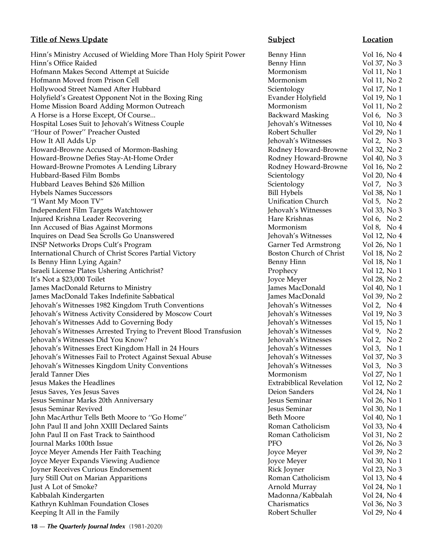# **Title of News Update Subject Subject Location**

Hinn's Ministry Accused of Wielding More Than Holy Spirit Power Benny Hinn Vol 16, No 4 Hinn's Office Raided **Benny Hinn** Vol 37, No 3 Hofmann Makes Second Attempt at Suicide Mormonism Mormonism Vol 11, No 1 Hofmann Moved from Prison Cell **Mormonism** Vol 11, No 2 Hollywood Street Named After Hubbard Scientology Vol 17, No 1 Holyfield's Greatest Opponent Not in the Boxing Ring Evander Holyfield Vol 19, No 1 Home Mission Board Adding Mormon Outreach Mormonism Mormonism Vol 11, No 2 A Horse is a Horse Except, Of Course... Backward Masking Vol 6, No 3 Hospital Loses Suit to Jehovah's Witness Couple Jehovah's Witnesses Vol 10, No 4 ''Hour of Power'' Preacher Ousted Robert Schuller Vol 29, No 1 How It All Adds Up Jehovah's Witnesses Vol 2, No 3 Howard-Browne Accused of Mormon-Bashing Rodney Howard-Browne Vol 32, No 2 Howard-Browne Defies Stay-At-Home Order Rodney Howard-Browne Vol 40, No 3 Howard-Browne Promotes A Lending Library **Rodney Howard-Browne** Vol 16, No 2 Hubbard-Based Film Bombs Scientology Vol 20, No 4 Hubbard Leaves Behind \$26 Million Scientology Scientology Vol 7, No 3 Hybels Names Successors Bill Hybels Vol 38, No 1 "I Want My Moon TV" Unification Church Vol 5, No 2 Independent Film Targets Watchtower Jehovah's Witnesses Vol 33, No 3 Injured Krishna Leader Recovering The Contract of the Hare Krishnas No 16, No 2 Inn Accused of Bias Against Mormons Mormonism Mormonism Vol 8, No 4 Inquires on Dead Sea Scrolls Go Unanswered Jehovah's Witnesses Vol 12, No 4 INSP Networks Drops Cult's Program Garner Ted Armstrong Vol 26, No 1 International Church of Christ Scores Partial Victory Boston Church of Christ Vol 18, No 2 Is Benny Hinn Lying Again? **Benny Hinn** Vol 18, No 1 Israeli License Plates Ushering Antichrist? Prophecy Vol 12, No 1 It's Not a \$23,000 Toilet Joyce Meyer Vol 28, No 2 James MacDonald Returns to Ministry James MacDonald Vol 40, No 1 James MacDonald Takes Indefinite Sabbatical James MacDonald Vol 39, No 2 Jehovah's Witnesses 1982 Kingdom Truth Conventions Jehovah's Witnesses Vol 2, No 4 Jehovah's Witness Activity Considered by Moscow Court Jehovah's Witnesses Vol 19, No 3 Jehovah's Witnesses Add to Governing Body Jehovah's Witnesses Vol 15, No 1 Jehovah's Witnesses Arrested Trying to Prevent Blood Transfusion Jehovah's Witnesses Vol 9, No 2 Jehovah's Witnesses Did You Know? Jehovah's Witnesses Vol 2, No 2 Jehovah's Witnesses Erect Kingdom Hall in 24 Hours Jehovah's Witnesses Vol 3, No 1 Jehovah's Witnesses Fail to Protect Against Sexual Abuse Jehovah's Witnesses Vol 37, No 3 Jehovah's Witnesses Kingdom Unity Conventions Jehovah's Witnesses Vol 3, No 3 Jerald Tanner Dies Mormonism Vol 27, No 1 Jesus Makes the Headlines Extrabiblical Revelation Vol 12, No 2 Jesus Saves, Yes Jesus Saves Deion Sanders Vol 24, No 1 Jesus Seminar Marks 20th Anniversary Jesus Seminar Vol 26, No 1 Jesus Seminar Revived Jesus Seminar Vol 30, No 1 John MacArthur Tells Beth Moore to ''Go Home'' Beth Moore Vol 40, No 1 John Paul II and John XXIII Declared Saints **Roman Catholicism** Vol 33, No 4 John Paul II on Fast Track to Sainthood Roman Catholicism Vol 31, No 2 Journal Marks 100th Issue PFO Vol 26, No 3 Joyce Meyer Amends Her Faith Teaching The Control of American Control of American Control of American Joyce Meyer Vol 39, No 2 Joyce Meyer Expands Viewing Audience Joyce Meyer Vol 30, No 1 Joyner Receives Curious Endorsement Rick Joyner Vol 23, No 3 Jury Still Out on Marian Apparitions Roman Catholicism Vol 13, No 4 Just A Lot of Smoke? Arnold Murray Vol 24, No 1 Kabbalah Kindergarten Madonna/Kabbalah Mol 24, No 4 Kathryn Kuhlman Foundation Closes Charismatics Vol 36, No 3 Keeping It All in the Family **Keeping It All in the Family** Robert Schuller *Vol 29*, No 4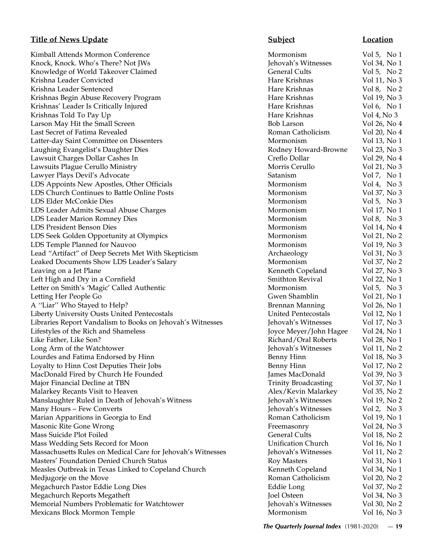Kimball Attends Mormon Conference **Mormonism** Vol 5, No 1 Knock, Knock, Who's There? Not IWs Jehovah's Witnesses Vol 34, No 1 Knowledge of World Takeover Claimed General Cults General Cults Vol 5, No 2 Krishna Leader Convicted **Hare Krishnas** Vol 11, No 3 Krishna Leader Sentenced Hare Krishnas Vol 8, No 2 Krishnas Begin Abuse Recovery Program New York 19, 2008 Hare Krishnas Hare Krishnas Vol 19, No 300 Hare Krishnas Krishnas' Leader Is Critically Injured **Hare Krishnas** Vol 6, No 1 Krishnas Told To Pay Up **Hare Krishnas** Vol 4, No 3 Larson May Hit the Small Screen Bob Larson Bob Larson Vol 26, No 4 Last Secret of Fatima Revealed Roman Catholicism Vol 20, No 4 Latter-day Saint Committee on Dissenters and American Commonism and Vol 13, No 1 Laughing Evangelist's Daughter Dies Rodney Howard-Browne Vol 23, No 3 Lawsuit Charges Dollar Cashes In Creflo Dollar Vol 29, No 4 Lawsuits Plague Cerullo Ministry Morris Cerullo Vol 21, No 3 Lawyer Plays Devil's Advocate Satanism Vol 7, No 1 LDS Appoints New Apostles, Other Officials Mormonism Mormonism Vol 4, No 3 LDS Church Continues to Battle Online Posts Mormonism Vol 37, No 3 LDS Elder McConkie Dies Mormonism Vol 5, No 3 LDS Leader Admits Sexual Abuse Charges Mormonism Vol 17, No 1 LDS Leader Marion Romney Dies and the Mormonism Mormonism vol 8, No 3 LDS President Benson Dies Mormonism Vol 14, No 4 LDS Seek Golden Opportunity at Olympics Mormonism Mormonism Vol 21, No 2 LDS Temple Planned for Nauvoo **Mormonism** Vol 19, No 3 Lead "Artifact" of Deep Secrets Met With Skepticism Archaeology Vol 31, No 3 Leaked Documents Show LDS Leader's Salary Mormonism Vol 37, No 2 Leaving on a Jet Plane **Kenneth Copeland** Vol 27, No 3 Left High and Dry in a Cornfield Smithton Revival Vol 22, No 1 Letter on Smith's 'Magic' Called Authentic Mormonism Mormonism Vol 5, No 3 Letting Her People Go Gwen Shamblin Vol 21, No 1 A "Liar" Who Stayed to Help? Brennan Manning Vol 26, No 1 Liberty University Ousts United Pentecostals United Pentecostals Vol 12, No 1 Libraries Report Vandalism to Books on Jehovah's Witnesses Jehovah's Witnesses Vol 17, No 3 Lifestyles of the Rich and Shameless Joyce Meyer/John Hagee Vol 24, No 1 Like Father, Like Son? Richard/Oral Roberts Vol 28, No 1 Long Arm of the Watchtower Jehovah's Witnesses Vol 11, No 2 Lourdes and Fatima Endorsed by Hinn Benny Hinn Vol 18, No 3 Loyalty to Hinn Cost Deputies Their Jobs **Benny Hinn** Vol 17, No 2 MacDonald Fired by Church He Founded **Fired by Church He Founded** James MacDonald Vol 39, No 3 Major Financial Decline at TBN Trinity Broadcasting Vol 37, No 1 Malarkey Recants Visit to Heaven Alex/Kevin Malarkey Alex/Kevin Malarkey Alex Vol 35, No 2 Manslaughter Ruled in Death of Jehovah's Witness Jehovah's Witnesses Vol 19, No 2 Many Hours – Few Converts Jehovah's Witnesses Vol 2, No 3 Marian Apparitions in Georgia to End **Roman Catholicism** Roman Catholicism Vol 19, No 1 Masonic Rite Gone Wrong **Freemasonry Freemasonry** Vol 24, No 3 Mass Suicide Plot Foiled **General Cults** General Cults **Vol 18**, No 2 Mass Wedding Sets Record for Moon Unification Church Vol 16, No 1 Massachusetts Rules on Medical Care for Jehovah's Witnesses Jehovah's Witnesses Vol 11, No 2 Masters' Foundation Denied Church Status Roy Masters Vol 31, No 1 Measles Outbreak in Texas Linked to Copeland Church Kenneth Copeland Vol 34, No 1 Medjugorje on the Move **Roman Catholicism** Vol 20, No 2 Megachurch Pastor Eddie Long Dies **Eddie Long Eddie Long** Vol 37, No 2 Megachurch Reports Megatheft Joel Osteen Vol 34, No 3 Memorial Numbers Problematic for Watchtower Jehovah's Witnesses Vol 30, No 2 Mexicans Block Mormon Temple **Mormonism** Mormonism Vol 16, No 3

# **Title of News Update Subject Location**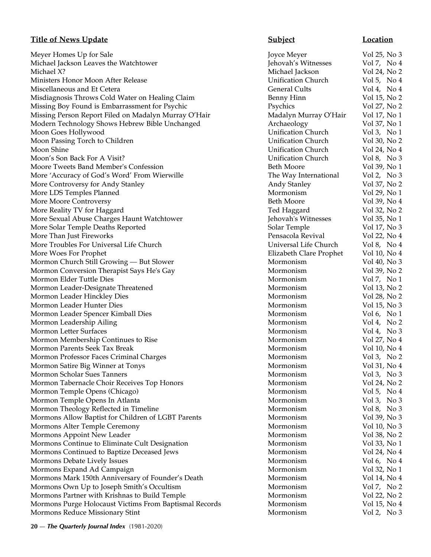# **Title of News Update Subject Location**

Meyer Homes Up for Sale Joyce Meyer Meyer Meyer Meyer Joyce Meyer Vol 25, No 35, No 35, No 35, No 35, No 35, No 35, No 35, No 35, No 35, No 35, No 36, No 37, No 37, No 37, No 37, No 37, No 37, No 37, No 37, No 37, No 37, N Michael Jackson Leaves the Watchtower Jehovah Jehovah Jehovah Jehovah Jehovah Jehovah Jehovah Jehovah Jehovah Michael X? Michael Jackson Vol 24, No 2 Ministers Honor Moon After Release Units Church Vol 5, No 5, No 5, No 5, No 5, No 5, No 5, No 5, No 5, No 5, N Miscellaneous and Et Cetera General Cults Vol 4, No 4, No 4, No 4, No 4, No 4, No 4, No 4, No 4, No 4, No 4, No 4, No 4, No 4, No 4, No 4, No 4, No 4, No 4, No 4, No 4, No 4, No 4, No 4, No 4, No 4, No 4, No 4, No 4, No 4, Misdiagnosis Throws Cold Water on Healing Claim Missing Boy Found is Embarrassment for Psychic Psychic Psychic Psychology Psychology Psychics Vol 27, No 27, No 27, No 27, No 27, No 27, No 27, No 27, No 27, No 27, No 27, No 27, No 27, No 27, No 27, No 27, No 27, No 27, N Missing Person Report Filed on Madalyn Murray O'Hair Matalyn Murray O'Hair Modern Technology Shows Hebrew Bible Unchanged Moon Goes Hollywood Unification Church Vol 3, No 1, No 1, No 1, No 1, No 1, No 1, No 1, No 1, No 1, No 1, No 1, No 1, No 1, No 1, No 1, No 1, No 1, No 1, No 1, No 1, No 1, No 1, No 1, No 1, No 1, No 1, No 1, No 1, No 1, No Moon Passing Torch to Children United Vol 30, No 20, No 20, No 20, No 20, No 20, No 20, No 20, No 20, No 20, N Moon Shine Unification Church Vol 24, No 4 Moon's Son Back For A Visit? United Vol 8, No 3, No 3, No 3, No 3, No 3, No 3, No 3, No 3, No 3, No 3, No 3, N Moore Tweets Band Member's Confession Beth Moore Vol 30, No 1996 More 'Accuracy of God's Word' From Wierwille More Controversy for Andy Stanley Andy 37, No 27, No 27, No 27, No 27, No 27, No 27, No 27, No 27, No 27, No 27, No 27, No 27, No 27, No 27, No 27, No 27, No 27, No 27, No 27, No 27, No 27, No 27, No 27, No 27, No 27, No 2 More LDS Temples Planned More 20, No 1999 More 20, No 1999 More 20, No 1999 More 20, No 1999 More 20, No 1999 M More Moore Controversy Beth Moore Vol 39, No 49, No 49, No 49, No 49, No 49, No 49, No 49, No 49, No 49, No 49, No 49, No 49, No 49, No 49, No 49, No 49, No 49, No 49, No 49, No 49, No 49, No 49, No 49, No 49, No 49, No 49 More Reality TV for Haggard More Sexual Abuse Charges Haunt Watchtower Jehoval 35, No 15, No 15, No 15, No 15, No 15, No 15, No 15, No 15, N More Solar Temple Deaths Reported Solar Temple Vol 17, No 37, No 37, No 37, No 37, No 37, No 37, No 37, No 37, No 37, No 37, No 37, No 37, No 37, No 37, No 37, No 37, No 37, No 37, No 37, No 37, No 37, No 37, No 37, No 37, More Than Just Fireworks **Pensacola Review Assessment Review** Pensacola Review Pensacola Review Pensacola Review P More Troubles For Universal Life Church Vol 8, No 4, No 4, No 4, No 4, No 4, No 4, No 4, No 4, No 4, No 4, No 4, No 4, No 4, No 4, No 4, No 4, No 4, No 4, No 4, No 4, No 4, No 4, No 4, No 4, No 4, No 4, No 4, No 4, No 4, N More Woes For Prophet **Elizabeth Clare Prophet** I Mormon Church Still Growing — But Slower Mormonism Vol 40, No 30, No 30, No 30, No 30, No 30, No 30, No 30, No 30, No 30, No 30, No 30, No 30, No 30, No 30, No 30, No 40, No 40, No 40, No 40, No 40, No 40, No 40, No 40, No Mormon Conversion Therapist Says He's Gay Mormonic 30, No 2014 Mormon Elder Tuttle Dies Mormonism Vol 7, No 1, No 1, No 1, No 1, No 1, No 1, No 1, No 1, No 1, No 1, No 1, No 1, No 1, No 1, No 1, No 1, No 1, No 1, No 1, No 1, No 1, No 1, No 1, No 1, No 1, No 1, No 1, No 1, No 1, No 1, Mormon Leader-Designate Threatened Mormonism Vol 13, No 23, No 23, No 23, No 23, No 23, No 23, No 23, No 23, N Mormon Leader Hinckley Dies Mormonism Vol 28, No 28, No 28, No 28, No 28, No 28, No 28, No 28, No 28, No 28, N Mormon Leader Hunter Dies Mormonism Vol 15, No 3, No 3, No 3, No 3, No 3, No 3, No 3, No 3, No 3, No 3, No 3, N Mormon Leader Spencer Kimball Dies Mormonism Vol 6, No 1976 Mormon Leadership Ailing Mormonism Vol 4, No 2, No 2, No 2, No 2, No 2, No 2, No 2, No 2, No 2, No 2, No 2, No 2, No 2, No 2, No 2, No 2, No 2, No 2, No 2, No 2, No 2, No 2, No 2, No 2, No 2, No 2, No 2, No 2, No 2, No 2, Mormon Letter Surfaces Mormonism Vol 4, No 3, No 4, No 4, No 4, No 4, No 4, No 4, No 4, No 4, No 4, No 4, No 4, No 4, No 4, No 4, No 4, No 4, No 4, No 4, No 4, No 4, No 4, No 4, No 4, No 4, No 4, No 4, No 4, No 4, No 4, No Mormon Membership Continues to Rise Mormonism Vol 27, No 47, No 47, No 47, No 47, No 47, No 47, No 47, No 47, No 47, No 47, No 47, No 47, No 47, No 47, No 47, No 47, No 47, No 47, No 47, No 47, No 47, No 47, No 47, No 47, Mormon Parents Seek Tax Break Mormonism Vol 10, No 40, No 40, No 40, No 40, No 40, No 40, No 40, No 40, No 40, No 40, No 40, No 40, No 40, No 40, No 40, No 40, No 40, No 40, No 40, No 40, No 40, No 40, No 40, No 40, No 40, Mormon Professor Faces Criminal Charges Mormonism Vol 3, No 2, No 2, No 2, No 2, No 2, No 2, No 2, No 2, No 2, No 2, No 2, No 2, No 2, No 2, No 2, No 2, No 2, No 2, No 2, No 2, No 2, No 2, No 2, No 2, No 2, No 2, No 2, No Mormon Satire Big Winner at Tonys Mormonism Voltaire State 1 and 31, No 41, No 41, No 41, No 41, No 41, No 41, No 41, No 41, No 41, No 41, No 41, No 41, No 41, No 41, No 41, No 41, No 41, No 41, No 41, No 41, No 41, No 41, Mormon Scholar Sues Tanners Mormonism Vol 3, No 3, No 3, No 3, No 3, No 3, No 3, No 3, No 3, No 3, No 3, No 3, No 3, No 3, No 3, No 3, No 3, No 3, No 3, No 3, No 3, No 3, No 3, No 3, No 3, No 3, No 3, No 3, No 3, No 3, No Mormon Tabernacle Choir Receives Top Honors Mormonism Vol 24, No 24, No 24, No 24, No 24, No 24, No 24, No 24, No 24, No 24, No 24, No 24, No 24, No 24, No 24, No 24, No 25, No 25, No 25, No 25, No 25, No 25, No 25, No 25, Mormon Temple Opens (Chicago) Mormonism Vol 5, No 5, No 5, No 5, No 5, No 5, No 5, No 5, No 5, No 5, No 5, No 5, No 5, No 5, No 5, No 5, No 5, No 5, No 5, No 5, No 5, No 5, No 5, No 5, No 5, No 5, No 5, No 5, No 5, No 5, N Mormon Temple Opens In Atlanta Mormonism Vol 3, No 3, No 3, No 3, No 3, No 3, No 3, No 3, No 3, No 3, No 3, No 3, No 3, No 3, No 3, No 3, No 3, No 3, No 3, No 3, No 3, No 3, No 3, No 3, No 3, No 3, No 3, No 3, No 3, No 3, Mormon Theology Reflected in Timeline Mormonism Voltage Mormonism Vol 8, No 3, No 3, No 3, No 3, No 3, No 3, No 3, No 3, No 3, No 3, No 3, No 3, No 3, No 3, No 3, No 3, No 3, No 3, No 3, No 3, No 3, No 3, No 3, No 3, No 3, Mormons Allow Baptist for Children of LGBT Parents Mormons Allow Baptist for Children of LGBT Parents Mormons Alter Temple Ceremony Mormonism Vol 10, No 3 Mormons Appoint New Leader Mormonism Vol 38, No 28, No 28, No 28, No 28, No 28, No 28, No 28, No 28, No 28, No 28, No 28, No 28, No 28, No 28, No 28, No 28, No 28, No 28, No 28, No 28, No 28, No 28, No 28, No 28, No 28, No Mormons Continue to Eliminate Cult Designation Mormons Continue to Eliminate Cult Designation Mormons Continued to Baptize Deceased Jews Mormons Vol 24, No 44, No 44, No 44, No 44, No 44, No 44, No 44, No 44, No 44, No 44, No 44, No 44, No 44, No 44, No 44, No 44, No 44, No 44, No 44, No 44, No 44, No 44, No 44, No Mormons Debate Lively Issues Mormonism Vol 6, No 4, No 4, No 4, No 4, No 4, No 4, No 4, No 4, No 4, No 4, No 4, No 4, No 4, No 4, No 4, No 4, No 4, No 4, No 4, No 4, No 4, No 4, No 4, No 4, No 4, No 4, No 4, No 4, No 4, No Mormons Expand Ad Campaign Mormonism Vol 32, No 1976 Mormons Mark 150th Anniversary of Founder's Death Mormons Mark 150th Anniversary of Founder's Death Mormons Own Up to Joseph Smith's Occultism Mormons Own V Mormons Partner with Krishnas to Build Temple Mormons Partner with Krishnas to Build Temple Mormons Purge Holocaust Victims From Baptismal Records Mormons Purge 4 Mormons Reduce Missionary Stint Mormonism Vol 2, No 3, No 3, No 3, No 3, No 3, No 3, No 3, No 3, No 3, No 3, No 3, No 3, No 3, No 3, No 3, No 3, No 3, No 3, No 3, No 3, No 3, No 3, No 3, No 3, No 3, No 3, No 3, No 3, No 3,

| oyce Meyer              | Vol 25, No 3                |  |  |
|-------------------------|-----------------------------|--|--|
| ehovah's Witnesses      | Vol 7, No 4                 |  |  |
| Michael Jackson         | Vol 24, No 2                |  |  |
| Jnification Church      | Vol 5, No $4$               |  |  |
| General Cults           | Vol 4, No $4$               |  |  |
| Benny Hinn              | Vol 15, No 2                |  |  |
| <sup>2</sup> sychics    | Vol 27, No 2                |  |  |
| Madalyn Murray O'Hair   | Vol 17, No 1                |  |  |
| Archaeology             | Vol 37, No 1                |  |  |
| Jnification Church      | Vol 3, No $1$               |  |  |
| Jnification Church      | Vol 30, No 2                |  |  |
| Jnification Church      | Vol 24, No 4                |  |  |
| Jnification Church      | Vol 8, No 3                 |  |  |
| Beth Moore              | Vol 39, No 1                |  |  |
| The Way International   | Vol 2, No 3                 |  |  |
| <b>Andy Stanley</b>     | Vol 37, No 2                |  |  |
| Mormonism               | Vol 29, No 1                |  |  |
| Beth Moore              | Vol 39, No 4                |  |  |
| Fed Haggard             | Vol 32, No 2                |  |  |
| ehovah's Witnesses      | Vol 35, No 1                |  |  |
| Solar Temple            | Vol 17, No 3                |  |  |
| Pensacola Revival       | Vol 22, No 4                |  |  |
| Jniversal Life Church   | Vol 8, No 4                 |  |  |
| Elizabeth Clare Prophet | Vol 10, No 4                |  |  |
| Mormonism               | Vol 40, No 3                |  |  |
| Mormonism               |                             |  |  |
| Mormonism               | Vol 39, No 2<br>Vol 7, No 1 |  |  |
| Mormonism               | Vol 13, No 2                |  |  |
|                         |                             |  |  |
| Mormonism               | Vol 28, No 2                |  |  |
| Mormonism               | Vol 15, No 3                |  |  |
| Mormonism               | Vol 6, No $1$               |  |  |
| Mormonism<br>Mormonism  | Vol 4, No 2<br>Vol 4, No 3  |  |  |
|                         |                             |  |  |
| Mormonism<br>Mormonism  | Vol 27, No 4                |  |  |
|                         | Vol 10, No 4                |  |  |
| Mormonism               | Vol 3, No 2                 |  |  |
| Mormonism               | Vol 31, No 4                |  |  |
| Mormonism               | Vol 3, No 3                 |  |  |
| Mormonism               | Vol 24, No 2                |  |  |
| Mormonism               | Vol 5, No 4                 |  |  |
| Mormonism               | Vol 3, No 3                 |  |  |
| Mormonism               | Vol 8, No 3                 |  |  |
| Mormonism               | Vol 39, No 3                |  |  |
| Mormonism               | Vol 10, No 3                |  |  |
| Mormonism               | Vol 38, No 2                |  |  |
| Mormonism               | Vol 33, No 1                |  |  |
| Mormonism               | Vol 24, No 4                |  |  |
| Mormonism               | Vol 6, No $4$               |  |  |
| Mormonism               | Vol 32, No 1                |  |  |
| Mormonism               | Vol 14, No 4                |  |  |
| Mormonism               | Vol 7, No 2                 |  |  |
| Mormonism               | Vol 22, No 2                |  |  |
| Mormonism               | Vol 15, No 4                |  |  |
| Mormonism               | Vol 2, No $3$               |  |  |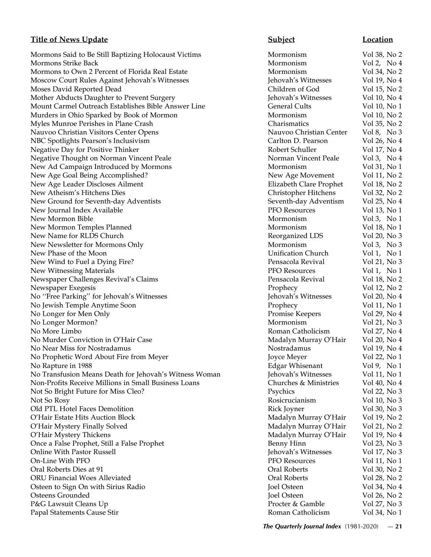Mormons Said to Be Still Baptizing Holocaust Victims Mormonism Mormonism Vol 38, No 2 Mormons Strike Back and the Mormonism and Mormonism and Vol 2, No 4 Mormons to Own 2 Percent of Florida Real Estate Mormonism Vol 34, No 2 Moscow Court Rules Against Jehovah's Witnesses Jehovah's Witnesses Vol 19, No 4 Moses David Reported Dead Children of God Vol 15, No 2 Mother Abducts Daughter to Prevent Surgery The Motor Surgery Jehovah's Witnesses Vol 10, No 4 Mount Carmel Outreach Establishes Bible Answer Line General Cults Vol 10, No 1 Murders in Ohio Sparked by Book of Mormon Mormonism Vol 10, No 2 Myles Munroe Perishes in Plane Crash Charismatics Vol 35, No 2 Nauvoo Christian Visitors Center Opens Nauvoo Christian Center Vol 8, No 3 NBC Spotlights Pearson's Inclusivism Carlton D. Pearson Vol 26, No 4 Negative Day for Positive Thinker Robert Schuller Robert Schuller Robert Schuller Vol 17, No 4 Negative Thought on Norman Vincent Peale Norman Vincent Peale Vol 3, No 4 New Ad Campaign Introduced by Mormons Mormonism Mormonism Vol 31, No 1 New Age Goal Being Accomplished? New Age Movement Vol 11, No 2 New Age Leader Discloses Ailment **Elizabeth Clare Prophet** Vol 18, No 2 New Atheism's Hitchens Dies Christopher Hitchens Vol 32, No 2 New Ground for Seventh-day Adventists Seventh-day Adventism Vol 25, No 4 New Journal Index Available PFO Resources Vol 13, No 1 New Mormon Bible **Mormonism** Vol 3, No 1 New Mormon Temples Planned and Mormonism and Mormonism and Vol 18, No 1 New Name for RLDS Church **Reorganized LDS** Vol 20, No 3 New Newsletter for Mormons Only **Notifiant Control** Mormonism **Mormonism** Vol 3, No 3 New Phase of the Moon **New Phase of the Moon** Church Vol 1, No 1 New Wind to Fuel a Dying Fire? The Pensacola Revival Collection of the Vol 21, No 3 New Witnessing Materials **PFO Resources** Vol 1, No 1 Newspaper Challenges Revival's Claims **Pensacola Revival Claims** Pensacola Revival Vol 18, No 2 Newspaper Exegesis Prophecy Vol 12, No 2 No ''Free Parking'' for Jehovah's Witnesses Jehovah's Witnesses Vol 20, No 4 No Jewish Temple Anytime Soon Prophecy Vol 11, No 1 No Longer for Men Only Promise Keepers Vol 29, No 4 No Longer Mormon? Mormonism Mormonism Vol 21, No 3 No More Limbo **Roman Catholicism** Vol 27, No 4 No Murder Conviction in O'Hair Case **Madalyn Murray O'Hair** Vol 20, No 4 No Near Miss for Nostradamus Nostradamus Nostradamus Nostradamus Vol 19, No 4 No Prophetic Word About Fire from Meyer Joyce Meyer Vol 22, No 1 No Rapture in 1988 Edgar Whisenant Vol 9, No 1 No Transfusion Means Death for Jehovah's Witness Woman Jehovah's Witnesses Vol 11, No 1 Non-Profits Receive Millions in Small Business Loans Churches & Ministries Vol 40, No 4 Not So Bright Future for Miss Cleo? Psychics Vol 22, No 3 Not So Rosy Rosicrucianism Vol 10, No 3 Old PTL Hotel Faces Demolition and the set of the Rick Joyner and Vol 30, No 3 O'Hair Estate Hits Auction Block Madalyn Murray O'Hair Vol 19, No 2 O'Hair Mystery Finally Solved **Matagazia Solved** Madalyn Murray O'Hair Vol 21, No 2 O'Hair Mystery Thickens **Matalyn Murray O'Hair** Vol 19, No 4 Once a False Prophet, Still a False Prophet **Benny Hinn** Vol 23, No 3 Online With Pastor Russell Jehovah's Witnesses Vol 17, No 3 On-Line With PFO **PEO Resources** Vol 11, No 1 Oral Roberts Dies at 91 Oral Roberts Vol 30, No 2 ORU Financial Woes Alleviated Oral Roberts Vol 28, No 2 Osteen to Sign On with Sirius Radio **Sign On With Sirius Radio** Joel Osteen Vol 34, No 4 Osteens Grounded Joel Osteen Vol 26, No 2 P&G Lawsuit Cleans Up **Proceed Access 2008** Procter & Gamble Vol 27, No 3 Papal Statements Cause Stir Roman Catholicism Vol 34, No 1

# **Title of News Update Subject Subject Location**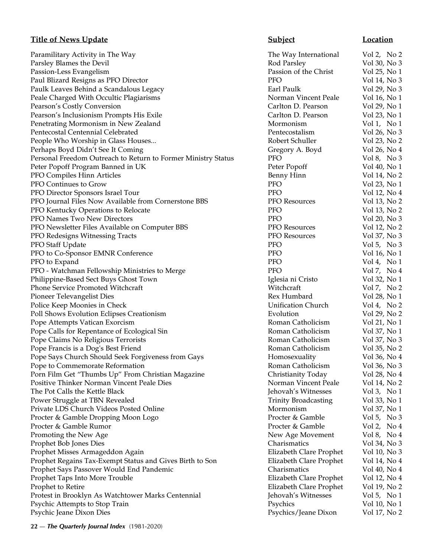Paramilitary Activity in The Way **The Way International** Vol 2, No 2 Parsley Blames the Devil **Parsley Blames the Devil** Rod Parsley Rod Parsley **Vol** 30, No 3 Passion-Less Evangelism Passion of the Christ Vol 25, No 1 Paul Blizard Resigns as PFO Director **PFO** Percent PFO Vol 14, No 3 Paulk Leaves Behind a Scandalous Legacy Earl Paulk Earl Paulk Vol 29, No 3 Peale Charged With Occultic Plagiarisms Norman Vincent Peale Vol 16, No 1 Pearson's Costly Conversion Carlton D. Pearson Vol 29, No 1 Pearson's Inclusionism Prompts His Exile Carlton D. Pearson Vol 23, No 1 Penetrating Mormonism in New Zealand Mormonism Mormonism Vol 1, No 1 Pentecostal Centennial Celebrated Pentecostalism Vol 26, No 3 People Who Worship in Glass Houses... The Robert Schuller Robert Schuller Vol 23, No 2 Perhaps Boyd Didn't See It Coming Gregory A. Boyd Vol 26, No 4 Personal Freedom Outreach to Return to Former Ministry Status PFO Vol 8, No 3 Peter Popoff Program Banned in UK Peter Popoff Vol 40, No 1 PFO Compiles Hinn Articles **Benny Hinn** Vol 14, No 2 PFO Continues to Grow PFO Vol 23, No 1 PFO Director Sponsors Israel Tour PFO PFO Vol 12, No 4 PFO Journal Files Now Available from Cornerstone BBS PFO Resources Vol 13, No 2 PFO Kentucky Operations to Relocate PFO PFO Vol 13, No 2 PFO Names Two New Directors **PFO** PFO Vol 20, No 3 PFO Newsletter Files Available on Computer BBS PFO Resources Vol 12, No 2 PFO Redesigns Witnessing Tracts PFO Resources Vol 37, No 3 PFO Staff Update **PFO** Vol 5, No 3 PFO to Co-Sponsor EMNR Conference PFO PFO Vol 16, No 1 PFO to Expand Vol 4, No 1 PFO - Watchman Fellowship Ministries to Merge PFO PFO Vol 7, No 4 Philippine-Based Sect Buys Ghost Town Iglesia ni Cristo Vol 32, No 1 Phone Service Promoted Witchcraft **Witchcraft** Witchcraft Witchcraft Vol 7, No 2 Pioneer Televangelist Dies **Rex Humbard** Vol 28, No 1 Police Keep Moonies in Check **Volugation** Unification Church Vol 4, No 2 Poll Shows Evolution Eclipses Creationism Evolution Evolution Collection Vol 29, No 2 Pope Attempts Vatican Exorcism **Roman Catholicism** Roman Catholicism Vol 21, No 1 Pope Calls for Repentance of Ecological Sin Roman Catholicism Vol 37, No 1 Pope Claims No Religious Terrorists **Roman Catholicism** Vol 37, No 3 Pope Francis is a Dog's Best Friend The Roman Catholicism Catholicism Vol 35, No 2 Pope Says Church Should Seek Forgiveness from Gays Homosexuality Vol 36, No 4 Pope to Commemorate Reformation **Roman Catholicism** Vol 36, No 3 Porn Film Get "Thumbs Up" From Christian Magazine Christianity Today Vol 28, No 4 Positive Thinker Norman Vincent Peale Dies Norman Vincent Peale Norman Vincent Peale Norman Vincent Peale Vol 14, No 2 The Pot Calls the Kettle Black **Jehovah's Witnesses** Vol 3, No 1 Power Struggle at TBN Revealed Trinity Broadcasting Trinity Broadcasting Vol 33, No 1 Private LDS Church Videos Posted Online Mormonism Mormonism Vol 37, No 1 Procter & Gamble Dropping Moon Logo **Procter & Gamble** Vol 5, No 3 Procter & Gamble Rumor **Procter & Gamble Rumor** Procter & Gamble **Vol 2**, No 4 Promoting the New Age **New Age 1999** Service 2012 New Age Movement Vol 8, No 4 Prophet Bob Jones Dies Charismatics Vol 34, No 3 Prophet Misses Armageddon Again Elizabeth Clare Prophet Vol 10, No 3 Prophet Regains Tax-Exempt Status and Gives Birth to Son Elizabeth Clare Prophet Vol 14, No 4 Prophet Says Passover Would End Pandemic Charismatics Vol 40, No 4 Prophet Taps Into More Trouble **Elizabeth Clare Prophet** Vol 12, No 4 Prophet to Retire **Elizabeth Clare Prophet** Vol 19, No 2 Protest in Brooklyn As Watchtower Marks Centennial Jehovah's Witnesses Vol 5, No 1 Psychic Attempts to Stop Train Psychics Vol 10, No 1 Psychic Jeane Dixon Dies Psychics/Jeane Dixon Vol 17, No 2

**Title of News Update Subject Location**

**22** — *The Quarterly Journal Index* (1981-2020)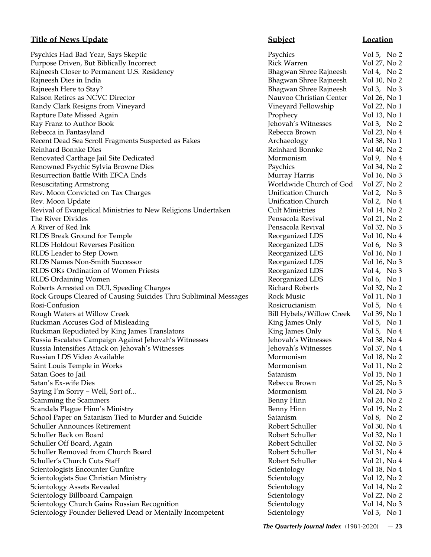Psychics Had Bad Year, Says Skeptic **Psychics** Psychics Vol 5, No 2 Purpose Driven, But Biblically Incorrect and Rick Warren Mol 27, No 2 Rajneesh Closer to Permanent U.S. Residency **Bhagwan Shree Rajneesh** Vol 4, No 2 Rajneesh Dies in India Bhagwan Shree Rajneesh Vol 10, No 2<br>Rajneesh Here to Stay? Bhagwan Shree Rajneesh Vol 3, No 3 Rajneesh Here to Stay? **Bhagwan Shree Rajneesh** Vol 3, No 3, No 3, No 3, No 3, No 3, No 3, No 3, No 3, No 3, No 3, No 3, No 3, No 3, No 3, No 3, No 3, No 3, No 3, No 3, No 3, No 3, No 3, No 3, No 3, No 3, No 3, No 3, No 3, Ralson Retires as NCVC Director Nauvoo Christian Center Vol 26, No 1 Randy Clark Resigns from Vineyard **Vineyard Vineyard Vineyard Fellowship** Vol 22, No 1 Rapture Date Missed Again **Prophecy** 2 and 2 and 2 and 2 and 2 and 2 and 2 and 2 and 2 and 2 and 2 and 2 and 2 and 2 and 2 and 2 and 2 and 2 and 2 and 2 and 2 and 2 and 2 and 2 and 2 and 2 and 2 and 2 and 2 and 2 and 2 and Ray Franz to Author Book **Franz** to Author Book **Jehovah's Witnesses** Vol 3, No 2 Rebecca in Fantasyland **Rebecca Brown** Vol 23, No 4 Recent Dead Sea Scroll Fragments Suspected as Fakes Archaeology Vol 38, No 1 Reinhard Bonnke Dies Reinhard Bonnke Vol 40, No 2 Renovated Carthage Jail Site Dedicated Mormonism Mormonism Vol 9, No 4 Renowned Psychic Sylvia Browne Dies Psychics Vol 34, No 2 Resurrection Battle With EFCA Ends **Murray Harris** Vol 16, No 3 Resuscitating Armstrong Worldwide Church of God Vol 27, No 2 Rev. Moon Convicted on Tax Charges Unification Church Vol 2, No 3 Rev. Moon Update **Note 2, 2008** Unification Church Vol 2, No 4 Revival of Evangelical Ministries to New Religions Undertaken Cult Ministries Vol 14, No 2 The River Divides **Pensacola Revival** Vol 21, No 2 A River of Red Ink Pensacola Revival Vol 32, No 3 RLDS Break Ground for Temple **Reorganized LDS** Vol 10, No 4 RLDS Holdout Reverses Position **Reorganized LDS** Vol 6, No 3 RLDS Leader to Step Down **Reorganized LDS** Vol 16, No 1 RLDS Names Non-Smith Successor **Reorganized LDS** Vol 16, No 3 RLDS OKs Ordination of Women Priests Reorganized LDS Vol 4, No 3 RLDS Ordaining Women **Reorganized LDS** Vol 6, No 1 Roberts Arrested on DUI, Speeding Charges **Richard Roberts** Vol 32, No 2 Rock Groups Cleared of Causing Suicides Thru Subliminal Messages Rock Music Vol 11, No 1 Rosi-Confusion Rosicrucianism Vol 5, No 4 Rough Waters at Willow Creek Bill Hybels/Willow Creek Vol 39, No 1 Ruckman Accuses God of Misleading The Control of Misleading King James Only Vol 5, No 1 Ruckman Repudiated by King James Translators Translators King James Only Vol 5, No 4 Russia Escalates Campaign Against Jehovah's Witnesses Jehovah's Witnesses Vol 38, No 4 Russia Intensifies Attack on Jehovah's Witnesses Jehovah's Witnesses Vol 37, No 4 Russian LDS Video Available **Mormonism** Vol 18, No 2 Saint Louis Temple in Works **Mormonism** Vol 11, No 2 Satan Goes to Jail Satanism Vol 15, No 1 Satan's Ex-wife Dies Rebecca Brown Vol 25, No 3 Saying I'm Sorry – Well, Sort of... example 24, No 3 Scamming the Scammers **Benny Hinn** Vol 24, No 2 Scandals Plague Hinn's Ministry **Benny Hinn** Vol 19, No 2 School Paper on Satanism Tied to Murder and Suicide Satanism Satanism Vol 8, No 2 Schuller Announces Retirement Robert Schuller Vol 30, No 4 Schuller Back on Board Robert Schuller Vol 32, No 1 Schuller Off Board, Again Robert Schuller Vol 32, No 3 Schuller Removed from Church Board **Robert Schuller** Robert Schuller Vol 31, No 4 Schuller's Church Cuts Staff Schuller Nobert Schuller Nobert Schuller Vol 21, No 4 Scientologists Encounter Gunfire Scientology Scientology Nol 18, No 4 Scientologists Sue Christian Ministry **Scientian Scientology** Vol 12, No 2 Scientology Assets Revealed Scientology Scientology Vol 14, No 2 Scientology Billboard Campaign Scientology Scientology Nol 22, No 2 Scientology Church Gains Russian Recognition Scientology Scientology Vol 14, No 3<br>Scientology Founder Believed Dead or Mentally Incompetent Scientology Scientology Vol 3. No 1 Scientology Founder Believed Dead or Mentally Incompetent Scientology

# **Title of News Update Subject Subject Location**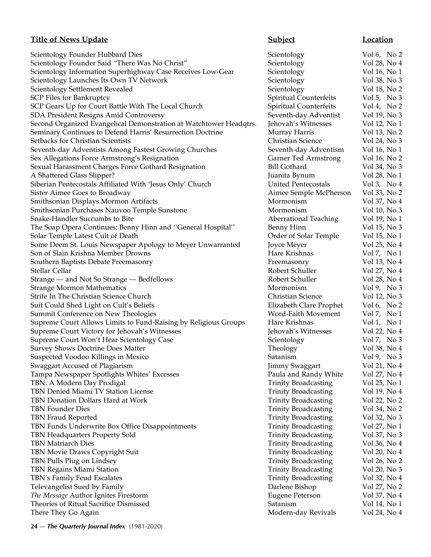| <b>Title of News Update</b>                                        | <b>Subject</b>               | Location      |
|--------------------------------------------------------------------|------------------------------|---------------|
| Scientology Founder Hubbard Dies                                   | Scientology                  | Vol 6, No $2$ |
| Scientology Founder Said "There Was No Christ"                     | Scientology                  | Vol 28, No 4  |
| Scientology Information Superhighway Case Receives Low-Gear        | Scientology                  | Vol 16, No 1  |
| Scientology Launches Its Own TV Network                            | Scientology                  | Vol 38, No 3  |
| Scientology Settlement Revealed                                    | Scientology                  | Vol 18, No 2  |
| SCP Files for Bankruptcy                                           | Spiritual Counterfeits       | Vol 5, No $3$ |
| SCP Gears Up for Court Battle With The Local Church                | Spiritual Counterfeits       | Vol 4, No $2$ |
| SDA President Resigns Amid Controversy                             | Seventh-day Adventist        | Vol 19, No 3  |
| Second Organized Evangelical Demonstration at Watchtower Headqtrs. | Jehovah's Witnesses          | Vol 12, No 1  |
| Seminary Continues to Defend Harris' Resurrection Doctrine         | Murray Harris                | Vol 13, No 2  |
| Setbacks for Christian Scientists                                  | <b>Christian Science</b>     | Vol 24, No 3  |
| Seventh-day Adventists Among Fastest Growing Churches              | Seventh-day Adventism        | Vol 16, No 1  |
| Sex Allegations Force Armstrong's Resignation                      | <b>Garner Ted Armstrong</b>  | Vol 16, No 2  |
| Sexual Harassment Charges Force Gothard Resignation                | <b>Bill Gothard</b>          | Vol 34, No 3  |
| A Shattered Glass Slipper?                                         | Juanita Bynum                | Vol 28, No 1  |
| Siberian Pentecostals Affiliated With 'Jesus Only' Church          | <b>United Pentecostals</b>   | Vol 3, No 4   |
| Sister Aimee Goes to Broadway                                      | Aimee Semple McPherson       | Vol 33, No 2  |
| Smithsonian Displays Mormon Artifacts                              | Mormonism                    | Vol 37, No 4  |
| Smithsonian Purchases Nauvoo Temple Sunstone                       | Mormonism                    | Vol 10, No 3  |
| Snake-Handler Succumbs to Bite                                     | <b>Aberrational Teaching</b> | Vol 19, No 1  |
| The Soap Opera Continues: Benny Hinn and "General Hospital"        | Benny Hinn                   | Vol 15, No 3  |
| Solar Temple Latest Cult of Death                                  | Order of Solar Temple        | Vol 15, No 1  |
| Some Deem St. Louis Newspaper Apology to Meyer Unwarranted         | Joyce Meyer                  | Vol 25, No 4  |
| Son of Slain Krishna Member Drowns                                 | Hare Krishnas                | Vol 7, No 1   |
| Southern Baptists Debate Freemasonry                               | Freemasonry                  | Vol 13, No 4  |
| Stellar Cellar                                                     | Robert Schuller              | Vol 27, No 4  |
| Strange — and Not So Strange — Bedfellows                          | Robert Schuller              | Vol 28, No 4  |
| <b>Strange Mormon Mathematics</b>                                  | Mormonism                    | Vol 9, No $3$ |
| Strife In The Christian Science Church                             | <b>Christian Science</b>     | Vol 12, No 3  |
| Suit Could Shed Light on Cult's Beliefs                            | Elizabeth Clare Prophet      | Vol 6, No $2$ |
| Summit Conference on New Theologies                                | Word-Faith Movement          | Vol 7, No $1$ |
| Supreme Court Allows Limits to Fund-Raising by Religious Groups    | Hare Krishnas                | Vol 1, No 1   |
| Supreme Court Victory for Jehovah's Witnesses                      | Jehovah's Witnesses          | Vol 22, No 4  |
| Supreme Court Won't Hear Scientology Case                          | Scientology                  | Vol 7, No $3$ |
| <b>Survey Shows Doctrine Does Matter</b>                           | Theology                     | Vol 38, No 4  |
| Suspected Voodoo Killings in Mexico                                | Satanism                     | Vol 9, No $3$ |
| Swaggart Accused of Plagiarism                                     | <b>Jimmy Swaggart</b>        | Vol 21, No 4  |
| Tampa Newspaper Spotlights Whites' Excesses                        | Paula and Randy White        | Vol 27, No 4  |
| TBN: A Modern Day Prodigal                                         | <b>Trinity Broadcasting</b>  | Vol 25, No 1  |
| TBN Denied Miami TV Station License                                | <b>Trinity Broadcasting</b>  | Vol 19, No 4  |
| TBN Donation Dollars Hard at Work                                  | <b>Trinity Broadcasting</b>  | Vol 22, No 2  |
| <b>TBN Founder Dies</b>                                            | <b>Trinity Broadcasting</b>  | Vol 34, No 2  |
| TBN Fraud Reported                                                 | <b>Trinity Broadcasting</b>  | Vol 32, No 3  |
| TBN Funds Underwrite Box Office Disappointments                    | <b>Trinity Broadcasting</b>  | Vol 27, No 1  |
| TBN Headquarters Property Sold                                     | <b>Trinity Broadcasting</b>  | Vol 37, No 3  |
| <b>TBN Matriarch Dies</b>                                          | <b>Trinity Broadcasting</b>  | Vol 36, No 4  |
| TBN Movie Draws Copyright Suit                                     | <b>Trinity Broadcasting</b>  | Vol 20, No 4  |
| TBN Pulls Plug on Lindsey                                          | <b>Trinity Broadcasting</b>  | Vol 26, No 2  |
| TBN Regains Miami Station                                          | <b>Trinity Broadcasting</b>  | Vol 20, No 3  |
| TBN's Family Feud Escalates                                        | <b>Trinity Broadcasting</b>  | Vol 32, No 4  |
| Televangelist Sued by Family                                       | Darlene Bishop               | Vol 27, No 2  |
| The Message Author Ignites Firestorm                               | <b>Eugene Peterson</b>       | Vol 37, No 4  |
| Theories of Ritual Sacrifice Dismissed                             | Satanism                     | Vol 14, No 1  |
| There They Go Again                                                | Modern-day Revivals          | Vol 24, No 4  |
|                                                                    |                              |               |

**24** — *The Quarterly Journal Index* (1981-2020)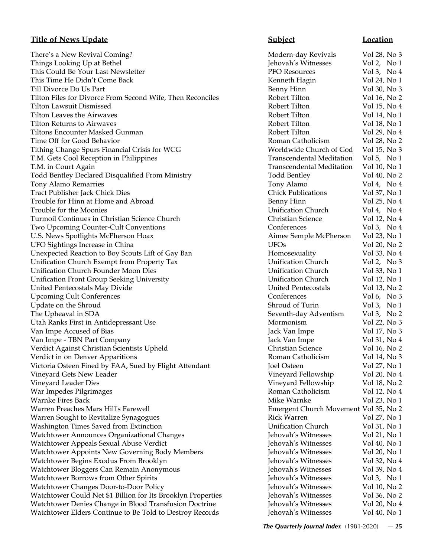There's a New Revival Coming? There's a New Revival Coming? Things Looking Up at Bethel **Things Looking Up at Bethel 3** George Vol 2, No 1 This Could Be Your Last Newsletter **PFO Resources** Vol 3, No 4 This Time He Didn't Come Back The Second League Control of the Menneth Hagin This Time He Didn't Come Back The Second Vol 24, No 1 Till Divorce Do Us Part Benny Hinn Vol 30, No 3 Tilton Files for Divorce From Second Wife, Then Reconciles Robert Tilton Vol 16, No 2 Tilton Lawsuit Dismissed Robert Tilton Vol 15, No 4 Tilton Leaves the Airwaves **Exercía Exercía Exercía Exercía Exercía Exercía Exercía Exercía Exercía Exercía Exercí** Tilton Returns to Airwaves Robert Tilton Vol 18, No 1 Tiltons Encounter Masked Gunman Robert Tilton Vol 29, No 4 Time Off for Good Behavior **Roman Catholicism** Vol 28, No 2 Tithing Change Spurs Financial Crisis for WCG Worldwide Church of God Vol 15, No 3 T.M. Gets Cool Reception in Philippines Transcendental Meditation Vol 5, No 1 T.M. in Court Again Transcendental Meditation Vol 10, No 1 Todd Bentley Declared Disqualified From Ministry Todd Bentley Vol 40, No 2 Tony Alamo Remarries **Tony Alamo** Vol 4, No 4 Tract Publisher Jack Chick Dies Chick Publications Vol 37, No 1 Trouble for Hinn at Home and Abroad Benny Hinn Vol 25, No 4 Trouble for the Moonies Unification Church Vol 4, No 4 Turmoil Continues in Christian Science Church Christian Science Vol 12, No 4 Two Upcoming Counter-Cult Conventions Conferences Vol 3, No 4 U.S. News Spotlights McPherson Hoax Aimee Semple McPherson Vol 23, No 1 UFO Sightings Increase in China **Volugation** UFOs **Vol** 20, No 2 Unexpected Reaction to Boy Scouts Lift of Gay Ban Homosexuality Vol 33, No 4 Unification Church Exempt from Property Tax Unification Church Vol 2, No 3 Unification Church Founder Moon Dies Unification Church Vol 33, No 1 Unification Front Group Seeking University Unification Church Vol 12, No 1 United Pentecostals May Divide United Pentecostals Vol 13, No 2 Upcoming Cult Conferences and Conferences Conferences Conferences Vol 6, No 3 Update on the Shroud Community Community Community Community Community Community Community Community Community Community Community Community Community Community Community Community Community Community Community Community C The Upheaval in SDA Seventh-day Adventism Vol 3, No 2 Utah Ranks First in Antidepressant Use **Mormonism** Vol 22, No 3 Van Impe Accused of Bias **Van Imperies Accused of Bias** Jack Van Imperies Vol 17, No 3 Van Impe - TBN Part Company **Van Impectual Accord 12 and 12 and 12 and 12 and 12 and 12 and 13 and 13 and 13 and 13 and 14 and 15 and 16 and 16 and 16 and 16 and 16 and 16 and 16 and 16 and 16 and 16 and 16 and 16 and 16 a** Verdict Against Christian Scientists Upheld Christian Science Vol 16, No 2 Verdict in on Denver Apparitions and the second version of the Roman Catholicism and Vol 14, No 3 Victoria Osteen Fined by FAA, Sued by Flight Attendant Joel Osteen Vol 27, No 1 Vineyard Gets New Leader **Vineyard Fellowship** Vol 20, No 4 Vineyard Leader Dies Vineyard Fellowship Vol 18, No 2 War Impedes Pilgrimages **Roman Catholicism** Vol 12, No 4 Warnke Fires Back **Mike Warnke Collection** Collection Mike Warnke Vol 23, No 1 Warren Preaches Mars Hill's Farewell Emergent Church Movement Vol 35, No 2 Warren Sought to Revitalize Synagogues **Rick Warren Constanting Constanting Constanting Constanting Constanting Constanting Constanting Constanting Constanting Vol 27, No 1** Washington Times Saved from Extinction **Same Saxed from Extinction** Superintent Unification Church Vol 31, No 1 Watchtower Announces Organizational Changes Jehovah's Witnesses Vol 21, No 1 Watchtower Appeals Sexual Abuse Verdict **Access 1998** Jehovah's Witnesses Vol 40, No 1 Watchtower Appoints New Governing Body Members Jehovah's Witnesses Vol 20, No 1 Watchtower Begins Exodus From Brooklyn States and Section 1 Jehovah's Witnesses Vol 32, No 4 Watchtower Bloggers Can Remain Anonymous **Figure 3** Jehovah's Witnesses Vol 39, No 4 Watchtower Borrows from Other Spirits **Volugation** Jehovah's Witnesses Vol 3, No 1 Watchtower Changes Door-to-Door Policy Fig. 2012 10, No 2 Jehovah's Witnesses Vol 10, No 2 Watchtower Could Net \$1 Billion for Its Brooklyn Properties Jehovah's Witnesses Vol 36, No 2 Watchtower Denies Change in Blood Transfusion Doctrine Jehovah's Witnesses Vol 20, No 4 Watchtower Elders Continue to Be Told to Destroy Records Jehovah's Witnesses Vol 40, No 1

# **Title of News Update Subject Location**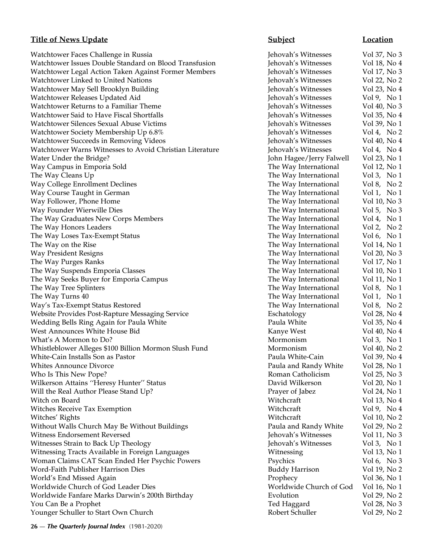Watchtower Faces Challenge in Russia **Volugation** Jehovah's Witnesses Vol 37, No 3 Watchtower Issues Double Standard on Blood Transfusion Jehovah's Witnesses Vol 18, No 4 Watchtower Legal Action Taken Against Former Members **Jehovah's Witnesses** Vol 17, No 3 Watchtower Linked to United Nations **Volugation** Jehovah's Witnesses Vol 22, No 2 Watchtower May Sell Brooklyn Building Jehovah's Witnesses Vol 23, No 4 Watchtower Releases Updated Aid **Jehovah's Witnesses** Vol 9, No 1 Watchtower Returns to a Familiar Theme  $\qquad \qquad$  Jehovah's Witnesses  $\qquad \qquad$  Vol 40, No 3 Watchtower Said to Have Fiscal Shortfalls **Jehovah's Witnesses** Vol 35, No 4 Watchtower Silences Sexual Abuse Victims Jehovah's Witnesses Vol 39, No 1 Watchtower Society Membership Up 6.8% Jehovah's Witnesses Vol 4, No 2 Watchtower Succeeds in Removing Videos **Jehovah's Witnesses** Vol 40, No 4 Watchtower Warns Witnesses to Avoid Christian Literature *Jehovah's Witnesses* Vol 4, No 4 Water Under the Bridge? The Subset of the Bridge? John Hagee/Jerry Falwell Vol 23, No 1 Way Campus in Emporia Sold The Way International Vol 12, No 1 The Way Cleans Up **The Way International** Vol 3, No 1 Way College Enrollment Declines The Way International Vol 8, No 2 Way Course Taught in German The Way International Vol 1, No 1 Way Follower, Phone Home The Way International Vol 10, No 3 Way Founder Wierwille Dies The Way International Vol 5, No 3 The Way Graduates New Corps Members The Way International Vol 4, No 1 The Way Honors Leaders The Way International Vol 2, No 2 The Way Loses Tax-Exempt Status The Way International Vol 6, No 1 The Way on the Rise The Way International Vol 14, No 1 Way President Resigns The Way International Vol 20, No 3 The Way Purges Ranks The Way International Vol 17, No 1<br>
The Way International Vol 10, No 1<br>
The Way International Vol 10, No 1 The Way Suspends Emporia Classes The Way International Vol 10, No 1 The Way Seeks Buyer for Emporia Campus The Way International Vol 11, No 1 The Way Tree Splinters The Way International Vol 8, No 1 The Way Turns 40 The Way International Vol 1, No 1 Way's Tax-Exempt Status Restored The Way International Vol 8, No 2 Website Provides Post-Rapture Messaging Service The Eschatology Fischatology Vol 28, No 4 Wedding Bells Ring Again for Paula White Paula White Vol 35, No 4 West Announces White House Bid **Kanye West** Kanye West **Vol** 40, No 4 What's A Mormon to Do? Contract the Mormonism Contract of Mormonism Contract and Vol 3, No 1 Whistleblower Alleges \$100 Billion Mormon Slush Fund Mormonism Vol 40, No 2 White-Cain Installs Son as Pastor Paula White-Cain Vol 39, No 4 Whites Announce Divorce **Paula and Randy White** Vol 28, No 1 Who Is This New Pope? **Roman Catholicism** Vol 25, No 3 Wilkerson Attains "Heresy Hunter" Status **David Wilkerson** Vol 20, No 1 Will the Real Author Please Stand Up? The Prayer of Jabez Prayer of Jabez Vol 24, No 1 Witch on Board **Witchcraft** Vol 13, No 4 Witches Receive Tax Exemption **Witchcraft** Collection and Witchcraft Vol 9, No 4 Witches' Rights Witchcraft Vol 10, No 2 Without Walls Church May Be Without Buildings **Paula and Randy White** Vol 29, No 2 Witness Endorsement Reversed Jehovah's Witnesses Vol 11, No 3 Witnesses Strain to Back Up Theology **Strain is a strain to Back Up Theology Jehovah's Witnesses** Vol 3, No 1 Witnessing Tracts Available in Foreign Languages Witnessing Vol 13, No 1 Woman Claims CAT Scan Ended Her Psychic Powers Psychics Psychics Vol 6, No 3 Word-Faith Publisher Harrison Dies Buddy Harrison Vol 19, No 2 World's End Missed Again Prophecy Vol 36, No 1 Worldwide Church of God Leader Dies Worldwide Church of God Vol 16, No 1 Worldwide Fanfare Marks Darwin's 200th Birthday **Evolution** Evolution Vol 29, No 2 You Can Be a Prophet Ted Haggard Vol 28, No 3 Younger Schuller to Start Own Church Theorem 2012, No 2 and 29, No 2 and 29, No 2

# **Title of News Update Subject Subject Location**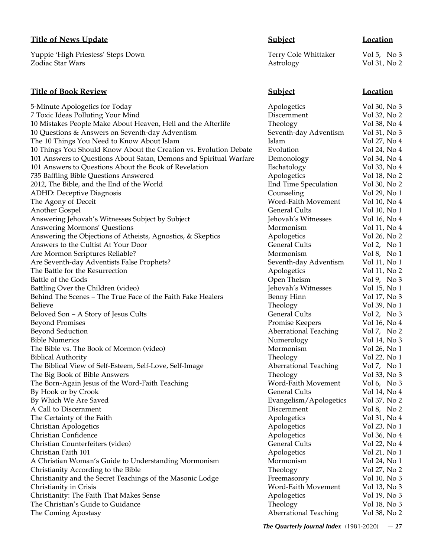## **Title of News Update Subject Subject Location**

Yuppie 'High Priestess' Steps Down Terry Cole Whittaker Vol 5, No 3 Zodiac Star Wars **Astrology** Vol 31, No 2

## **Title of Book Review Subject Location**

5-Minute Apologetics for Today and the Apologetics Collection Apologetics Collection Vol 30, No 3 7 Toxic Ideas Polluting Your Mind Discernment Vol 32, No 2 10 Mistakes People Make About Heaven, Hell and the Afterlife Theology Vol 38, No 4 10 Questions & Answers on Seventh-day Adventism Seventh-day Adventism Vol 31, No 3 The 10 Things You Need to Know About Islam Islam Islam Islam Vol 27, No 4 10 Things You Should Know About the Creation vs. Evolution Debate Evolution Vol 24, No 4 101 Answers to Questions About Satan, Demons and Spiritual Warfare Demonology Vol 34, No 4 101 Answers to Questions About the Book of Revelation Eschatology Vol 33, No 4 735 Baffling Bible Questions Answered Apologetics Vol 18, No 2 2012, The Bible, and the End of the World End Time Speculation Vol 30, No 2 ADHD: Deceptive Diagnosis and a counseling vol 29, No 1 The Agony of Deceit The Agony of Deceit The Agony of Deceit The Agony of Deceit The Agony of Deceit The Agony of Deceit The Agony of Deceit The Agony of Deceit The Agony of Deceit The Agony of Deceit The Agony of Deceit Th Another Gospel General Cults Vol 10, No 1 Answering Jehovah's Witnesses Subject by Subject and Markovah's Witnesses Vol 16, No 4 Answering Mormons' Questions and the contract of the Mormonism and Vol 11, No 4 Answering the Objections of Atheists, Agnostics, & Skeptics Apologetics Vol 26, No 2 Answers to the Cultist At Your Door General Cults Vol 2, No 1 Are Mormon Scriptures Reliable? Mormonism Vol 8, No 1 Are Seventh-day Adventists False Prophets? Seventh-day Adventism Vol 11, No 1 The Battle for the Resurrection and the Same Apologetics The Battle for the Resurrection Apologetics Vol 11, No 2 Battle of the Gods Cpen Theism Vol 9, No 3 Battling Over the Children (video) Shows and Showship Jehovah's Witnesses Vol 15, No 1 Behind The Scenes – The True Face of the Faith Fake Healers Benny Hinn Vol 17, No 3 Believe Theology Vol 39, No 1 Beloved Son – A Story of Jesus Cults General Cults General Cults Vol 2, No 3 Beyond Promises **Promise** Keepers Vol 16, No 4 Beyond Seduction **Beyond Seduction** Aberrational Teaching Vol 7, No 2 Bible Numerics **Numerology** Vol 14, No 3 The Bible vs. The Book of Mormon (video) Mormonism Mormonism Vol 26, No 1 Biblical Authority **Theology** Vol 22, No 1 The Biblical View of Self-Esteem, Self-Love, Self-Image Aberrational Teaching Vol 7, No 1 The Big Book of Bible Answers Theology Theology Vol 33, No 3 The Born-Again Jesus of the Word-Faith Teaching Word-Faith Movement Vol 6, No 3 By Hook or by Crook General Cults Vol 14, No 4 By Which We Are Saved **Evangelism** / Apologetics Vol 37, No 2 A Call to Discernment Vol 8, No 2 The Certainty of the Faith Apologetics and Apologetics and Apologetics and Vol 31, No 4 Christian Apologetics **Apologetics** Apologetics Vol 23, No 1 Christian Confidence **Apologetics** Apologetics Vol 36, No 4 Christian Counterfeiters (video) General Cults Vol 22, No 4 Christian Faith 101 **Apologetics** Vol 21, No 1 A Christian Woman's Guide to Understanding Mormonism Mormonism Vol 24, No 1 Christianity According to the Bible Theology Vol 27, No 2 Christianity and the Secret Teachings of the Masonic Lodge Freemasonry Vol 10, No 3 Christianity in Crisis Word-Faith Movement Vol 13, No 3 Christianity: The Faith That Makes Sense Apologetics Apologetics Vol 19, No 3 The Christian's Guide to Guidance Theology Theology Vol 18, No 3 The Coming Apostasy **Aberrational Teaching** Vol 38, No 2

| ject             | Lo             |
|------------------|----------------|
| y Colo Whittokor | $\overline{V}$ |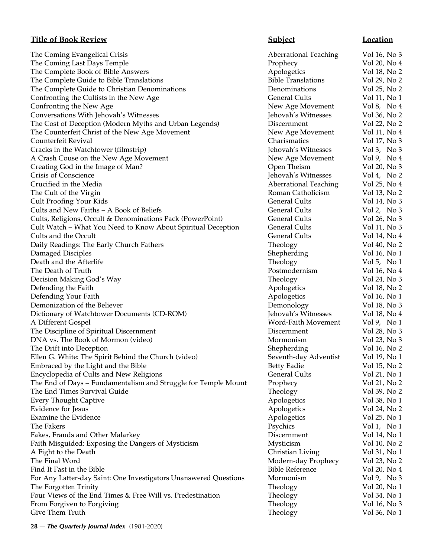## **Title of Book Review Subject Subject Location**

The Coming Evangelical Crisis The Coming Last Days Temple The Complete Book of Bible Answers The Complete Guide to Bible Translations The Complete Guide to Christian Denominations Confronting the Cultists in the New Age Confronting the New Age Conversations With Jehovah's Witnesses The Cost of Deception (Modern Myths and Urban Legends) The Counterfeit Christ of the New Age Movement Counterfeit Revival Cracks in the Watchtower (filmstrip) A Crash Couse on the New Age Movement Creating God in the Image of Man? Crisis of Conscience Crucified in the Media The Cult of the Virgin Cult Proofing Your Kids Cults and New Faiths – A Book of Beliefs Cults, Religions, Occult & Denominations Pack (PowerPoint) Cult Watch – What You Need to Know About Spiritual Deception Cults and the Occult Daily Readings: The Early Church Fathers Damaged Disciples Death and the Afterlife The Death of Truth Decision Making God's Way Defending the Faith Defending Your Faith Demonization of the Believer Dictionary of Watchtower Documents (CD-ROM) A Different Gospel The Discipline of Spiritual Discernment DNA vs. The Book of Mormon (video) The Drift into Deception Ellen G. White: The Spirit Behind the Church (video) Embraced by the Light and the Bible Encyclopedia of Cults and New Religions The End of Days - Fundamentalism and Struggle for Temple Mount The End Times Survival Guide Every Thought Captive Evidence for Jesus Examine the Evidence The Fakers Psychics Vol 1, No 1 Fakes, Frauds and Other Malarkey Faith Misguided: Exposing the Dangers of Mysticism A Fight to the Death The Final Word Find It Fast in the Bible For Any Latter-day Saint: One Investigators Unanswered Questions The Forgotten Trinity Four Views of the End Times & Free Will vs. Predestination From Forgiven to Forgiving Give Them Truth Theology Vol 36, No 1972 1986 1987 Theology

| <b>Aberrational Teaching</b> | Vol 16, No 3  |
|------------------------------|---------------|
| Prophecy                     | Vol 20, No 4  |
| Apologetics                  | Vol 18, No 2  |
| <b>Bible Translations</b>    | Vol 29, No 2  |
| Denominations                | Vol 25, No 2  |
| General Cults                | Vol 11, No 1  |
| New Age Movement             | Vol 8, No 4   |
| Jehovah's Witnesses          | Vol 36, No 2  |
| Discernment                  | Vol 22, No 2  |
| New Age Movement             | Vol 11, No 4  |
| Charismatics                 | Vol 17, No 3  |
| Jehovah's Witnesses          | Vol 3, No 3   |
| New Age Movement             | Vol 9, No 4   |
| Open Theism                  | Vol 20, No 3  |
| Jehovah's Witnesses          | Vol 4, No $2$ |
| <b>Aberrational Teaching</b> | Vol 25, No 4  |
| Roman Catholicism            | Vol 13, No 2  |
| <b>General Cults</b>         | Vol 14, No 3  |
| General Cults                | Vol 2, No 3   |
| General Cults                | Vol 26, No 3  |
| <b>General Cults</b>         | Vol 11, No 3  |
| <b>General Cults</b>         | Vol 14, No 4  |
| Theology                     | Vol 40, No 2  |
| Shepherding                  | Vol 16, No 1  |
| Theology                     | Vol 5, No 1   |
| Postmodernism                | Vol 16, No 4  |
| Theology                     | Vol 24, No 3  |
| Apologetics                  | Vol 18, No 2  |
| Apologetics                  | Vol 16, No 1  |
| Demonology                   | Vol 18, No 3  |
| Jehovah's Witnesses          | Vol 18, No 4  |
| Word-Faith Movement          | Vol 9, No 1   |
| Discernment                  | Vol 28, No 3  |
| Mormonism                    | Vol 23, No 3  |
| Shepherding                  | Vol 16, No 2  |
| Seventh-day Adventist        | Vol 19, No 1  |
| Betty Eadie                  | Vol 15, No 2  |
| <b>General Cults</b>         | Vol 21, No 1  |
| Prophecy                     | Vol 21, No 2  |
| Theology                     | Vol 39, No 2  |
| Apologetics                  | Vol 38, No 1  |
| Apologetics                  | Vol 24, No 2  |
| Apologetics                  | Vol 25, No 1  |
| Psychics                     | Vol 1, No 1   |
| Discernment                  | Vol 14, No 1  |
| Mysticism                    | Vol 10, No 2  |
| Christian Living             | Vol 31, No 1  |
| Modern-day Prophecy          | Vol 23, No 2  |
| <b>Bible Reference</b>       | Vol 20, No 4  |
| Mormonism                    | Vol 9, No 3   |
| Theology                     | Vol 20, No 1  |
| Theology                     | Vol 34, No 1  |
| Theology                     | Vol 16, No 3  |
| Theology                     | Vol 36. No 1  |

**28** — *The Quarterly Journal Index* (1981-2020)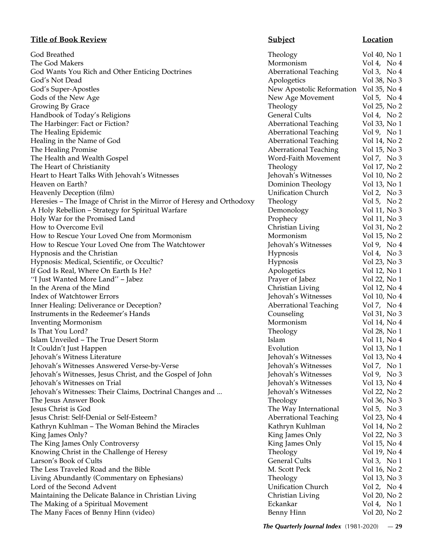# **Title of Book Review Subject Location**

| God Breathed                                                         | Theology                     | Vol 40, No 1                 |
|----------------------------------------------------------------------|------------------------------|------------------------------|
| The God Makers                                                       | Mormonism                    | Vol 4, No $4$                |
| God Wants You Rich and Other Enticing Doctrines                      | <b>Aberrational Teaching</b> | Vol 3, No $4$                |
| God's Not Dead                                                       | Apologetics                  | Vol 38, No 3                 |
| God's Super-Apostles                                                 | New Apostolic Reformation    | Vol 35, No 4                 |
| Gods of the New Age                                                  | New Age Movement             | Vol 5, No $4$                |
| Growing By Grace                                                     | Theology                     | Vol 25, No 2                 |
| Handbook of Today's Religions                                        | <b>General Cults</b>         | Vol 4, No $2$                |
| The Harbinger: Fact or Fiction?                                      | <b>Aberrational Teaching</b> | Vol 33, No 1                 |
| The Healing Epidemic                                                 | <b>Aberrational Teaching</b> | Vol 9, No $1$                |
| Healing in the Name of God                                           | <b>Aberrational Teaching</b> | Vol 14, No 2                 |
| The Healing Promise                                                  | <b>Aberrational Teaching</b> | Vol 15, No 3                 |
| The Health and Wealth Gospel                                         | Word-Faith Movement          | Vol 7, No 3                  |
| The Heart of Christianity                                            | Theology                     | Vol 17, No 2                 |
| Heart to Heart Talks With Jehovah's Witnesses                        | Jehovah's Witnesses          | Vol 10, No 2                 |
| Heaven on Earth?                                                     | Dominion Theology            | Vol 13, No 1                 |
| Heavenly Deception (film)                                            | <b>Unification Church</b>    | Vol 2, No $3$                |
| Heresies – The Image of Christ in the Mirror of Heresy and Orthodoxy | Theology                     | Vol 5, No $2$                |
| A Holy Rebellion - Strategy for Spiritual Warfare                    | Demonology                   | Vol 11, No 3                 |
| Holy War for the Promised Land                                       | Prophecy                     | Vol 11, No 3                 |
| How to Overcome Evil                                                 | Christian Living             | Vol 31, No 2                 |
| How to Rescue Your Loved One from Mormonism                          | Mormonism                    | Vol 15, No 2                 |
| How to Rescue Your Loved One from The Watchtower                     | Jehovah's Witnesses          | Vol 9, No 4                  |
| Hypnosis and the Christian                                           | Hypnosis                     | Vol 4, No $3$                |
| Hypnosis: Medical, Scientific, or Occultic?                          | Hypnosis                     | Vol 23, No 3                 |
| If God Is Real, Where On Earth Is He?                                | Apologetics                  | Vol 12, No 1                 |
| "I Just Wanted More Land" - Jabez                                    | Prayer of Jabez              | Vol 22, No 1                 |
| In the Arena of the Mind                                             | Christian Living             | Vol 12, No 4                 |
| Index of Watchtower Errors                                           | Jehovah's Witnesses          | Vol 10, No 4                 |
| Inner Healing: Deliverance or Deception?                             | <b>Aberrational Teaching</b> | Vol 7, No 4                  |
| Instruments in the Redeemer's Hands                                  | Counseling                   | Vol 31, No 3                 |
| <b>Inventing Mormonism</b>                                           | Mormonism                    | Vol 14, No 4                 |
| Is That You Lord?                                                    | Theology                     | Vol 28, No 1                 |
| Islam Unveiled - The True Desert Storm                               | Islam                        | Vol 11, No 4                 |
| It Couldn't Just Happen                                              | Evolution                    | Vol 13, No 1                 |
| Jehovah's Witness Literature                                         | Jehovah's Witnesses          | Vol 13, No 4                 |
| Jehovah's Witnesses Answered Verse-by-Verse                          | Jehovah's Witnesses          | Vol 7, No 1                  |
| Jehovah's Witnesses, Jesus Christ, and the Gospel of John            | Jehovah's Witnesses          | Vol 9, No 3                  |
| Jehovah's Witnesses on Trial                                         | Jehovah's Witnesses          |                              |
|                                                                      | Jehovah's Witnesses          | Vol 13, No 4<br>Vol 22, No 2 |
| Jehovah's Witnesses: Their Claims, Doctrinal Changes and             |                              |                              |
| The Jesus Answer Book                                                | Theology                     | Vol 36, No 3                 |
| Jesus Christ is God                                                  | The Way International        | Vol 5, No $3$                |
| Jesus Christ: Self-Denial or Self-Esteem?                            | <b>Aberrational Teaching</b> | Vol 23, No 4                 |
| Kathryn Kuhlman - The Woman Behind the Miracles                      | Kathryn Kuhlman              | Vol 14, No 2                 |
| King James Only?                                                     | King James Only              | Vol 22, No 3                 |
| The King James Only Controversy                                      | King James Only              | Vol 15, No 4                 |
| Knowing Christ in the Challenge of Heresy                            | Theology                     | Vol 19, No 4                 |
| Larson's Book of Cults                                               | <b>General Cults</b>         | Vol 3, No 1                  |
| The Less Traveled Road and the Bible                                 | M. Scott Peck                | Vol 16, No 2                 |
| Living Abundantly (Commentary on Ephesians)                          | Theology                     | Vol 13, No 3                 |
| Lord of the Second Advent                                            | <b>Unification Church</b>    | Vol 2, No 4                  |
| Maintaining the Delicate Balance in Christian Living                 | Christian Living             | Vol 20, No 2                 |
| The Making of a Spiritual Movement                                   | Eckankar                     | Vol 4, No 1                  |
| The Many Faces of Benny Hinn (video)                                 | Benny Hinn                   | Vol 20, No 2                 |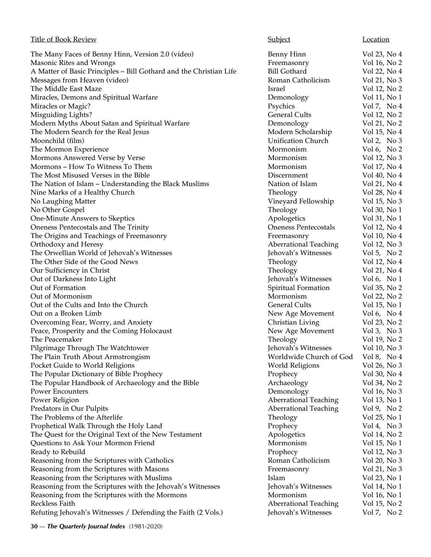| <b>Title of Book Review</b>                                        | Subject                      | Location      |
|--------------------------------------------------------------------|------------------------------|---------------|
| The Many Faces of Benny Hinn, Version 2.0 (video)                  | <b>Benny Hinn</b>            | Vol 23, No 4  |
| Masonic Rites and Wrongs                                           | Freemasonry                  | Vol 16, No 2  |
| A Matter of Basic Principles - Bill Gothard and the Christian Life | <b>Bill Gothard</b>          | Vol 22, No 4  |
| Messages from Heaven (video)                                       | Roman Catholicism            | Vol 21, No 3  |
| The Middle East Maze                                               | Israel                       | Vol 12, No 2  |
| Miracles, Demons and Spiritual Warfare                             | Demonology                   | Vol 11, No 1  |
| Miracles or Magic?                                                 | Psychics                     | Vol 7, No 4   |
| Misguiding Lights?                                                 | <b>General Cults</b>         | Vol 12, No 2  |
| Modern Myths About Satan and Spiritual Warfare                     | Demonology                   | Vol 21, No 2  |
| The Modern Search for the Real Jesus                               | Modern Scholarship           | Vol 15, No 4  |
| Moonchild (film)                                                   | <b>Unification Church</b>    | Vol 2, No $3$ |
| The Mormon Experience                                              | Mormonism                    | Vol 6, No $2$ |
| Mormons Answered Verse by Verse                                    | Mormonism                    | Vol 12, No 3  |
| Mormons - How To Witness To Them                                   | Mormonism                    | Vol 17, No 4  |
| The Most Misused Verses in the Bible                               | Discernment                  | Vol 40, No 4  |
| The Nation of Islam - Understanding the Black Muslims              | Nation of Islam              | Vol 21, No 4  |
| Nine Marks of a Healthy Church                                     | Theology                     | Vol 28, No 4  |
| No Laughing Matter                                                 | Vineyard Fellowship          | Vol 15, No 3  |
| No Other Gospel                                                    | Theology                     | Vol 30, No 1  |
| One-Minute Answers to Skeptics                                     | Apologetics                  | Vol 31, No 1  |
| Oneness Pentecostals and The Trinity                               | <b>Oneness Pentecostals</b>  | Vol 12, No 4  |
| The Origins and Teachings of Freemasonry                           | Freemasonry                  | Vol 10, No 4  |
| Orthodoxy and Heresy                                               | <b>Aberrational Teaching</b> | Vol 12, No 3  |
| The Orwellian World of Jehovah's Witnesses                         | Jehovah's Witnesses          | Vol 5, No $2$ |
| The Other Side of the Good News                                    | Theology                     | Vol 12, No 4  |
| Our Sufficiency in Christ                                          | Theology                     | Vol 21, No 4  |
| Out of Darkness Into Light                                         | Jehovah's Witnesses          | Vol 6, No $1$ |
| Out of Formation                                                   | Spiritual Formation          | Vol 35, No 2  |
| Out of Mormonism                                                   | Mormonism                    | Vol 22, No 2  |
| Out of the Cults and Into the Church                               | <b>General Cults</b>         | Vol 15, No 1  |
| Out on a Broken Limb                                               | New Age Movement             | Vol 6, No $4$ |
| Overcoming Fear, Worry, and Anxiety                                | Christian Living             | Vol 23, No 2  |
| Peace, Prosperity and the Coming Holocaust                         | New Age Movement             | Vol 3, No $3$ |
| The Peacemaker                                                     | Theology                     | Vol 19, No 2  |
| Pilgrimage Through The Watchtower                                  | Jehovah's Witnesses          | Vol 10, No 3  |
| The Plain Truth About Armstrongism                                 | Worldwide Church of God      | Vol 8, No $4$ |
| Pocket Guide to World Religions                                    | <b>World Religions</b>       | Vol 26, No 3  |
| The Popular Dictionary of Bible Prophecy                           | Prophecy                     | Vol 30, No 4  |
| The Popular Handbook of Archaeology and the Bible                  | Archaeology                  | Vol 34, No 2  |
| <b>Power Encounters</b>                                            | Demonology                   | Vol 16, No 3  |
| Power Religion                                                     | <b>Aberrational Teaching</b> | Vol 13, No 1  |
| Predators in Our Pulpits                                           | <b>Aberrational Teaching</b> | Vol 9, No $2$ |
| The Problems of the Afterlife                                      | Theology                     | Vol 25, No 1  |
| Prophetical Walk Through the Holy Land                             | Prophecy                     | Vol 4, No $3$ |
| The Quest for the Original Text of the New Testament               | Apologetics                  | Vol 14, No 2  |
| Questions to Ask Your Mormon Friend                                | Mormonism                    | Vol 15, No 1  |
| Ready to Rebuild                                                   | Prophecy                     | Vol 12, No 3  |
| Reasoning from the Scriptures with Catholics                       | Roman Catholicism            | Vol 20, No 3  |
| Reasoning from the Scriptures with Masons                          | Freemasonry                  | Vol 21, No 3  |
| Reasoning from the Scriptures with Muslims                         | Islam                        | Vol 23, No 1  |
| Reasoning from the Scriptures with the Jehovah's Witnesses         | Jehovah's Witnesses          | Vol 14, No 1  |
| Reasoning from the Scriptures with the Mormons                     | Mormonism                    | Vol 16, No 1  |
| Reckless Faith                                                     | <b>Aberrational Teaching</b> | Vol 15, No 2  |
| Refuting Jehovah's Witnesses / Defending the Faith (2 Vols.)       | Jehovah's Witnesses          | Vol 7, No 2   |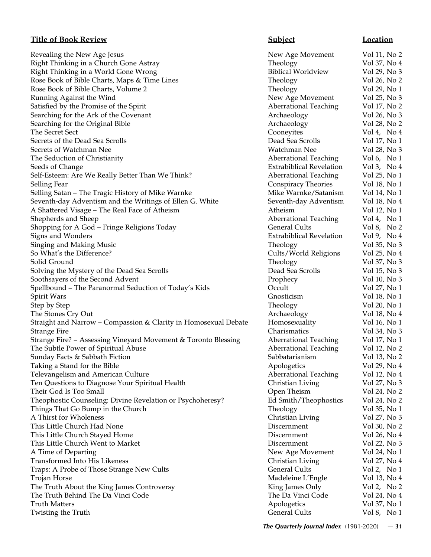## **Title of Book Review Subject Subject Location**

Revealing the New Age Jesus New Age Movement Vol 11, No 2 Right Thinking in a Church Gone Astray Theology Theology Vol 37, No 4 Right Thinking in a World Gone Wrong Theorem Simulation Biblical Worldview Vol 29, No 3 Rose Book of Bible Charts, Maps & Time Lines Theology Vol 26, No 2 Rose Book of Bible Charts, Volume 2 Theology Theology Vol 29, No 1 Running Against the Wind **New Age Movement** Vol 25, No 3 Satisfied by the Promise of the Spirit **Aberrational Teaching** Vol 17, No 2 Searching for the Ark of the Covenant Archaeology Vol 26, No 3 Searching for the Original Bible Archaeology Vol 28, No 2 The Secret Sect **Cooneyites** Vol 4, No 4 Secrets of the Dead Sea Scrolls **Dead Sea Scrolls** Dead Sea Scrolls Vol 17, No 1 Secrets of Watchman Nee Watchman Nee Vol 28, No 3 The Seduction of Christianity **Aberrational Teaching** Aberrational Teaching Vol 6, No 1976 Seeds of Change **Extrabiblical Revelation** Vol 3, No 4 Self-Esteem: Are We Really Better Than We Think? Aberrational Teaching Vol 25, No 1 Selling Fear **Selling Fear** Vol 18, No 1 Selling Satan – The Tragic History of Mike Warnke Mike Marne Mike Warnke/Satanism Vol 14, No 1 Seventh-day Adventism and the Writings of Ellen G. White Seventh-day Adventism Vol 18, No 4 A Shattered Visage – The Real Face of Atheism **Atheism** Atheism Vol 12, No 1 Shepherds and Sheep **Aberrational Teaching** Vol 4, No 1 Shopping for A God – Fringe Religions Today General Cults Vol 8, No 2 Signs and Wonders **Extrabiblical Revelation** Vol 9, No 4 Singing and Making Music **Theology** Theology **Vol** 35, No 3 So What's the Difference? The Cults/World Religions Vol 25, No 4 Solid Ground Theology Vol 37, No 3 Solving the Mystery of the Dead Sea Scrolls Dead Sea Scrolls Dead Sea Scrolls Vol 15, No 3 Soothsayers of the Second Advent and Advent Prophecy Nol 10, No 3 Spellbound – The Paranormal Seduction of Today's Kids Cocult Vol 27, No 1 Spirit Wars Gnosticism Vol 18, No 1 Step by Step Vol 20, No 1 The Stones Cry Out **Archaeology** Vol 18, No 4 Straight and Narrow – Compassion & Clarity in Homosexual Debate Homosexuality Vol 16, No 1 Strange Fire Charismatics Vol 34, No 3 Strange Fire? - Assessing Vineyard Movement & Toronto Blessing Aberrational Teaching Vol 17, No 1 The Subtle Power of Spiritual Abuse **Aberrational Teaching** Vol 12, No 2 Sunday Facts & Sabbath Fiction Sabbatarianism Vol 13, No 2 Taking a Stand for the Bible Apologetics Apologetics Apologetics Vol 29, No 4 Televangelism and American Culture **Aberrational Teaching** Vol 12, No 4 Ten Questions to Diagnose Your Spiritual Health Christian Living Vol 27, No 3 Their God Is Too Small **Their God Is Too Small** Contact Contact Contact Contact Contact Contact Contact Contact Contact Contact Contact Contact Vol 24, No 2 Theophostic Counseling: Divine Revelation or Psychoheresy? Ed Smith/Theophostics Vol 24, No 2 Things That Go Bump in the Church Theology Theology Vol 35, No 1 A Thirst for Wholeness **Christian Living** Vol 27, No 3 This Little Church Had None Discernment Vol 30, No 2 This Little Church Stayed Home **Discernment** Vol 26, No 4 This Little Church Went to Market Discernment Vol 22, No 3 A Time of Departing  $New Age$  Movement Vol 24, No 1 Transformed Into His Likeness and the Christian Living Vol 27, No 4 Traps: A Probe of Those Strange New Cults General Cults General Cults Vol 2, No 1 Trojan Horse **Madeleine L'Engle** Vol 13, No 4 The Truth About the King James Controversy King James Only Vol 2, No 2 The Truth Behind The Da Vinci Code The Davinci Code The Davinci Code Vol 24, No 4 Truth Matters Apologetics Collection and the Muslim Apologetics Apologetics Collection and Muslim Apologetics Col Twisting the Truth Truth General Cults Control of the United States of General Cults Vol 8, No 1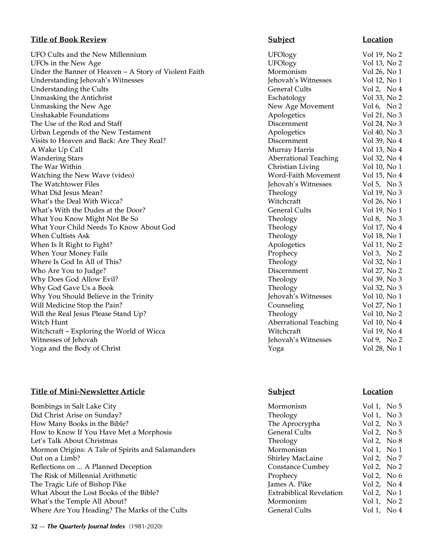## **Title of Book Review**

UFO Cults and the New Millennium UFOs in the New Age Under the Banner of Heaven - A Story of Violent Faith Understanding Jehovah's Witnesses Understanding the Cults Unmasking the Antichrist Unmasking the New Age Unshakable Foundations The Use of the Rod and Staff Urban Legends of the New Testament Visits to Heaven and Back: Are They Real? A Wake Up Call Wandering Stars The War Within Watching the New Wave (video) The Watchtower Files What Did Jesus Mean? What's the Deal With Wicca? What's With the Dudes at the Door? What You Know Might Not Be So What Your Child Needs To Know About God When Cultists Ask When Is It Right to Fight? When Your Money Fails Where Is God In All of This? Who Are You to Judge? Why Does God Allow Evil? Why God Gave Us a Book Why You Should Believe in the Trinity Will Medicine Stop the Pain? Will the Real Jesus Please Stand Up? Witch Hunt Aberrational Teaching Vol 10, No 4 Witchcraft – Exploring the World of Wicca Witnesses of Jehovah Yoga and the Body of Christ

# **Title of Mini-Newsletter Article Subject Location**

| Bombings in Salt Lake City                        | Mormonism                       | Vol 1, No $5$ |
|---------------------------------------------------|---------------------------------|---------------|
| Did Christ Arise on Sunday?                       | Theology                        | Vol 1, No $3$ |
| How Many Books in the Bible?                      | The Aprocrypha                  | Vol 2, No $3$ |
| How to Know If You Have Met a Morphosis           | <b>General Cults</b>            | Vol 2, No $5$ |
| Let's Talk About Christmas                        | Theology                        | Vol 2, No $8$ |
| Mormon Origins: A Tale of Spirits and Salamanders | Mormonism                       | Vol 1, No 1   |
| Out on a Limb?                                    | <b>Shirley MacLaine</b>         | Vol 2, No 7   |
| Reflections on  A Planned Deception               | <b>Constance Cumbey</b>         | Vol 2, No $2$ |
| The Risk of Millennial Arithmetic                 | Prophecy                        | Vol 2, No $6$ |
| The Tragic Life of Bishop Pike                    | James A. Pike                   | Vol 2, No $4$ |
| What About the Lost Books of the Bible?           | <b>Extrabiblical Revelation</b> | Vol 2, No $1$ |
| What's the Temple All About?                      | Mormonism                       | Vol 1, No $2$ |
| Where Are You Heading? The Marks of the Cults     | <b>General Cults</b>            | Vol 1, No 4   |
|                                                   |                                 |               |

| <b>Subject</b>               | <b>Location</b> |
|------------------------------|-----------------|
| <b>UFOlogy</b>               | Vol 19, No 2    |
| <b>UFOlogy</b>               | Vol 13, No 2    |
| Mormonism                    | Vol 26, No 1    |
| Jehovah's Witnesses          | Vol 12, No 1    |
| <b>General Cults</b>         | Vol 2, No 4     |
| Eschatology                  | Vol 33, No 2    |
| New Age Movement             | Vol 6, No 2     |
| Apologetics                  | Vol 21, No 3    |
| Discernment                  | Vol 24, No 3    |
| Apologetics                  | Vol 40, No 3    |
| Discernment                  | Vol 39, No 4    |
| Murray Harris                | Vol 13, No 4    |
| Aberrational Teaching        | Vol 32, No 4    |
| Christian Living             | Vol 10, No 1    |
| <b>Word-Faith Movement</b>   | Vol 15, No 4    |
| Jehovah's Witnesses          | Vol 5, No 3     |
| Theology                     | Vol 19, No 3    |
| Witchcraft                   | Vol 26, No 1    |
| <b>General Cults</b>         | Vol 19, No 1    |
| Theology                     | Vol 8, No 3     |
| Theology                     | Vol 17, No 4    |
| Theology                     | Vol 18, No 1    |
| Apologetics                  | Vol 11, No 2    |
| Prophecy                     | Vol 3, No 2     |
| Theology                     | Vol 32, No 1    |
| Discernment                  | Vol 27, No 2    |
| Theology                     | Vol 39, No 3    |
| Theology                     | Vol 32, No 3    |
| Jehovah's Witnesses          | Vol 10, No 1    |
| Counseling                   | Vol 27, No 1    |
| Theology                     | Vol 10, No 2    |
| <b>Aberrational Teaching</b> | Vol 10, No 4    |
| Witchcraft                   | Vol 19, No 4    |
| Jehovah's Witnesses          | Vol 9, No 2     |
| Yoga                         | Vol 28, No 1    |

| rmonism                | Vol 1, No $5$            |  |
|------------------------|--------------------------|--|
| eology                 | Vol 1, No $\mathbb{S}$   |  |
| e Aprocrypha           | Vol 2, No $\overline{z}$ |  |
| neral Cults            | Vol 2, No 5              |  |
| eology                 | Vol 2, No $\delta$       |  |
| rmonism                | Vol 1, No 1              |  |
| rley MacLaine          | Vol 2, No $7$            |  |
| nstance Cumbey         | Vol 2, No $2$            |  |
| phecy                  | Vol 2, No $\ell$         |  |
| nes A. Pike            | Vol 2, No $4$            |  |
| rabiblical Revelation: | Vol 2, No $1$            |  |
| rmonism                | Vol 1, No 2              |  |
| neral Cults            | Vol 1. No 4              |  |